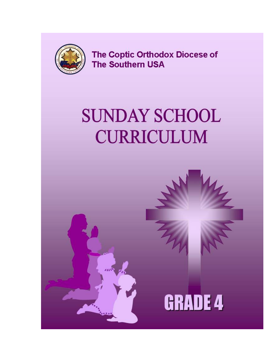

The Coptic Orthodox Diocese of<br>The Southern USA

# **SUNDAY SCHOOL CURRICULUM**

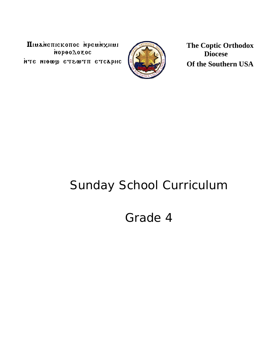Πιαλήθητα του δρεαήχειαι nopoo $\Delta$ ozoc nde niews etswan etcaphc



**The Coptic Orthodox Diocese Of the Southern USA** 

# Sunday School Curriculum

Grade 4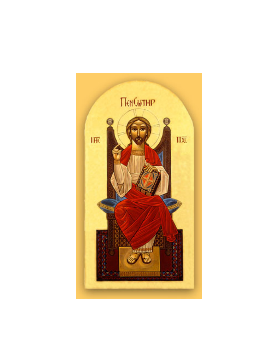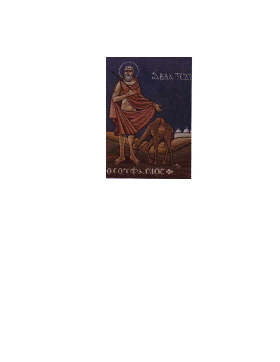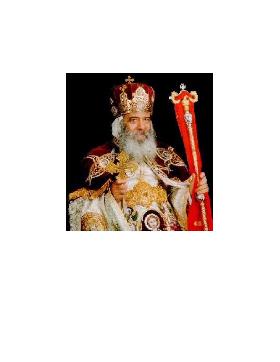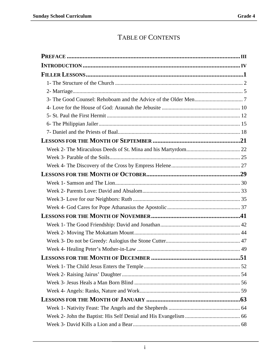# TABLE OF CONTENTS

| .51 |
|-----|
|     |
|     |
|     |
|     |
|     |
|     |
|     |
|     |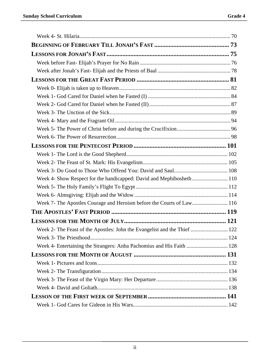| Week 4- Show Respect for the handicapped: David and Mephibosheth 110      |  |
|---------------------------------------------------------------------------|--|
|                                                                           |  |
|                                                                           |  |
| Week 7- The Apostles Courage and Heroism before the Courts of Law 116     |  |
|                                                                           |  |
|                                                                           |  |
| Week 2- The Feast of the Apostles: John the Evangelist and the Thief  122 |  |
|                                                                           |  |
| Week 4- Entertaining the Strangers: Anba Pachomius and His Faith  128     |  |
|                                                                           |  |
|                                                                           |  |
|                                                                           |  |
|                                                                           |  |
|                                                                           |  |
|                                                                           |  |
|                                                                           |  |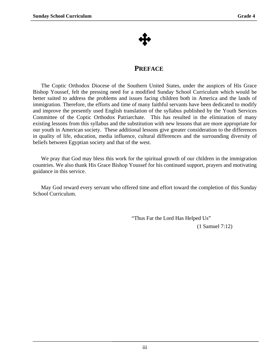

# **PREFACE**

<span id="page-8-0"></span>The Coptic Orthodox Diocese of the Southern United States, under the auspices of His Grace Bishop Youssef, felt the pressing need for a modified Sunday School Curriculum which would be better suited to address the problems and issues facing children both in America and the lands of immigration. Therefore, the efforts and time of many faithful servants have been dedicated to modify and improve the presently used English translation of the syllabus published by the Youth Services Committee of the Coptic Orthodox Patriarchate. This has resulted in the elimination of many existing lessons from this syllabus and the substitution with new lessons that are more appropriate for our youth in American society. These additional lessons give greater consideration to the differences in quality of life, education, media influence, cultural differences and the surrounding diversity of beliefs between Egyptian society and that of the west.

We pray that God may bless this work for the spiritual growth of our children in the immigration countries. We also thank His Grace Bishop Youssef for his continued support, prayers and motivating guidance in this service.

May God reward every servant who offered time and effort toward the completion of this Sunday School Curriculum.

"Thus Far the Lord Has Helped Us"

(1 Samuel 7:12)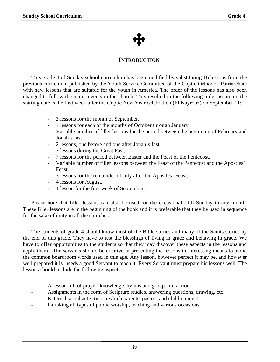

#### **INTRODUCTION**

<span id="page-9-0"></span>This grade 4 of Sunday school curriculum has been modified by substituting 16 lessons from the previous curriculum published by the Youth Service Committee of the Coptic Orthodox Patriarchate with new lessons that are suitable for the youth in America. The order of the lessons has also been changed to follow the major events in the church. This resulted in the following order assuming the starting date is the first week after the Coptic New Year celebration (El Nayrouz) on September 11:

- 3 lessons for the month of September.
- 4 lessons for each of the months of October through January.
- Variable number of filler lessons for the period between the beginning of February and Jonah's fast.
- 2 lessons, one before and one after Jonah's fast.
- 7 lessons during the Great Fast.
- 7 lessons for the period between Easter and the Feast of the Pentecost.
- Variable number of filler lessons between the Feast of the Pentecost and the Apostles' Feast.
- 3 lessons for the remainder of July after the Apostles' Feast.
- 4 lessons for August.
- 1 lesson for the first week of September.

Please note that filler lessons can also be used for the occasional fifth Sunday in any month. These filler lessons are in the beginning of the book and it is preferable that they be used in sequence for the sake of unity in all the churches.

The students of grade 4 should know most of the Bible stories and many of the Saints stories by the end of this grade. They have to test the blessings of living in grace and behaving in grace. We have to offer opportunities to the students so that they may discover these aspects in the lessons and apply them. The servants should be creative in presenting the lessons in interesting means to avoid the common boardroom words used in this age. Any lesson, however perfect it may be, and however well prepared it is, needs a good Servant to teach it. Every Servant must prepare his lessons well. The lessons should include the following aspects:

- A lesson full of prayer, knowledge, hymns and group interaction.
- Assignments in the form of Scripture studies, answering questions, drawing, etc.
- External social activities in which parents, pastors and children meet.
- Partaking all types of public worship, teaching and various occasions.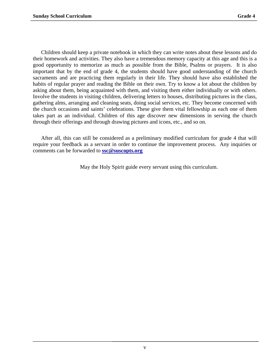Children should keep a private notebook in which they can write notes about these lessons and do their homework and activities. They also have a tremendous memory capacity at this age and this is a good opportunity to memorize as much as possible from the Bible, Psalms or prayers. It is also important that by the end of grade 4, the students should have good understanding of the church sacraments and are practicing them regularly in their life. They should have also established the habits of regular prayer and reading the Bible on their own. Try to know a lot about the children by asking about them, being acquainted with them, and visiting them either individually or with others. Involve the students in visiting children, delivering letters to houses, distributing pictures in the class, gathering alms, arranging and cleaning seats, doing social services, etc. They become concerned with the church occasions and saints' celebrations. These give them vital fellowship as each one of them takes part as an individual. Children of this age discover new dimensions in serving the church through their offerings and through drawing pictures and icons, etc., and so on.

After all, this can still be considered as a preliminary modified curriculum for grade 4 that will require your feedback as a servant in order to continue the improvement process. Any inquiries or comments can be forwarded to **[ssc@suscopts.org](mailto:ssc@suscopts.org)**

May the Holy Spirit guide every servant using this curriculum.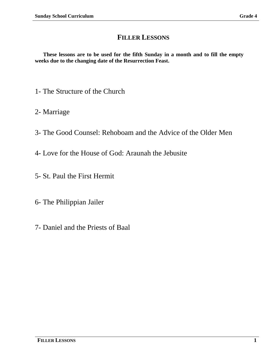<span id="page-12-0"></span>**These lessons are to be used for the fifth Sunday in a month and to fill the empty weeks due to the changing date of the Resurrection Feast.**

- 1- The Structure of the Church
- 2- Marriage
- 3- The Good Counsel: Rehoboam and the Advice of the Older Men
- 4- Love for the House of God: Araunah the Jebusite
- 5- St. Paul the First Hermit
- 6- The Philippian Jailer
- 7- Daniel and the Priests of Baal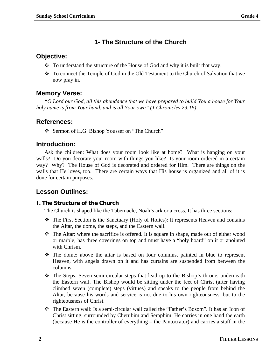# **1- The Structure of the Church**

#### <span id="page-13-0"></span>**Objective:**

- \* To understand the structure of the House of God and why it is built that way.
- To connect the Temple of God in the Old Testament to the Church of Salvation that we now pray in.

# **Memory Verse:**

*"O Lord our God, all this abundance that we have prepared to build You a house for Your holy name is from Your hand, and is all Your own" (1 Chronicles 29:16)*

#### **References:**

Sermon of H.G. Bishop Youssef on "The Church"

#### **Introduction:**

Ask the children: What does your room look like at home? What is hanging on your walls? Do you decorate your room with things you like? Is your room ordered in a certain way? Why? The House of God is decorated and ordered for Him. There are things on the walls that He loves, too. There are certain ways that His house is organized and all of it is done for certain purposes.

# **Lesson Outlines:**

#### **I. The Structure of the Church**

The Church is shaped like the Tabernacle, Noah's ark or a cross. It has three sections:

- The First Section is the Sanctuary (Holy of Holies): It represents Heaven and contains the Altar, the dome, the steps, and the Eastern wall.
- The Altar: where the sacrifice is offered. It is square in shape, made out of either wood or marble, has three coverings on top and must have a "holy board" on it or anointed with Chrism.
- The dome: above the altar is based on four columns, painted in blue to represent Heaven, with angels drawn on it and has curtains are suspended from between the columns
- The Steps: Seven semi-circular steps that lead up to the Bishop's throne, underneath the Eastern wall. The Bishop would be sitting under the feet of Christ (after having climbed seven (complete) steps (virtues) and speaks to the people from behind the Altar, because his words and service is not due to his own righteousness, but to the righteousness of Christ.
- The Eastern wall: Is a semi-circular wall called the "Father's Bosom". It has an Icon of Christ sitting, surrounded by Cherubim and Seraphim. He carries in one hand the earth (because He is the controller of everything – the Pantocrator) and carries a staff in the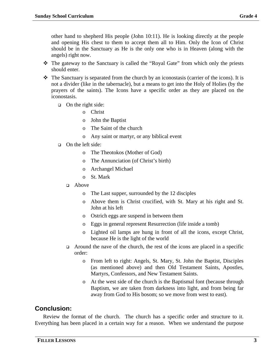other hand to shepherd His people (John 10:11). He is looking directly at the people and opening His chest to them to accept them all to Him. Only the Icon of Christ should be in the Sanctuary as He is the only one who is in Heaven (along with the angels) right now.

- The gateway to the Sanctuary is called the "Royal Gate" from which only the priests should enter.
- The Sanctuary is separated from the church by an iconostasis (carrier of the icons). It is not a divider (like in the tabernacle), but a means to get into the Holy of Holies (by the prayers of the saints). The Icons have a specific order as they are placed on the iconostasis.
	- $\Box$  On the right side:
		- o Christ
		- o John the Baptist
		- o The Saint of the church
		- o Any saint or martyr, or any biblical event
	- $\Box$  On the left side:
		- o The Theotokos (Mother of God)
		- o The Annunciation (of Christ's birth)
		- o Archangel Michael
		- o St. Mark
		- Above
			- o The Last supper, surrounded by the 12 disciples
			- o Above them is Christ crucified, with St. Mary at his right and St. John at his left
			- o Ostrich eggs are suspend in between them
			- o Eggs in general represent Resurrection (life inside a tomb)
			- o Lighted oil lamps are hung in front of all the icons, except Christ, because He is the light of the world
		- $\Box$  Around the nave of the church, the rest of the icons are placed in a specific order:
			- o From left to right: Angels, St. Mary, St. John the Baptist, Disciples (as mentioned above) and then Old Testament Saints, Apostles, Martyrs, Confessors, and New Testament Saints.
			- o At the west side of the church is the Baptismal font (because through Baptism, we are taken from darkness into light, and from being far away from God to His bosom; so we move from west to east).

#### **Conclusion:**

Review the format of the church. The church has a specific order and structure to it. Everything has been placed in a certain way for a reason. When we understand the purpose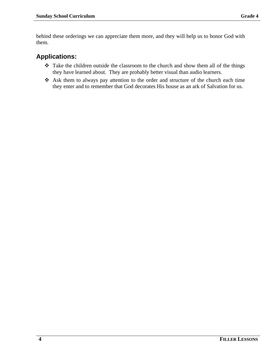behind these orderings we can appreciate them more, and they will help us to honor God with them.

- $\cdot$  Take the children outside the classroom to the church and show them all of the things they have learned about. They are probably better visual than audio learners.
- Ask them to always pay attention to the order and structure of the church each time they enter and to remember that God decorates His house as an ark of Salvation for us.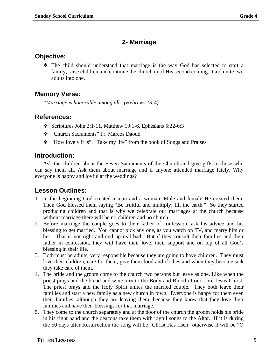# **2- Marriage**

# <span id="page-16-0"></span>**Objective:**

 The child should understand that marriage is the way God has selected to start a family, raise children and continue the church until His second coming. God unite two adults into one.

# **Memory Verse***:*

*"Marriage is honorable among all" (Hebrews 13:4)*

# **References:**

- $\div$  Scriptures John 2:1-11, Matthew 19:1-6, Ephesians 5:22-6:3
- \* "Church Sacraments" Fr. Marcos Daoud
- \* "How lovely it is", "Take my life" from the book of Songs and Praises

# **Introduction:**

Ask the children about the Seven Sacraments of the Church and give gifts to those who can say them all. Ask them about marriage and if anyone attended marriage lately. Why everyone is happy and joyful at the weddings?

# **Lesson Outlines:**

- 1. In the beginning God created a man and a woman. Male and female He created them. Then God blessed them saying "Be fruitful and multiply; fill the earth." So they started producing children and that is why we celebrate our marriages at the church because without marriage there will be no children and no church.
- 2. Before marriage the couple goes to their father of confession, ask his advice and his blessing to get married. You cannot pick any one, as you watch on TV, and marry him or her. That is not right and end up real bad. But if they consult their families and their father in confession, they will have their love, their support and on top of all God's blessing in their life.
- 3. Both must be adults, very responsible because they are going to have children. They must love their children, care for them, give them food and clothes and when they become sick they take care of them.
- 4. The bride and the groom come to the church two persons but leave as one. Like when the priest prays and the bread and wine turn to the Body and Blood of our Lord Jesus Christ. The priest prays and the Holy Spirit unites the married couple. They both leave their families and start a new family as a new church in town. Everyone is happy for them even their families, although they are leaving them, because they know that they love their families and have their blessings for that marriage.
- 5. They come to the church separately and at the door of the church the groom holds his bride in his right hand and the deacons take them with joyful songs to the Altar. If it is during the 50 days after Resurrection the song will be "Christ Has risen" otherwise it will be "O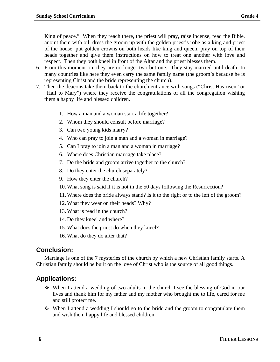King of peace." When they reach there, the priest will pray, raise incense, read the Bible, anoint them with oil, dress the groom up with the golden priest's robe as a king and priest of the house, put golden crowns on both heads like king and queen, pray on top of their heads together and give them instructions on how to treat one another with love and respect. Then they both kneel in front of the Altar and the priest blesses them.

- 6. From this moment on, they are no longer two but one. They stay married until death. In many countries like here they even carry the same family name (the groom's because he is representing Christ and the bride representing the church).
- 7. Then the deacons take them back to the church entrance with songs ("Christ Has risen" or "Hail to Mary") where they receive the congratulations of all the congregation wishing them a happy life and blessed children.
	- 1. How a man and a woman start a life together?
	- 2. Whom they should consult before marriage?
	- 3. Can two young kids marry?
	- 4. Who can pray to join a man and a woman in marriage?
	- 5. Can I pray to join a man and a woman in marriage?
	- 6. Where does Christian marriage take place?
	- 7. Do the bride and groom arrive together to the church?
	- 8. Do they enter the church separately?
	- 9. How they enter the church?
	- 10. What song is said if it is not in the 50 days following the Resurrection?
	- 11. Where does the bride always stand? Is it to the right or to the left of the groom?
	- 12. What they wear on their heads? Why?
	- 13. What is read in the church?
	- 14. Do they kneel and where?
	- 15. What does the priest do when they kneel?
	- 16. What do they do after that?

#### **Conclusion:**

Marriage is one of the 7 mysteries of the church by which a new Christian family starts. A Christian family should be built on the love of Christ who is the source of all good things.

- When I attend a wedding of two adults in the church I see the blessing of God in our lives and thank him for my father and my mother who brought me to life, cared for me and still protect me.
- When I attend a wedding I should go to the bride and the groom to congratulate them and wish them happy life and blessed children.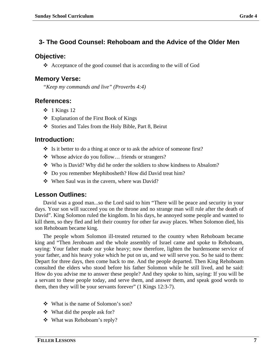# <span id="page-18-0"></span>**3- The Good Counsel: Rehoboam and the Advice of the Older Men**

#### **Objective:**

 $\triangleleft$  Acceptance of the good counsel that is according to the will of God

#### **Memory Verse:**

*"Keep my commands and live" (Proverbs 4:4)*

# **References:**

- $\div$  1 Kings 12
- Explanation of the First Book of Kings
- Stories and Tales from the Holy Bible, Part 8, Beirut

#### **Introduction:**

- $\cdot$  Is it better to do a thing at once or to ask the advice of someone first?
- ❖ Whose advice do you follow... friends or strangers?
- Who is David? Why did he order the soldiers to show kindness to Absalom?
- ◆ Do you remember Mephibosheth? How did David treat him?
- When Saul was in the cavern, where was David?

#### **Lesson Outlines:**

David was a good man...so the Lord said to him "There will be peace and security in your days. Your son will succeed you on the throne and no strange man will rule after the death of David". King Solomon ruled the kingdom. In his days, he annoyed some people and wanted to kill them, so they fled and left their country for other far away places. When Solomon died, his son Rehoboam became king.

The people whom Solomon ill-treated returned to the country when Rehoboam became king and "Then Jeroboam and the whole assembly of Israel came and spoke to Rehoboam, saying: Your father made our yoke heavy; now therefore, lighten the burdensome service of your father, and his heavy yoke which he put on us, and we will serve you. So he said to them: Depart for three days, then come back to me. And the people departed. Then King Rehoboam consulted the elders who stood before his father Solomon while he still lived, and he said: How do you advise me to answer these people? And they spoke to him, saying: If you will be a servant to these people today, and serve them, and answer them, and speak good words to them, then they will be your servants forever" (1 Kings 12:3-7).

- What is the name of Solomon's son?
- What did the people ask for?
- What was Rehoboam's reply?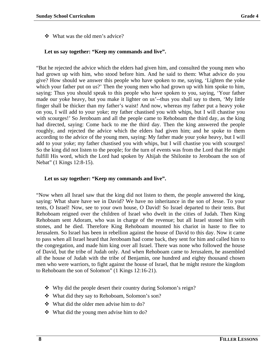What was the old men's advice?

#### **Let us say together: "Keep my commands and live".**

"But he rejected the advice which the elders had given him, and consulted the young men who had grown up with him, who stood before him. And he said to them: What advice do you give? How should we answer this people who have spoken to me, saying, 'Lighten the yoke which your father put on us?' Then the young men who had grown up with him spoke to him, saying: Thus you should speak to this people who have spoken to you, saying, 'Your father made our yoke heavy, but you make it lighter on us'--thus you shall say to them, 'My little finger shall be thicker than my father's waist! And now, whereas my father put a heavy yoke on you, I will add to your yoke; my father chastised you with whips, but I will chastise you with scourges!' So Jeroboam and all the people came to Rehoboam the third day, as the king had directed, saying: Come back to me the third day. Then the king answered the people roughly, and rejected the advice which the elders had given him; and he spoke to them according to the advice of the young men, saying: My father made your yoke heavy, but I will add to your yoke; my father chastised you with whips, but I will chastise you with scourges! So the king did not listen to the people; for the turn of events was from the Lord that He might fulfill His word, which the Lord had spoken by Ahijah the Shilonite to Jeroboam the son of Nebat" (1 Kings 12:8-15).

#### Let us say together: "Keep my commands and live".

"Now when all Israel saw that the king did not listen to them, the people answered the king, saying: What share have we in David? We have no inheritance in the son of Jesse. To your tents, O Israel! Now, see to your own house, O David! So Israel departed to their tents. But Rehoboam reigned over the children of Israel who dwelt in the cities of Judah. Then King Rehoboam sent Adoram, who was in charge of the revenue; but all Israel stoned him with stones, and he died. Therefore King Rehoboam mounted his chariot in haste to flee to Jerusalem. So Israel has been in rebellion against the house of David to this day. Now it came to pass when all Israel heard that Jeroboam had come back, they sent for him and called him to the congregation, and made him king over all Israel. There was none who followed the house of David, but the tribe of Judah only. And when Rehoboam came to Jerusalem, he assembled all the house of Judah with the tribe of Benjamin, one hundred and eighty thousand chosen men who were warriors, to fight against the house of Israel, that he might restore the kingdom to Rehoboam the son of Solomon" (1 Kings 12:16-21).

- Why did the people desert their country during Solomon's reign?
- What did they say to Rehoboam, Solomon's son?
- What did the older men advise him to do?
- $\triangleleft$  What did the young men advise him to do?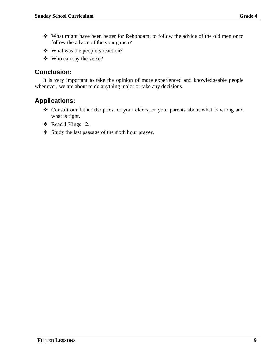- What might have been better for Rehoboam, to follow the advice of the old men or to follow the advice of the young men?
- What was the people's reaction?
- Who can say the verse?

#### **Conclusion:**

It is very important to take the opinion of more experienced and knowledgeable people whenever, we are about to do anything major or take any decisions.

- Consult our father the priest or your elders, or your parents about what is wrong and what is right.
- ◆ Read 1 Kings 12.
- Study the last passage of the sixth hour prayer.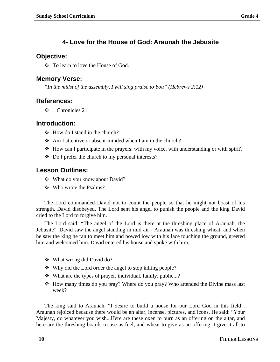# **4- Love for the House of God: Araunah the Jebusite**

#### <span id="page-21-0"></span>**Objective:**

To learn to love the House of God.

#### **Memory Verse:**

*"In the midst of the assembly, I will sing praise to You" (Hebrews 2:12)*

#### **References:**

 $\div$  1 Chronicles 21

#### **Introduction:**

- $\div$  How do I stand in the church?
- Am I attentive or absent-minded when I am in the church?
- $\triangleleft$  How can I participate in the prayers: with my voice, with understanding or with spirit?
- ❖ Do I prefer the church to my personal interests?

#### **Lesson Outlines:**

- What do you know about David?
- Who wrote the Psalms?

The Lord commanded David not to count the people so that he might not boast of his strength. David disobeyed. The Lord sent his angel to punish the people and the king David cried to the Lord to forgive him.

The Lord said: "The angel of the Lord is there at the threshing place of Araunah, the Jebusite". David saw the angel standing in mid air - Araunah was threshing wheat, and when he saw the king he ran to meet him and bowed low with his face touching the ground, greeted him and welcomed him. David entered his house and spoke with him.

- What wrong did David do?
- Why did the Lord order the angel to stop killing people?
- $\triangleleft$  What are the types of prayer, individual, family, public...?
- How many times do you pray? Where do you pray? Who attended the Divine mass last week?

The king said to Araunah, "I desire to build a house for our Lord God in this field". Araunah rejoiced because there would be an altar, incense, pictures, and icons. He said: "Your Majesty, do whatever you wish...Here are these oxen to burn as an offering on the altar, and here are the threshing boards to use as fuel, and wheat to give as an offering. I give it all to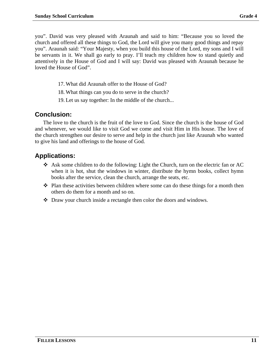you". David was very pleased with Araunah and said to him: "Because you so loved the church and offered all these things to God, the Lord will give you many good things and repay you". Araunah said: "Your Majesty, when you build this house of the Lord, my sons and I will be servants in it. We shall go early to pray. I'll teach my children how to stand quietly and attentively in the House of God and I will say: David was pleased with Araunah because he loved the House of God".

- 17. What did Araunah offer to the House of God?
- 18. What things can you do to serve in the church?
- 19. Let us say together: In the middle of the church...

# **Conclusion:**

The love to the church is the fruit of the love to God. Since the church is the house of God and whenever, we would like to visit God we come and visit Him in His house. The love of the church strengthen our desire to serve and help in the church just like Araunah who wanted to give his land and offerings to the house of God.

- $\triangle$  Ask some children to do the following: Light the Church, turn on the electric fan or AC when it is hot, shut the windows in winter, distribute the hymn books, collect hymn books after the service, clean the church, arrange the seats, etc.
- $\hat{\mathbf{v}}$  Plan these activities between children where some can do these things for a month then others do them for a month and so on.
- Draw your church inside a rectangle then color the doors and windows.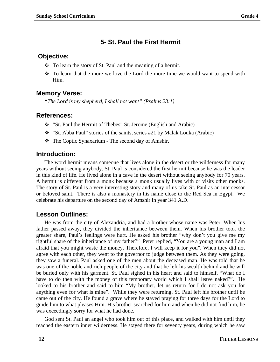# **5- St. Paul the First Hermit**

#### <span id="page-23-0"></span> **Objective:**

- $\bullet$  To learn the story of St. Paul and the meaning of a hermit.
- \* To learn that the more we love the Lord the more time we would want to spend with Him.

# **Memory Verse:**

*"The Lord is my shepherd, I shall not want" (Psalms 23:1)*

#### **References:**

- "St. Paul the Hermit of Thebes" St. Jerome (English and Arabic)
- "St. Abba Paul" stories of the saints, series #21 by Malak Louka (Arabic)
- The Coptic Synaxarium The second day of Amshir.

#### **Introduction:**

The word hermit means someone that lives alone in the desert or the wilderness for many years without seeing anybody. St. Paul is considered the first hermit because he was the leader in this kind of life. He lived alone in a cave in the desert without seeing anybody for 70 years. A hermit is different from a monk because a monk usually lives with or visits other monks. The story of St. Paul is a very interesting story and many of us take St. Paul as an intercessor or beloved saint. There is also a monastery in his name close to the Red Sea in Egypt. We celebrate his departure on the second day of Amshir in year 341 A.D.

#### **Lesson Outlines:**

He was from the city of Alexandria, and had a brother whose name was Peter. When his father passed away, they divided the inheritance between them. When his brother took the greater share, Paul's feelings were hurt. He asked his brother "why don't you give me my rightful share of the inheritance of my father?" Peter replied, "You are a young man and I am afraid that you might waste the money. Therefore, I will keep it for you". When they did not agree with each other, they went to the governor to judge between them. As they were going, they saw a funeral. Paul asked one of the men about the deceased man. He was told that he was one of the noble and rich people of the city and that he left his wealth behind and he will be buried only with his garment. St. Paul sighed in his heart and said to himself, "What do I have to do then with the money of this temporary world which I shall leave naked?". He looked to his brother and said to him "My brother, let us return for I do not ask you for anything even for what is mine". While they were returning, St. Paul left his brother until he came out of the city. He found a grave where he stayed praying for three days for the Lord to guide him to what pleases Him. His brother searched for him and when he did not find him, he was exceedingly sorry for what he had done.

God sent St. Paul an angel who took him out of this place, and walked with him until they reached the eastern inner wilderness. He stayed there for seventy years, during which he saw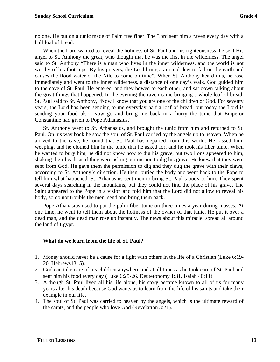no one. He put on a tunic made of Palm tree fiber. The Lord sent him a raven every day with a half loaf of bread.

When the Lord wanted to reveal the holiness of St. Paul and his righteousness, he sent His angel to St. Anthony the great, who thought that he was the first in the wilderness. The angel said to St. Anthony "There is a man who lives in the inner wilderness, and the world is not worthy of his footsteps. By his prayers, the Lord brings rain and dew to fall on the earth and causes the flood water of the Nile to come on time". When St. Anthony heard this, he rose immediately and went to the inner wilderness, a distance of one day's walk. God guided him to the cave of St. Paul. He entered, and they bowed to each other, and sat down talking about the great things that happened. In the evening the raven came bringing a whole loaf of bread. St. Paul said to St. Anthony, "Now I know that you are one of the children of God. For seventy years, the Lord has been sending to me everyday half a loaf of bread, but today the Lord is sending your food also. Now go and bring me back in a hurry the tunic that Emperor Constantine had given to Pope Athanasius."

St. Anthony went to St. Athanasius, and brought the tunic from him and returned to St. Paul. On his way back he saw the soul of St. Paul carried by the angels up to heaven. When he arrived to the cave, he found that St. Paul has departed from this world. He kissed him, weeping, and he clothed him in the tunic that he asked for, and he took his fiber tunic. When he wanted to bury him, he did not know how to dig his grave, but two lions appeared to him, shaking their heads as if they were asking permission to dig his grave. He knew that they were sent from God. He gave them the permission to dig and they dug the grave with their claws, according to St. Anthony's direction. He then, buried the body and went back to the Pope to tell him what happened. St. Athanasius sent men to bring St. Paul's body to him. They spent several days searching in the mountains, but they could not find the place of his grave. The Saint appeared to the Pope in a vision and told him that the Lord did not allow to reveal his body, so do not trouble the men, send and bring them back.

Pope Athanasius used to put the palm fiber tunic on three times a year during masses. At one time, he went to tell them about the holiness of the owner of that tunic. He put it over a dead man, and the dead man rose up instantly. The news about this miracle, spread all around the land of Egypt.

#### **What do we learn from the life of St. Paul?**

- 1. Money should never be a cause for a fight with others in the life of a Christian (Luke 6:19- 20, Hebrews13: 5).
- 2. God can take care of his children anywhere and at all times as he took care of St. Paul and sent him his food every day (Luke 6:25-26, Deuteronomy 1:31, Isaiah 40:11).
- 3. Although St. Paul lived all his life alone, his story became known to all of us for many years after his death because God wants us to learn from the life of his saints and take their example in our life.
- 4. The soul of St. Paul was carried to heaven by the angels, which is the ultimate reward of the saints, and the people who love God (Revelation 3:21).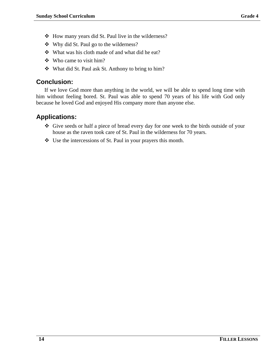- ◆ How many years did St. Paul live in the wilderness?
- Why did St. Paul go to the wilderness?
- What was his cloth made of and what did he eat?
- Who came to visit him?
- What did St. Paul ask St. Anthony to bring to him?

#### **Conclusion:**

If we love God more than anything in the world, we will be able to spend long time with him without feeling bored. St. Paul was able to spend 70 years of his life with God only because he loved God and enjoyed His company more than anyone else.

- Give seeds or half a piece of bread every day for one week to the birds outside of your house as the raven took care of St. Paul in the wilderness for 70 years.
- Use the intercessions of St. Paul in your prayers this month.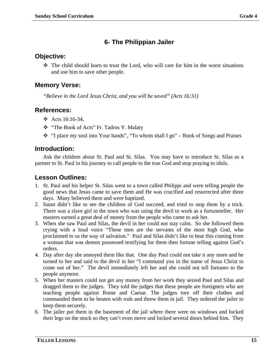# **6- The Philippian Jailer**

#### <span id="page-26-0"></span>**Objective:**

 $\hat{\mathbf{v}}$  The child should learn to trust the Lord, who will care for him in the worst situations and use him to save other people.

# **Memory Verse:**

*"Believe in the Lord Jesus Christ, and you will be saved" (Acts 16:31)*

# **References:**

- $\div$  Acts 16:16-34.
- \* "The Book of Acts" Fr. Tadros Y. Malaty
- $\cdot$  "I place my soul into Your hands", "To whom shall I go" Book of Songs and Praises

# **Introduction:**

Ask the children about St. Paul and St. Silas. You may have to introduce St. Silas as a partner to St. Paul in his journey to call people to the true God and stop praying to idols.

# **Lesson Outlines:**

- 1. St. Paul and his helper St. Silas went to a town called Philippi and were telling people the good news that Jesus came to save them and He was crucified and resurrected after three days. Many believed them and were baptized.
- 2. Satan didn't like to see the children of God succeed, and tried to stop them by a trick. There was a slave girl in the town who was using the devil to work as a fortuneteller. Her masters earned a great deal of money from the people who came to ask her.
- 3. When she saw Paul and Silas, the devil in her could not stay calm. So she followed them crying with a loud voice "These men are the servants of the most high God, who proclaimed to us the way of salvation." Paul and Silas didn't like to hear this coming from a woman that was demon possessed testifying for them then fortune telling against God's orders.
- 4. Day after day she annoyed them like that. One day Paul could not take it any more and he turned to her and said to the devil in her "I command you in the name of Jesus Christ to come out of her." The devil immediately left her and she could not tell fortunes to the people anymore.
- 5. When her masters could not get any money from her work they seized Paul and Silas and dragged them to the judges. They told the judges that these people are foreigners who are teaching people against Rome and Caesar. The judges tore off their clothes and commanded them to be beaten with rods and threw them in jail. They ordered the jailer to keep them securely.
- 6. The jailer put them in the basement of the jail where there were no windows and locked their legs on the stock so they can't even move and locked several doors behind him. They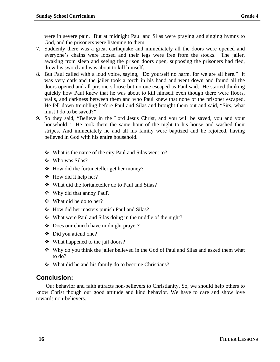were in severe pain. But at midnight Paul and Silas were praying and singing hymns to God, and the prisoners were listening to them.

- 7. Suddenly there was a great earthquake and immediately all the doors were opened and everyone's chains were loosed and their legs were free from the stocks. The jailer, awaking from sleep and seeing the prison doors open, supposing the prisoners had fled, drew his sword and was about to kill himself.
- 8. But Paul called with a loud voice, saying, "Do yourself no harm, for we are all here." It was very dark and the jailer took a torch in his hand and went down and found all the doors opened and all prisoners loose but no one escaped as Paul said. He started thinking quickly how Paul knew that he was about to kill himself even though there were floors, walls, and darkness between them and who Paul knew that none of the prisoner escaped. He fell down trembling before Paul and Silas and brought them out and said, "Sirs, what must I do to be saved?"
- 9. So they said, "Believe in the Lord Jesus Christ, and you will be saved, you and your household." He took them the same hour of the night to his house and washed their stripes. And immediately he and all his family were baptized and he rejoiced, having believed in God with his entire household.
	- What is the name of the city Paul and Silas went to?
	- Who was Silas?
	- How did the fortuneteller get her money?
	- $\div$  How did it help her?
	- What did the fortuneteller do to Paul and Silas?
	- Why did that annoy Paul?
	- What did he do to her?
	- How did her masters punish Paul and Silas?
	- What were Paul and Silas doing in the middle of the night?
	- Does our church have midnight prayer?
	- Did you attend one?
	- What happened to the jail doors?
	- Why do you think the jailer believed in the God of Paul and Silas and asked them what to do?
	- What did he and his family do to become Christians?

#### **Conclusion:**

Our behavior and faith attracts non-believers to Christianity. So, we should help others to know Christ though our good attitude and kind behavior. We have to care and show love towards non-believers.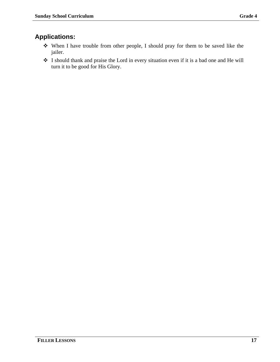- When I have trouble from other people, I should pray for them to be saved like the jailer.
- I should thank and praise the Lord in every situation even if it is a bad one and He will turn it to be good for His Glory.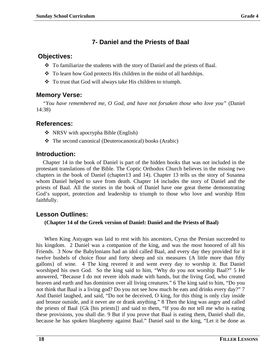# **7- Daniel and the Priests of Baal**

#### <span id="page-29-0"></span> **Objectives:**

- \* To familiarize the students with the story of Daniel and the priests of Baal.
- To learn how God protects His children in the midst of all hardships.
- To trust that God will always take His children to triumph.

# **Memory Verse:**

*"You have remembered me, O God, and have not forsaken those who love you"* (Daniel 14:38)

#### **References:**

- **❖** NRSV with apocrypha Bible (English)
- The second canonical (Deuterocanonical) books (Arabic)

#### **Introduction:**

Chapter 14 in the book of Daniel is part of the hidden books that was not included in the protestant translations of the Bible. The Coptic Orthodox Church believes in the missing two chapters in the book of Daniel (chapter13 and 14). Chapter 13 tells us the story of Susanna whom Daniel helped to save from death. Chapter 14 includes the story of Daniel and the priests of Baal. All the stories in the book of Daniel have one great theme demonstrating God's support, protection and leadership to triumph to those who love and worship Him faithfully.

# **Lesson Outlines:**

#### **(Chapter 14 of the Greek version of Daniel: Daniel and the Priests of Baal)**

When King Astyages was laid to rest with his ancestors, Cyrus the Persian succeeded to his kingdom. 2 Daniel was a companion of the king, and was the most honored of all his Friends. 3 Now the Babylonians had an idol called Baal, and every day they provided for it twelve bushels of choice flour and forty sheep and six measures {A little more than fifty gallons} of wine. 4 The king revered it and went every day to worship it. But Daniel worshiped his own God. So the king said to him, "Why do you not worship Baal?" 5 He answered, "Because I do not revere idols made with hands, but the living God, who created heaven and earth and has dominion over all living creatures." 6 The king said to him, "Do you not think that Baal is a living god? Do you not see how much he eats and drinks every day?" 7 And Daniel laughed, and said, "Do not be deceived, O king, for this thing is only clay inside and bronze outside, and it never ate or drank anything." 8 Then the king was angry and called the priests of Baal {Gk [his priests]} and said to them, "If you do not tell me who is eating these provisions, you shall die. 9 But if you prove that Baal is eating them, Daniel shall die, because he has spoken blasphemy against Baal." Daniel said to the king, "Let it be done as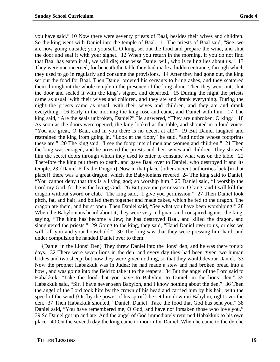you have said." 10 Now there were seventy priests of Baal, besides their wives and children. So the king went with Daniel into the temple of Baal. 11 The priests of Baal said, "See, we are now going outside; you yourself, O king, set out the food and prepare the wine, and shut the door and seal it with your signet. 12 When you return in the morning, if you do not find that Baal has eaten it all, we will die; otherwise Daniel will, who is telling lies about us." 13 They were unconcerned, for beneath the table they had made a hidden entrance, through which they used to go in regularly and consume the provisions. 14 After they had gone out, the king set out the food for Baal. Then Daniel ordered his servants to bring ashes, and they scattered them throughout the whole temple in the presence of the king alone. Then they went out, shut the door and sealed it with the king's signet, and departed. 15 During the night the priests came as usual, with their wives and children, and they ate and drank everything. During the night the priests came as usual, with their wives and children, and they ate and drank everything. 16 Early in the morning the king rose and came, and Daniel with him. 17 The king said, "Are the seals unbroken, Daniel?" He answered, "They are unbroken, O king." 18 As soon as the doors were opened, the king looked at the table, and shouted in a loud voice, "You are great, O Baal, and in you there is no deceit at all!" 19 But Daniel laughed and restrained the king from going in. "Look at the floor," he said, "and notice whose footprints these are." 20 The king said, "I see the footprints of men and women and children." 21 Then the king was enraged, and he arrested the priests and their wives and children. They showed him the secret doors through which they used to enter to consume what was on the table. 22 Therefore the king put them to death, and gave Baal over to Daniel, who destroyed it and its temple. 23 {Daniel Kills the Dragon} Now in that place {other ancient authorities lack [in that place]} there was a great dragon, which the Babylonians revered. 24 The king said to Daniel, "You cannot deny that this is a living god; so worship him." 25 Daniel said, "I worship the Lord my God, for he is the living God. 26 But give me permission, O king, and I will kill the dragon without sword or club." The king said, "I give you permission." 27 Then Daniel took pitch, fat, and hair, and boiled them together and made cakes, which he fed to the dragon. The dragon ate them, and burst open. Then Daniel said, "See what you have been worshiping!" 28 When the Babylonians heard about it, they were very indignant and conspired against the king, saying, "The king has become a Jew; he has destroyed Baal, and killed the dragon, and slaughtered the priests." 29 Going to the king, they said, "Hand Daniel over to us, or else we will kill you and your household." 30 The king saw that they were pressing him hard, and under compulsion he handed Daniel over to them.

{Daniel in the Lions' Den} They threw Daniel into the lions' den, and he was there for six days. 32 There were seven lions in the den, and every day they had been given two human bodies and two sheep; but now they were given nothing, so that they would devour Daniel. 33 Now the prophet Habakkuk was in Judea; he had made a stew and had broken bread into a bowl, and was going into the field to take it to the reapers. 34 But the angel of the Lord said to Habakkuk, "Take the food that you have to Babylon, to Daniel, in the lions' den." 35 Habakkuk said, "Sir, I have never seen Babylon, and I know nothing about the den." 36 Then the angel of the Lord took him by the crown of his head and carried him by his hair; with the speed of the wind {Or [by the power of his spirit]} he set him down in Babylon, right over the den. 37 Then Habakkuk shouted, "Daniel, Daniel! Take the food that God has sent you." 38 Daniel said, "You have remembered me, O God, and have not forsaken those who love you." 39 So Daniel got up and ate. And the angel of God immediately returned Habakkuk to his own place. 40 On the seventh day the king came to mourn for Daniel. When he came to the den he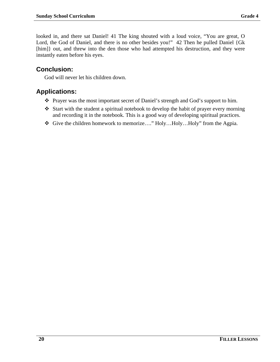looked in, and there sat Daniel! 41 The king shouted with a loud voice, "You are great, O Lord, the God of Daniel, and there is no other besides you!" 42 Then he pulled Daniel {Gk [him]} out, and threw into the den those who had attempted his destruction, and they were instantly eaten before his eyes.

#### **Conclusion:**

God will never let his children down.

- \* Prayer was the most important secret of Daniel's strength and God's support to him.
- Start with the student a spiritual notebook to develop the habit of prayer every morning and recording it in the notebook. This is a good way of developing spiritual practices.
- Give the children homework to memorize…." Holy…Holy…Holy" from the Agpia.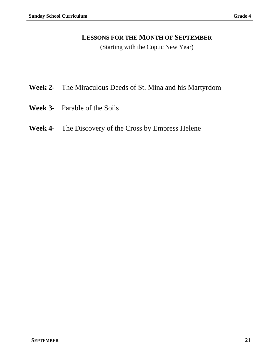# <span id="page-32-0"></span>**LESSONS FOR THE MONTH OF SEPTEMBER**

(Starting with the Coptic New Year)

- **Week 2-** The Miraculous Deeds of St. Mina and his Martyrdom
- **Week 3-** Parable of the Soils
- **Week 4-** The Discovery of the Cross by Empress Helene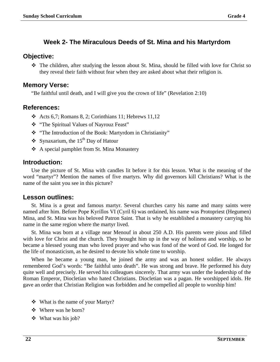# <span id="page-33-0"></span>**Week 2- The Miraculous Deeds of St. Mina and his Martyrdom**

#### **Objective:**

 $\hat{\mathbf{v}}$  The children, after studying the lesson about St. Mina, should be filled with love for Christ so they reveal their faith without fear when they are asked about what their religion is.

# **Memory Verse:**

"Be faithful until death, and I will give you the crown of life" (Revelation 2:10)

# **References:**

- $\triangleleft$  Acts 6,7; Romans 8, 2; Corinthians 11; Hebrews 11,12
- \* "The Spiritual Values of Nayrouz Feast"
- \* "The Introduction of the Book: Martyrdom in Christianity"
- Synaxarium, the 15<sup>th</sup> Day of Hatour
- ❖ A special pamphlet from St. Mina Monastery

# **Introduction:**

Use the picture of St. Mina with candles lit before it for this lesson. What is the meaning of the word "martyr"? Mention the names of five martyrs. Why did governors kill Christians? What is the name of the saint you see in this picture?

#### **Lesson outlines:**

St. Mina is a great and famous martyr. Several churches carry his name and many saints were named after him. Before Pope Kyrillos VI (Cyril 6) was ordained, his name was Protopriest (Hegumen) Mina, and St. Mina was his beloved Patron Saint. That is why he established a monastery carrying his name in the same region where the martyr lived.

St. Mina was born at a village near Menouf in about 250 A.D. His parents were pious and filled with love for Christ and the church. They brought him up in the way of holiness and worship, so he became a blessed young man who loved prayer and who was fond of the word of God. He longed for the life of monasticism, as he desired to devote his whole time to worship.

When he became a young man, he joined the army and was an honest soldier. He always remembered God's words: "Be faithful unto death". He was strong and brave. He performed his duty quite well and precisely. He served his colleagues sincerely. That army was under the leadership of the Roman Emperor, Diocletian who hated Christians. Diocletian was a pagan. He worshipped idols. He gave an order that Christian Religion was forbidden and he compelled all people to worship him!

- What is the name of your Martyr?
- ❖ Where was he born?
- $\bullet$  What was his job?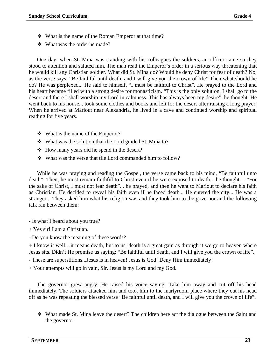- What is the name of the Roman Emperor at that time?
- What was the order he made?

One day, when St. Mina was standing with his colleagues the soldiers, an officer came so they stood to attention and saluted him. The man read the Emperor's order in a serious way threatening that he would kill any Christian soldier. What did St. Mina do? Would he deny Christ for fear of death? No, as the verse says: "Be faithful until death, and I will give you the crown of life" Then what should he do? He was perplexed... He said to himself, "I must be faithful to Christ". He prayed to the Lord and his heart became filled with a strong desire for monasticism. "This is the only solution. I shall go to the desert and there I shall worship my Lord in calmness. This has always been my desire", he thought. He went back to his house... took some clothes and books and left for the desert after raising a long prayer. When he arrived at Mariout near Alexandria, he lived in a cave and continued worship and spiritual reading for five years.

- $\triangleleft$  What is the name of the Emperor?
- What was the solution that the Lord guided St. Mina to?
- $\triangleleft$  How many years did he spend in the desert?
- What was the verse that tile Lord commanded him to follow?

While he was praying and reading the Gospel, the verse came back to his mind, "Be faithful unto death". Then, he must remain faithful to Christ even if he were exposed to death... he thought… "For the sake of Christ, I must not fear death"... he prayed, and then he went to Mariout to declare his faith as Christian. He decided to reveal his faith even if he faced death... He entered the city... He was a stranger... They asked him what his religion was and they took him to the governor and the following talk ran between them:

- Is what I heard about you true?

- + Yes sir! I am a Christian.
- Do you know the meaning of these words?

+ I know it well…it means death, but to us, death is a great gain as through it we go to heaven where Jesus sits. Didn't He promise us saying: "Be faithful until death, and I will give you the crown of life".

- These are superstitions...Jesus is in heaven! Jesus is God! Deny Him immediately!

+ Your attempts will go in vain, Sir. Jesus is my Lord and my God.

The governor grew angry. He raised his voice saying: Take him away and cut off his head immediately. The soldiers attacked him and took him to the martyrdom place where they cut his head off as he was repeating the blessed verse "Be faithful until death, and I will give you the crown of life".

 What made St. Mina leave the desert? The children here act the dialogue between the Saint and the governor.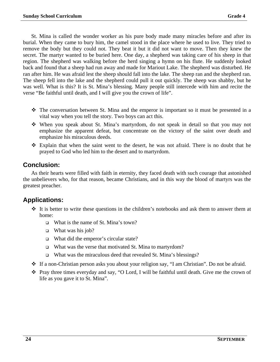St. Mina is called the wonder worker as his pure body made many miracles before and after its burial. When they came to bury him, the camel stood in the place where he used to live. They tried to remove the body but they could not. They beat it but it did not want to move. Then they knew the secret. The martyr wanted to be buried here. One day, a shepherd was taking care of his sheep in that region. The shepherd was walking before the herd singing a hymn on his flute. He suddenly looked back and found that a sheep had run away and made for Mariout Lake. The shepherd was disturbed. He ran after him. He was afraid lest the sheep should fall into the lake. The sheep ran and the shepherd ran. The sheep fell into the lake and the shepherd could pull it out quickly. The sheep was shabby, but he was well. What is this? It is St. Mina's blessing. Many people still intercede with him and recite the verse "Be faithful until death, and I will give you the crown of life".

- $\hat{\mathbf{v}}$  The conversation between St. Mina and the emperor is important so it must be presented in a vital way when you tell the story. Two boys can act this.
- When you speak about St. Mina's martyrdom, do not speak in detail so that you may not emphasize the apparent defeat, but concentrate on the victory of the saint over death and emphasize his miraculous deeds.
- $\hat{\mathbf{v}}$  Explain that when the saint went to the desert, he was not afraid. There is no doubt that he prayed to God who led him to the desert and to martyrdom.

#### **Conclusion:**

As their hearts were filled with faith in eternity, they faced death with such courage that astonished the unbelievers who, for that reason, became Christians, and in this way the blood of martyrs was the greatest preacher.

- It is better to write these questions in the children's notebooks and ask them to answer them at home:
	- $\Box$  What is the name of St. Mina's town?
	- $\Box$  What was his job?
	- What did the emperor's circular state?
	- □ What was the verse that motivated St. Mina to martyrdom?
	- □ What was the miraculous deed that revealed St. Mina's blessings?
- If a non-Christian person asks you about your religion say, "I am Christian". Do not be afraid.
- Pray three times everyday and say, "O Lord, I will be faithful until death. Give me the crown of life as you gave it to St. Mina".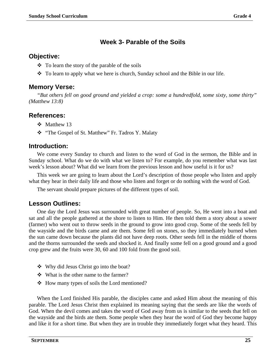## **Week 3- Parable of the Soils**

#### **Objective:**

- $\bullet$  To learn the story of the parable of the soils
- $\div$  To learn to apply what we here is church, Sunday school and the Bible in our life.

### **Memory Verse:**

*"But others fell on good ground and yielded a crop: some a hundredfold, some sixty, some thirty" (Matthew 13:8)*

# **References:**

- Matthew 13
- \* "The Gospel of St. Matthew" Fr. Tadros Y. Malaty

### **Introduction:**

We come every Sunday to church and listen to the word of God in the sermon, the Bible and in Sunday school. What do we do with what we listen to? For example, do you remember what was last week's lesson about? What did we learn from the previous lesson and how useful is it for us?

This week we are going to learn about the Lord's description of those people who listen and apply what they hear in their daily life and those who listen and forget or do nothing with the word of God.

The servant should prepare pictures of the different types of soil.

# **Lesson Outlines:**

One day the Lord Jesus was surrounded with great number of people. So, He went into a boat and sat and all the people gathered at the shore to listen to Him. He then told them a story about a sower (farmer) who went out to throw seeds in the ground to grow into good crop. Some of the seeds fell by the wayside and the birds came and ate them. Some fell on stones, so they immediately burned when the sun came down because the plants did not have deep roots. Other seeds fell in the middle of thorns and the thorns surrounded the seeds and shocked it. And finally some fell on a good ground and a good crop grew and the fruits were 30, 60 and 100 fold from the good soil.

- **❖** Why did Jesus Christ go into the boat?
- What is the other name to the farmer?
- $\cdot \cdot$  How many types of soils the Lord mentioned?

When the Lord finished His parable, the disciples came and asked Him about the meaning of this parable. The Lord Jesus Christ then explained its meaning saying that the seeds are like the words of God. When the devil comes and takes the word of God away from us is similar to the seeds that fell on the wayside and the birds ate them. Some people when they hear the word of God they become happy and like it for a short time. But when they are in trouble they immediately forget what they heard. This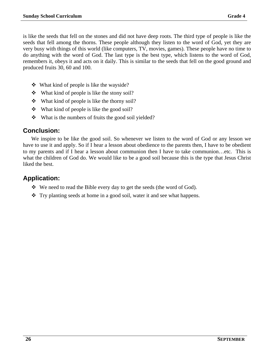is like the seeds that fell on the stones and did not have deep roots. The third type of people is like the seeds that fell among the thorns. These people although they listen to the word of God, yet they are very busy with things of this world (like computers, TV, movies, games). These people have no time to do anything with the word of God. The last type is the best type, which listens to the word of God, remembers it, obeys it and acts on it daily. This is similar to the seeds that fell on the good ground and produced fruits 30, 60 and 100.

- What kind of people is like the wayside?
- What kind of people is like the stony soil?
- What kind of people is like the thorny soil?
- What kind of people is like the good soil?
- ❖ What is the numbers of fruits the good soil yielded?

#### **Conclusion:**

We inspire to be like the good soil. So whenever we listen to the word of God or any lesson we have to use it and apply. So if I hear a lesson about obedience to the parents then, I have to be obedient to my parents and if I hear a lesson about communion then I have to take communion…etc. This is what the children of God do. We would like to be a good soil because this is the type that Jesus Christ liked the best.

- We need to read the Bible every day to get the seeds (the word of God).
- Try planting seeds at home in a good soil, water it and see what happens.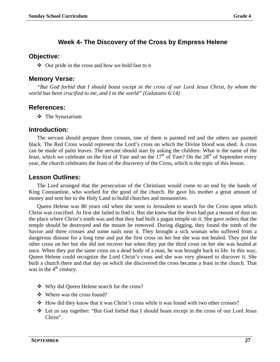## **Week 4- The Discovery of the Cross by Empress Helene**

### **Objective:**

 $\triangle$  Our pride in the cross and how we hold fast to it

#### **Memory Verse:**

*"But God forbid that I should boast except in the cross of our Lord Jesus Christ, by whom the world has been crucified to me, and I to the world" (Galatians 6:14)*

## **References:**

The Synaxarium

#### **Introduction:**

The servant should prepare three crosses, one of them is painted red and the others are painted black. The Red Cross would represent the Lord's cross on which the Divine blood was shed. A cross can be made of palm leaves. The servant should start by asking the children: What is the name of the feast, which we celebrate on the first of Tute and on the  $17<sup>th</sup>$  of Tute? On the  $28<sup>th</sup>$  of September every year, the church celebrates the feast of the discovery of the Cross, which is the topic of this lesson.

# **Lesson Outlines:**

The Lord arranged that the persecution of the Christians would come to an end by the hands of King Constantine, who worked for the good of the church. He gave his mother a great amount of money and sent her to the Holy Land to build churches and monasteries.

Queen Helene was 80 years old when she went to Jerusalem to search for the Cross upon which Christ was crucified. At first she failed to find it. But she knew that the Jews had put a mount of dust on the place where Christ's tomb was and that they had built a pagan temple on it. She gave orders that the temple should be destroyed and the mount be removed. During digging, they found the tomb of the Savior and three crosses and some nails near it. They brought a sick woman who suffered from a dangerous disease for a long time and put the first cross on her but she was not healed. They put the other cross on her but she did not recover but when they put the third cross on her she was healed at once. When they put the same cross on a dead body of a man, he was brought back to life. In this way, Queen Helene could recognize the Lord Christ's cross and she was very pleased to discover it. She built a church there and that day on which she discovered the cross became a feast in the church. That was in the  $4<sup>th</sup>$  century.

- ❖ Why did Queen Helene search for the cross?
- Where was the cross found?
- $\clubsuit$  How did they know that it was Christ's cross while it was found with two other crosses?
- Let us say together: "But God forbid that I should boast except in the cross of our Lord Jesus Christ".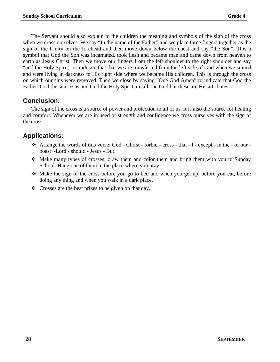The Servant should also explain to the children the meaning and symbols of the sign of the cross when we cross ourselves. We say "In the name of the Father" and we place three fingers together as the sign of the trinity on the forehead and then move down below the chest and say "the Son". This a symbol that God the Son was incarnated, took flesh and became man and came down from heaven to earth as Jesus Christ. Then we move our fingers from the left shoulder to the right shoulder and say "and the Holy Spirit," to indicate that that we are transferred from the left side of God when we sinned and were living in darkness to His right side where we became His children. This is through the cross on which our sins were removed. Then we close by saying "One God Amen" to indicate that God the Father, God the son Jesus and God the Holy Spirit are all one God but these are His attributes.

## **Conclusion:**

The sign of the cross is a source of power and protection to all of us. It is also the source for healing and comfort. Whenever we are in need of strength and confidence we cross ourselves with the sign of the cross.

- $\clubsuit$  Arrange the words of this verse: God Christ forbid cross that I except in the of our boast -Lord - should - Jesus - But.
- $\clubsuit$  Make many types of crosses: draw them and color them and bring them with you to Sunday School. Hang one of them in the place where you pray.
- Make the sign of the cross before you go to bed and when you get up, before you eat, before doing any thing and when you walk in a dark place.
- $\triangleleft$  Crosses are the best prizes to be given on that day.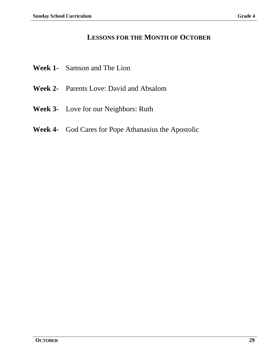# **LESSONS FOR THE MONTH OF OCTOBER**

- **Week 1-** Samson and The Lion
- **Week 2-** Parents Love: David and Absalom
- **Week 3-** Love for our Neighbors: Ruth
- **Week 4-** God Cares for Pope Athanasius the Apostolic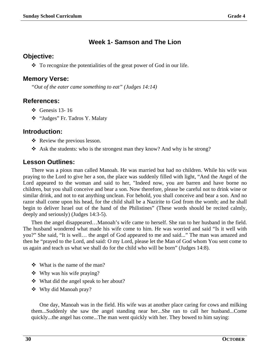# **Week 1- Samson and The Lion**

#### **Objective:**

• To recognize the potentialities of the great power of God in our life.

### **Memory Verse:**

*"Out of the eater came something to eat" (Judges 14:14)*

## **References:**

- $\div$  Genesis 13-16
- "Judges" Fr. Tadros Y. Malaty

### **Introduction:**

- \* Review the previous lesson.
- Ask the students: who is the strongest man they know? And why is he strong?

## **Lesson Outlines:**

There was a pious man called Manoah. He was married but had no children. While his wife was praying to the Lord to give her a son, the place was suddenly filled with light, "And the Angel of the Lord appeared to the woman and said to her, "Indeed now, you are barren and have borne no children, but you shall conceive and bear a son. Now therefore, please be careful not to drink wine or similar drink, and not to eat anything unclean. For behold, you shall conceive and bear a son. And no razor shall come upon his head, for the child shall be a Nazirite to God from the womb; and he shall begin to deliver Israel out of the hand of the Philistines" (These words should be recited calmly, deeply and seriously) (Judges 14:3-5).

Then the angel disappeared…Manoah's wife came to herself. She ran to her husband in the field. The husband wondered what made his wife come to him. He was worried and said "Is it well with you?" She said, "It is well… the angel of God appeared to me and said..." The man was amazed and then he "prayed to the Lord, and said: O my Lord, please let the Man of God whom You sent come to us again and teach us what we shall do for the child who will be born" (Judges 14:8).

- What is the name of the man?
- $\bullet$  Why was his wife praying?
- What did the angel speak to her about?
- Why did Manoah pray?

One day, Manoah was in the field. His wife was at another place caring for cows and milking them...Suddenly she saw the angel standing near her...She ran to call her husband...Come quickly...the angel has come...The man went quickly with her. They bowed to him saying: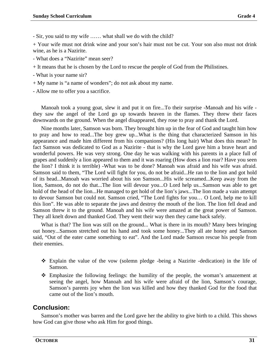- Sir, you said to my wife …… what shall we do with the child?

+ Your wife must not drink wine and your son's hair must not be cut. Your son also must not drink wine, as he is a Nazirite.

- What does a "Nazirite" mean seer?
- + It means that he is chosen by the Lord to rescue the people of God from the Philistines.
- What is your name sir?
- + My name is "a name of wonders"; do not ask about my name.
- Allow me to offer you a sacrifice.

Manoah took a young goat, slew it and put it on fire...To their surprise -Manoah and his wife they saw the angel of the Lord go up towards heaven in the flames. They threw their faces downwards on the ground. When the angel disappeared, they rose to pray and thank the Lord.

Nine months later, Samson was born. They brought him up in the fear of God and taught him how to pray and how to read...The boy grew up...What is the thing that characterized Samson in his appearance and made him different from his companions? (His long hair) What does this mean? In fact Samson was dedicated to God as a Nazirite - that is why the Lord gave him a brave heart and wonderful powers. He was very strong. One day he was walking with his parents in a place full of grapes and suddenly a lion appeared to them and it was roaring (How does a lion roar? Have you seen the lion? I think it is terrible) -What was to be done? Manoah was afraid and his wife was afraid. Samson said to them, "The Lord will fight for you, do not be afraid...He ran to the lion and got hold of its head...Manoah was worried about his son Samson...His wife screamed...Keep away from the lion, Samson, do not do that...The lion will devour you...O Lord help us...Samson was able to get hold of the head of the lion...He managed to get hold of the lion's jaws...The lion made a vain attempt to devour Samson but could not. Samson cried, "The Lord fights for you… O Lord, help me to kill this lion". He was able to separate the jaws and destroy the mouth of the lion. The lion fell dead and Samson threw it to the ground. Manoah and his wife were amazed at the great power of Samson. They all knelt down and thanked God. They went their way then they came back safely.

What is that? The lion was still on the ground... What is there in its mouth? Many bees bringing out honey...Samson stretched out his hand and took some honey...They all ate honey and Samson said, "Out of the eater came something to eat". And the Lord made Samson rescue his people from their enemies.

- Explain the value of the vow (solemn pledge -being a Nazirite -dedication) in the life of Samson.
- Emphasize the following feelings: the humility of the people, the woman's amazement at seeing the angel, how Manoah and his wife were afraid of the lion, Samson's courage, Samson's parents joy when the lion was killed and how they thanked God for the food that came out of the lion's mouth.

#### **Conclusion:**

Samson's mother was barren and the Lord gave her the ability to give birth to a child. This shows how God can give those who ask Him for good things.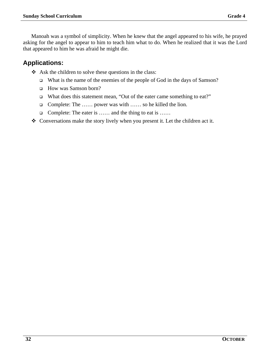Manoah was a symbol of simplicity. When he knew that the angel appeared to his wife, he prayed asking for the angel to appear to him to teach him what to do. When he realized that it was the Lord that appeared to him he was afraid he might die.

- $\triangleleft$  Ask the children to solve these questions in the class:
	- What is the name of the enemies of the people of God in the days of Samson?
	- How was Samson born?
	- □ What does this statement mean, "Out of the eater came something to eat?"
	- Complete: The …… power was with …… so he killed the lion.
	- Complete: The eater is …… and the thing to eat is ……
- \* Conversations make the story lively when you present it. Let the children act it.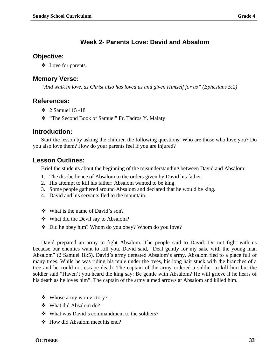# **Week 2- Parents Love: David and Absalom**

### **Objective:**

Love for parents.

### **Memory Verse:**

*"And walk in love, as Christ also has loved us and given Himself for us" (Ephesians 5:2)*

### **References:**

- $\div$  2 Samuel 15 -18
- \* "The Second Book of Samuel" Fr. Tadros Y. Malaty

### **Introduction:**

Start the lesson by asking the children the following questions: Who are those who love you? Do you also love them? How do your parents feel if you are injured?

## **Lesson Outlines:**

Brief the students about the beginning of the misunderstanding between David and Absalom:

- 1. The disobedience of Absalom to the orders given by David his father.
- 2. His attempt to kill his father: Absalom wanted to be king.
- 3. Some people gathered around Absalom and declared that he would be king.
- 4. David and his servants fled to the mountain.
- What is the name of David's son?
- What did the Devil say to Absalom?
- Did he obey him? Whom do you obey? Whom do you love?

David prepared an army to fight Absalom...The people said to David: Do not fight with us because our enemies want to kill you. David said, "Deal gently for my sake with the young man Absalom" (2 Samuel 18:5). David's army defeated Absalom's army. Absalom fled to a place full of many trees. While he was riding his mule under the trees, his long hair stuck with the branches of a tree and he could not escape death. The captain of the army ordered a soldier to kill him but the soldier said "Haven't you heard the king say: Be gentle with Absalom? He will grieve if he hears of his death as he loves him". The captain of the army aimed arrows at Absalom and killed him.

- Whose army won victory?
- What did Absalom do?
- What was David's commandment to the soldiers?
- How did Absalom meet his end?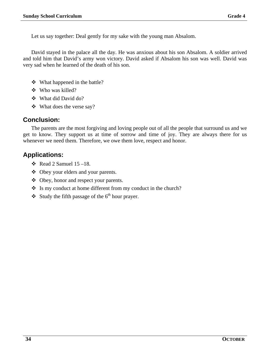Let us say together: Deal gently for my sake with the young man Absalom.

David stayed in the palace all the day. He was anxious about his son Absalom. A soldier arrived and told him that David's army won victory. David asked if Absalom his son was well. David was very sad when he learned of the death of his son.

- **❖** What happened in the battle?
- Who was killed?
- What did David do?
- What does the verse say?

### **Conclusion:**

The parents are the most forgiving and loving people out of all the people that surround us and we get to know. They support us at time of sorrow and time of joy. They are always there for us whenever we need them. Therefore, we owe them love, respect and honor.

- $\div$  Read 2 Samuel 15 –18.
- Obey your elders and your parents.
- Obey, honor and respect your parents.
- $\cdot \cdot$  Is my conduct at home different from my conduct in the church?
- Study the fifth passage of the  $6<sup>th</sup>$  hour prayer.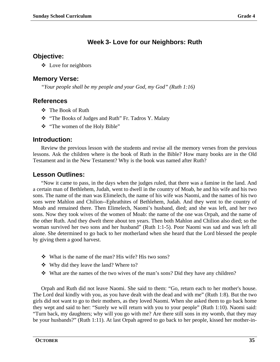# **Week 3- Love for our Neighbors: Ruth**

## **Objective:**

Love for neighbors

### **Memory Verse:**

*"Your people shall be my people and your God, my God" (Ruth 1:16)*

## **References**

- The Book of Ruth
- \* "The Books of Judges and Ruth" Fr. Tadros Y. Malaty
- "The women of the Holy Bible"

#### **Introduction:**

Review the previous lesson with the students and revise all the memory verses from the previous lessons. Ask the children where is the book of Ruth in the Bible? How many books are in the Old Testament and in the New Testament? Why is the book was named after Ruth?

## **Lesson Outlines:**

"Now it came to pass, in the days when the judges ruled, that there was a famine in the land. And a certain man of Bethlehem, Judah, went to dwell in the country of Moab, he and his wife and his two sons. The name of the man was Elimelech, the name of his wife was Naomi, and the names of his two sons were Mahlon and Chilion--Ephrathites of Bethlehem, Judah. And they went to the country of Moab and remained there. Then Elimelech, Naomi's husband, died; and she was left, and her two sons. Now they took wives of the women of Moab: the name of the one was Orpah, and the name of the other Ruth. And they dwelt there about ten years. Then both Mahlon and Chilion also died; so the woman survived her two sons and her husband" (Ruth 1:1-5). Poor Naomi was sad and was left all alone. She determined to go back to her motherland when she heard that the Lord blessed the people by giving them a good harvest.

- What is the name of the man? His wife? His two sons?
- Why did they leave the land? Where to?
- $\div$  What are the names of the two wives of the man's sons? Did they have any children?

Orpah and Ruth did not leave Naomi. She said to them: "Go, return each to her mother's house. The Lord deal kindly with you, as you have dealt with the dead and with me" (Ruth 1:8). But the two girls did not want to go to their mothers, as they loved Naomi. When she asked them to go back home they wept and said to her: "Surely we will return with you to your people" (Ruth 1:10). Naomi said: "Turn back, my daughters; why will you go with me? Are there still sons in my womb, that they may be your husbands?" (Ruth 1:11). At last Orpah agreed to go back to her people, kissed her mother-in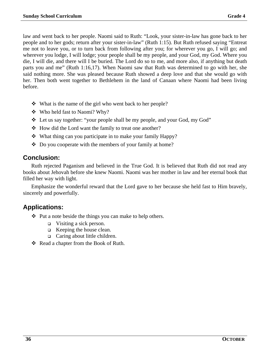law and went back to her people. Naomi said to Ruth: "Look, your sister-in-law has gone back to her people and to her gods; return after your sister-in-law" (Ruth 1:15). But Ruth refused saying "Entreat me not to leave you, or to turn back from following after you; for wherever you go, I will go; and wherever you lodge, I will lodge; your people shall be my people, and your God, my God. Where you die, I will die, and there will I be buried. The Lord do so to me, and more also, if anything but death parts you and me" (Ruth 1:16,17). When Naomi saw that Ruth was determined to go with her, she said nothing more. She was pleased because Ruth showed a deep love and that she would go with her. Then both went together to Bethlehem in the land of Canaan where Naomi had been living before.

- What is the name of the girl who went back to her people?
- Who held fast to Naomi? Why?
- Let us say together: "your people shall be my people, and your God, my God"
- ❖ How did the Lord want the family to treat one another?
- What thing can you participate in to make your family Happy?
- ◆ Do you cooperate with the members of your family at home?

## **Conclusion:**

Ruth rejected Paganism and believed in the True God. It is believed that Ruth did not read any books about Jehovah before she knew Naomi. Naomi was her mother in law and her eternal book that filled her way with light.

Emphasize the wonderful reward that the Lord gave to her because she held fast to Him bravely, sincerely and powerfully.

- $\triangle$  Put a note beside the things you can make to help others.
	- $\Box$  Visiting a sick person.
	- **Example 1** Keeping the house clean.
	- □ Caring about little children.
- ❖ Read a chapter from the Book of Ruth.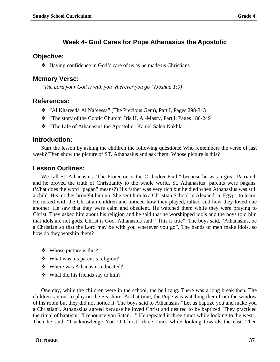# **Week 4- God Cares for Pope Athanasius the Apostolic**

### **Objective:**

Having confidence in God's care of us as he made us Christians.

### **Memory Verse:**

*"The Lord your God is with you wherever you go" (Joshua 1:9)*

## **References:**

- \* "Al Khareeda Al Nafeessa" (The Precious Gem), Part I, Pages 298-313
- \* "The story of the Coptic Church" Iris H. Al-Masry, Part I, Pages 186-249
- \* "The Life of Athanasius the Apostolic" Kamel Saleh Nakhla

## **Introduction:**

Start the lesson by asking the children the following questions: Who remembers the verse of last week? Then show the picture of ST. Athanasius and ask them: Whose picture is this?

## **Lesson Outlines:**

We call St. Athanasius "The Protector or the Orthodox Faith" because he was a great Patriarch and he proved the truth of Christianity to the whole world. St. Athanasius' parents were pagans. (What does the word "pagan" means?) His father was very rich but he died when Athanasius was still a child. His mother brought him up. She sent him to a Christian School in Alexandria, Egypt, to learn. He mixed with the Christian children and noticed how they played, talked and how they loved one another. He saw that they were calm and obedient. He watched them while they were praying to Christ. They asked him about his religion and he said that he worshipped idols and the boys told him that idols are not gods. Christ is God. Athanasius said: "This is true". The boys said, "Athanasius, be a Christian so that the Lord may be with you wherever you go". The hands of men make idols, so how do they worship them?

- $\bullet$  Whose picture is this?
- What was his parent's religion?
- Where was Athanasius educated?
- What did his friends say to him?

One day, while the children were in the school, the bell rang. There was a long break then. The children ran out to play on the Seashore. At that time, the Pope was watching them from the window of his room but they did not notice it. The boys said to Athanasius "Let us baptize you and make you a Christian". Athanasius agreed because he loved Christ and desired to be baptized. They practiced the ritual of baptism: "I renounce you Satan…" He repeated it three times while looking to the west... Then he said, "I acknowledge You O Christ" three times while looking towards the east. Then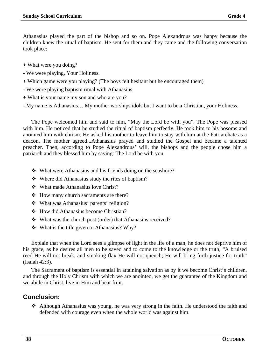Athanasius played the part of the bishop and so on. Pope Alexandrous was happy because the children knew the ritual of baptism. He sent for them and they came and the following conversation took place:

- + What were you doing?
- We were playing, Your Holiness.
- + Which game were you playing? (The boys felt hesitant but he encouraged them)
- We were playing baptism ritual with Athanasius.
- + What is your name my son and who are you?
- My name is Athanasius… My mother worships idols but I want to be a Christian, your Holiness.

The Pope welcomed him and said to him, "May the Lord be with you". The Pope was pleased with him. He noticed that he studied the ritual of baptism perfectly. He took him to his bosoms and anointed him with chrism. He asked his mother to leave him to stay with him at the Patriarchate as a deacon. The mother agreed...Athanasius prayed and studied the Gospel and became a talented preacher. Then, according to Pope Alexandrous' will, the bishops and the people chose him a patriarch and they blessed him by saying: The Lord be with you.

- ❖ What were Athanasius and his friends doing on the seashore?
- ❖ Where did Athanasius study the rites of baptism?
- ❖ What made Athanasius love Christ?
- $\triangleleft$  How many church sacraments are there?
- What was Athanasius' parents' religion?
- How did Athanasius become Christian?
- What was the church post (order) that Athanasius received?
- $\triangleleft$  What is the title given to Athanasius? Why?

Explain that when the Lord sees a glimpse of light in the life of a man, he does not deprive him of his grace, as he desires all men to be saved and to come to the knowledge or the truth, "A bruised reed He will not break, and smoking flax He will not quench; He will bring forth justice for truth" (Isaiah 42:3).

The Sacrament of baptism is essential in attaining salvation as by it we become Christ's children, and through the Holy Chrism with which we are anointed, we get the guarantee of the Kingdom and we abide in Christ, live in Him and bear fruit.

## **Conclusion:**

 Although Athanasius was young, he was very strong in the faith. He understood the faith and defended with courage even when the whole world was against him.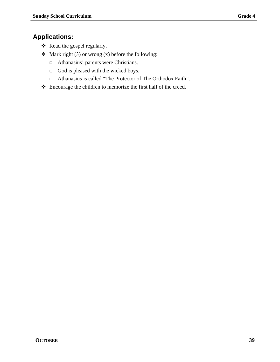- Read the gospel regularly.
- $\triangleleft$  Mark right (3) or wrong (x) before the following:
	- Athanasius' parents were Christians.
	- God is pleased with the wicked boys.
	- Athanasius is called "The Protector of The Orthodox Faith".
- Encourage the children to memorize the first half of the creed.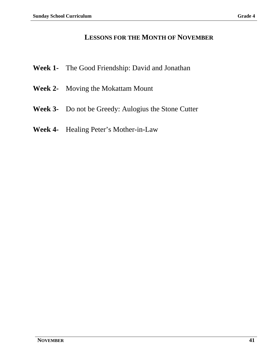# **LESSONS FOR THE MONTH OF NOVEMBER**

- **Week 1-** The Good Friendship: David and Jonathan
- **Week 2-** Moving the Mokattam Mount
- **Week 3-** Do not be Greedy: Aulogius the Stone Cutter
- **Week 4-** Healing Peter's Mother-in-Law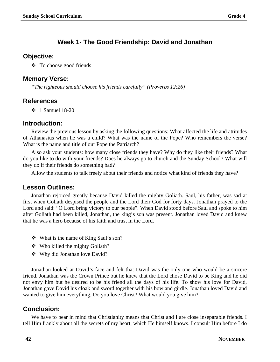## **Week 1- The Good Friendship: David and Jonathan**

#### **Objective:**

To choose good friends

#### **Memory Verse:**

*"The righteous should choose his friends carefully" (Proverbs 12:26)*

## **References**

 $\div$  1 Samuel 18-20

### **Introduction:**

Review the previous lesson by asking the following questions: What affected the life and attitudes of Athanasius when he was a child? What was the name of the Pope? Who remembers the verse? What is the name and title of our Pope the Patriarch?

Also ask your students: how many close friends they have? Why do they like their friends? What do you like to do with your friends? Does he always go to church and the Sunday School? What will they do if their friends do something bad?

Allow the students to talk freely about their friends and notice what kind of friends they have?

## **Lesson Outlines:**

Jonathan rejoiced greatly because David killed the mighty Goliath. Saul, his father, was sad at first when Goliath despised the people and the Lord their God for forty days. Jonathan prayed to the Lord and said: "O Lord bring victory to our people". When David stood before Saul and spoke to him after Goliath had been killed, Jonathan, the king's son was present. Jonathan loved David and knew that he was a hero because of his faith and trust in the Lord.

- What is the name of King Saul's son?
- ❖ Who killed the mighty Goliath?
- Why did Jonathan love David?

Jonathan looked at David's face and felt that David was the only one who would be a sincere friend. Jonathan was the Crown Prince but he knew that the Lord chose David to be King and he did not envy him but he desired to be his friend all the days of his life. To show his love for David, Jonathan gave David his cloak and sword together with his bow and girdle. Jonathan loved David and wanted to give him everything. Do you love Christ? What would you give him?

# **Conclusion:**

We have to bear in mind that Christianity means that Christ and I are close inseparable friends. I tell Him frankly about all the secrets of my heart, which He himself knows. I consult Him before I do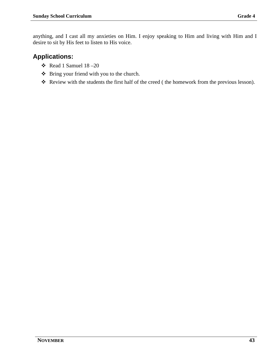anything, and I cast all my anxieties on Him. I enjoy speaking to Him and living with Him and I desire to sit by His feet to listen to His voice.

- $\div$  Read 1 Samuel 18 –20
- Bring your friend with you to the church.
- \* Review with the students the first half of the creed (the homework from the previous lesson).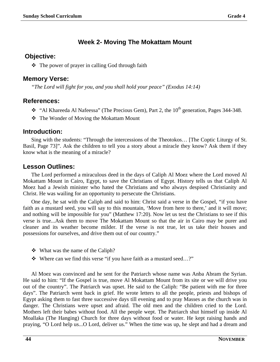# **Week 2- Moving The Mokattam Mount**

#### **Objective:**

 $\triangle$  The power of prayer in calling God through faith

### **Memory Verse:**

*"The Lord will fight for you, and you shall hold your peace" (Exodus 14:14)*

## **References:**

- $\div$  "Al Khareeda Al Nafeessa" (The Precious Gem), Part 2, the 10<sup>th</sup> generation, Pages 344-348.
- The Wonder of Moving the Mokattam Mount

### **Introduction:**

Sing with the students: "Through the intercessions of the Theotokos… [The Coptic Liturgy of St. Basil, Page 73]". Ask the children to tell you a story about a miracle they know? Ask them if they know what is the meaning of a miracle?

## **Lesson Outlines:**

The Lord performed a miraculous deed in the days of Caliph Al Moez where the Lord moved Al Mokattam Mount in Cairo, Egypt, to save the Christians of Egypt. History tells us that Caliph Al Moez had a Jewish minister who hated the Christians and who always despised Christianity and Christ. He was wailing for an opportunity to persecute the Christians.

One day, he sat with the Caliph and said to him: Christ said a verse in the Gospel, "if you have faith as a mustard seed, you will say to this mountain, 'Move from here to there,' and it will move; and nothing will be impossible for you" (Matthew 17:20). Now let us test the Christians to see if this verse is true...Ask them to move The Mokattam Mount so that the air in Cairo may be purer and cleaner and its weather become milder. If the verse is not true, let us take their houses and possessions for ourselves, and drive them out of our country."

- $\triangleleft$  What was the name of the Caliph?
- Where can we find this verse "if you have faith as a mustard seed…?"

Al Moez was convinced and he sent for the Patriarch whose name was Anba Abram the Syrian. He said to him: "If the Gospel is true, move Al Mokattam Mount from its site or we will drive you out of the country". The Patriarch was upset. He said to the Caliph: "Be patient with me for three days". The Patriarch went back in grief. He wrote letters to all the people, priests and bishops of Egypt asking them to fast three successive days till evening and to pray Masses as the church was in danger. The Christians were upset and afraid. The old men and the children cried to the Lord. Mothers left their babes without food. All the people wept. The Patriarch shut himself up inside Al Moallaka (The Hanging) Church for three days without food or water. He kept raising hands and praying, "O Lord help us...O Lord, deliver us." When the time was up, he slept and had a dream and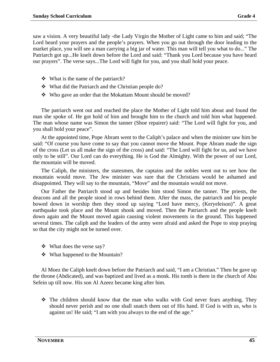saw a vision. A very beautiful lady -the Lady Virgin the Mother of Light came to him and said; "The Lord heard your prayers and the people's prayers. When you go out through the door leading to the market place, you will see a man carrying a big jar of water. This man will tell you what to do..." The Patriarch got up...He knelt down before the Lord and said: "Thank you Lord because you have heard our prayers". The verse says...The Lord will fight for you, and you shall hold your peace.

- What is the name of the patriarch?
- What did the Patriarch and the Christian people do?
- ❖ Who gave an order that the Mokattam Mount should be moved?

The patriarch went out and reached the place the Mother of Light told him about and found the man she spoke of. He got hold of him and brought him to the church and told him what happened. The man whose name was Simon the tanner (Shoe repairer) said: "The Lord will fight for you, and you shall hold your peace".

At the appointed time, Pope Abram went to the Caliph's palace and when the minister saw him he said: "Of course you have come to say that you cannot move the Mount. Pope Abram made the sign of the cross (Let us all make the sign of the cross) and said: "The Lord will fight for us, and we have only to be still". Our Lord can do everything. He is God the Almighty. With the power of our Lord, the mountain will be moved.

The Caliph, the ministers, the statesmen, the captains and the nobles went out to see how the mountain would move. The Jew minister was sure that the Christians would be ashamed and disappointed. They will say to the mountain, "Move" and the mountain would not move.

Our Father the Patriarch stood up and besides him stood Simon the tanner. The priests, the deacons and all the people stood in rows behind them. After the mass, the patriarch and his people bowed down in worship then they stood up saying "Lord have mercy, (Keryeleison)". A great earthquake took place and the Mount shook and moved. Then the Patriarch and the people knelt down again and the Mount moved again causing violent movements in the ground. This happened several times. The caliph and the leaders of the army were afraid and asked the Pope to stop praying so that the city might not be turned over.

- What does the verse say?
- What happened to the Mountain?

Al Moez the Caliph knelt down before the Patriarch and said, "I am a Christian." Then he gave up the throne (Abdicated), and was baptized and lived as a monk. His tomb is there in the church of Abu Sefein up till now. His son Al Azeez became king after him.

 The children should know that the man who walks with God never fears anything. They should never perish and no one shall snatch them out of His hand. If God is with us, who is against us! He said; "I am with you always to the end of the age."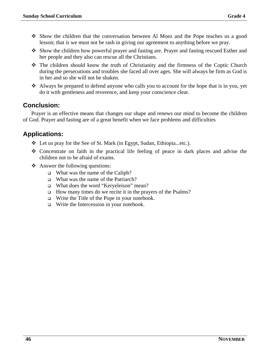- Show the children that the conversation between Al Moez and the Pope teaches us a good lesson; that is we must not be rash in giving our agreement to anything before we pray.
- Show the children how powerful prayer and fasting are. Prayer and fasting rescued Esther and her people and they also can rescue all the Christians.
- The children should know the truth of Christianity and the firmness of the Coptic Church during the persecutions and troubles she faced all over ages. She will always be firm as God is in her and so she will not be shaken.
- Always be prepared to defend anyone who calls you to account for the hope that is in you, yet do it with gentleness and reverence, and keep your conscience clear.

## **Conclusion:**

Prayer is an effective means that changes our shape and renews our mind to become the children of God. Prayer and fasting are of a great benefit when we face problems and difficulties

- Let us pray for the See of St. Mark (in Egypt, Sudan, Ethiopia...etc.).
- Concentrate on faith in the practical life feeling of peace in dark places and advise the children not to be afraid of exams.
- $\triangleleft$  Answer the following questions:
	- $\Box$  What was the name of the Caliph?
	- What was the name of the Patriarch?
	- What does the word "Keryeleison" mean?
	- $\Box$  How many times do we recite it in the prayers of the Psalms?
	- $\Box$  Write the Title of the Pope in your notebook.
	- □ Write the Intercession in your notebook.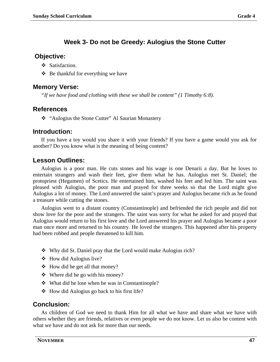## **Week 3- Do not be Greedy: Aulogius the Stone Cutter**

### **Objective:**

- Satisfaction.
- $\triangle$  Be thankful for everything we have

### **Memory Verse:**

*"If we have food and clothing with these we shall be content" (1 Timothy 6:8).* 

## **References**

\* "Aulogius the Stone Cutter" Al Saurian Monastery

### **Introduction:**

If you have a toy would you share it with your friends? If you have a game would you ask for another? Do you know what is the meaning of being content?

# **Lesson Outlines:**

Aulogius is a poor man. He cuts stones and his wage is one Denarii a day. But he loves to entertain strangers and wash their feet, give them what he has. Aulogius met St. Daniel; the protopriest (Hegumen) of Scetics. He entertained him, washed his feet and fed him. The saint was pleased with Aulogius, the poor man and prayed for three weeks so that the Lord might give Aulogius a lot of money. The Lord answered the saint's prayer and Aulogius became rich as he found a treasure while cutting the stones.

Aulogius went to a distant country (Constantinople) and befriended the rich people and did not show love for the poor and the strangers. The saint was sorry for what he asked for and prayed that Aulogius would return to his first love and the Lord answered his prayer and Aulogius became a poor man once more and returned to his country. He loved the strangers. This happened after his property had been robbed and people threatened to kill him.

- Why did St. Daniel pray that the Lord would make Aulogius rich?
- How did Aulogius live?
- How did he get all that money?
- $\triangleleft$  Where did he go with his money?
- What did he lose when he was in Constantinople?
- How did Aulogius go back to his first life?

#### **Conclusion:**

As children of God we need to thank Him for all what we have and share what we have with others whether they are friends, relatives or even people we do not know. Let us also be content with what we have and do not ask for more than our needs.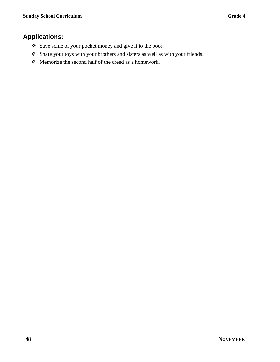- Save some of your pocket money and give it to the poor.
- Share your toys with your brothers and sisters as well as with your friends.
- Memorize the second half of the creed as a homework.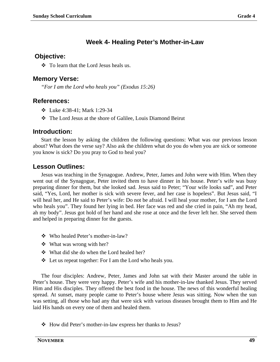# **Week 4- Healing Peter's Mother-in-Law**

### **Objective:**

To learn that the Lord Jesus heals us.

### **Memory Verse:**

*"For I am the Lord who heals you" (Exodus 15:26)*

## **References:**

- Luke 4:38-41; Mark 1:29-34
- The Lord Jesus at the shore of Galilee, Louis Diamond Beirut

### **Introduction:**

Start the lesson by asking the children the following questions: What was our previous lesson about? What does the verse say? Also ask the children what do you do when you are sick or someone you know is sick? Do you pray to God to heal you?

## **Lesson Outlines:**

Jesus was teaching in the Synagogue. Andrew, Peter, James and John were with Him. When they went out of the Synagogue, Peter invited them to have dinner in his house. Peter's wife was busy preparing dinner for them, but she looked sad. Jesus said to Peter; "Your wife looks sad", and Peter said, "Yes, Lord, her mother is sick with severe fever, and her case is hopeless". But Jesus said, "I will heal her, and He said to Peter's wife: Do not be afraid. I will heal your mother, for I am the Lord who heals you". They found her lying in bed. Her face was red and she cried in pain, "Ah my head, ah my body". Jesus got hold of her hand and she rose at once and the fever left her. She served them and helped in preparing dinner for the guests.

- Who healed Peter's mother-in-law?
- What was wrong with her?
- What did she do when the Lord healed her?
- Let us repeat together: For I am the Lord who heals you.

The four disciples: Andrew, Peter, James and John sat with their Master around the table in Peter's house. They were very happy. Peter's wife and his mother-in-law thanked Jesus. They served Him and His disciples. They offered the best food in the house. The news of this wonderful healing spread. At sunset, many people came to Peter's house where Jesus was sitting. Now when the sun was setting, all those who had any that were sick with various diseases brought them to Him and He laid His hands on every one of them and healed them.

◆ How did Peter's mother-in-law express her thanks to Jesus?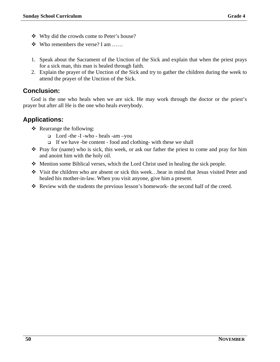- Why did the crowds come to Peter's house?
- $\div$  Who remembers the verse? I am ......
- 1. Speak about the Sacrament of the Unction of the Sick and explain that when the priest prays for a sick man, this man is healed through faith.
- 2. Explain the prayer of the Unction of the Sick and try to gather the children during the week to attend the prayer of the Unction of the Sick.

## **Conclusion:**

God is the one who heals when we are sick. He may work through the doctor or the priest's prayer but after all He is the one who heals everybody.

- $\triangleleft$  Rearrange the following:
	- Lord -the -I -who heals -am –you
	- If we have -be content food and clothing- with these we shall
- Pray for (name) who is sick, this week, or ask our father the priest to come and pray for him and anoint him with the holy oil.
- Mention some Biblical verses, which the Lord Christ used in healing the sick people.
- Visit the children who are absent or sick this week…bear in mind that Jesus visited Peter and healed his mother-in-law. When you visit anyone, give him a present.
- Review with the students the previous lesson's homework- the second half of the creed.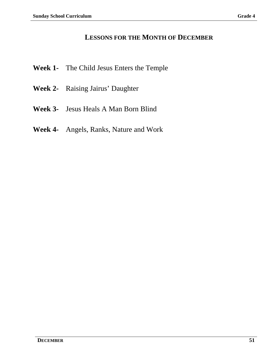# **LESSONS FOR THE MONTH OF DECEMBER**

- **Week 1-** The Child Jesus Enters the Temple
- **Week 2-** Raising Jairus' Daughter
- **Week 3-** Jesus Heals A Man Born Blind
- **Week 4-** Angels, Ranks, Nature and Work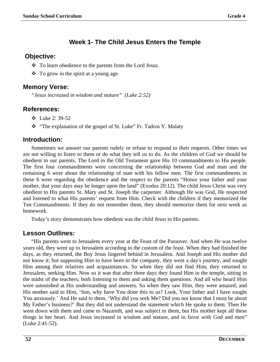# **Week 1- The Child Jesus Enters the Temple**

#### **Objective:**

- To learn obedience to the parents from the Lord Jesus.
- $\triangleleft$  To grow in the spirit at a young age.

#### **Memory Verse:**

*"Jesus increased in wisdom and stature" (Luke 2:52)*

## **References:**

- Luke 2: 39-52
- \* "The explanation of the gospel of St. Luke" Fr. Tadros Y. Malaty

## **Introduction:**

Sometimes we answer our parents rudely or refuse to respond to their requests. Other times we are not willing to listen to them or do what they tell us to do. As the children of God we should be obedient to our parents. The Lord in the Old Testament gave His 10 commandments to His people. The first four commandments were concerning the relationship between God and man and the remaining 6 were about the relationship of man with his fellow men. The first commandments in these 6 were regarding the obedience and the respect to the parents "Honor your father and your mother, that your days may be longer upon the land" (Exodus 20:12). The child Jesus Christ was very obedient to His parents St. Mary and St. Joseph the carpenter. Although He was God, He respected and listened to what His parents' request from Him. Check with the children if they memorized the Ten Commandments. If they do not remember them, they should memorize them for next week as homework.

Today's story demonstrates how obedient was the child Jesus to His parents.

# **Lesson Outlines:**

"His parents went to Jerusalem every year at the Feast of the Passover. And when He was twelve years old, they went up to Jerusalem according to the custom of the feast. When they had finished the days, as they returned, the Boy Jesus lingered behind in Jerusalem. And Joseph and His mother did not know it; but supposing Him to have been in the company, they went a day's journey, and sought Him among their relatives and acquaintances. So when they did not find Him, they returned to Jerusalem, seeking Him. Now so it was that after three days they found Him in the temple, sitting in the midst of the teachers, both listening to them and asking them questions. And all who heard Him were astonished at His understanding and answers. So when they saw Him, they were amazed; and His mother said to Him, 'Son, why have You done this to us? Look, Your father and I have sought You anxiously.' And He said to them, 'Why did you seek Me? Did you not know that I must be about My Father's business?' But they did not understand the statement which He spoke to them. Then He went down with them and came to Nazareth, and was subject to them, but His mother kept all these things in her heart. And Jesus increased in wisdom and stature, and in favor with God and men" (Luke 2:41-52).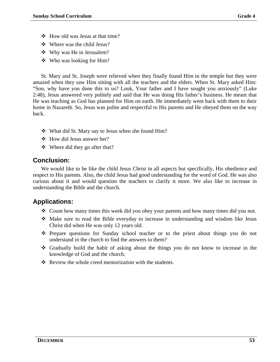- How old was Jesus at that time?
- Where was the child Jesus?
- Why was He in Jerusalem?
- Who was looking for Him?

St. Mary and St. Joseph were relieved when they finally found Him in the temple but they were amazed when they saw Him sitting with all the teachers and the elders. When St. Mary asked Him: "Son, why have you done this to us? Look, Your father and I have sought you anxiously" (Luke 2:48), Jesus answered very politely and said that He was doing His father's business. He meant that He was teaching as God has planned for Him on earth. He immediately went back with them to their home in Nazareth. So, Jesus was polite and respectful to His parents and He obeyed them on the way back.

- What did St. Mary say to Jesus when she found Him?
- How did Jesus answer her?
- Where did they go after that?

## **Conclusion:**

We would like to be like the child Jesus Christ in all aspects but specifically, His obedience and respect to His parents. Also, the child Jesus had good understanding for the word of God. He was also curious about it and would question the teachers to clarify it more. We also like to increase in understanding the Bible and the church.

- \* Count how many times this week did you obey your parents and how many times did you not.
- Make sure to read the Bible everyday to increase in understanding and wisdom like Jesus Christ did when He was only 12 years old.
- Prepare questions for Sunday school teacher or to the priest about things you do not understand in the church to find the answers to them?
- Gradually build the habit of asking about the things you do not know to increase in the knowledge of God and the church.
- $\triangle$  Review the whole creed memorization with the students.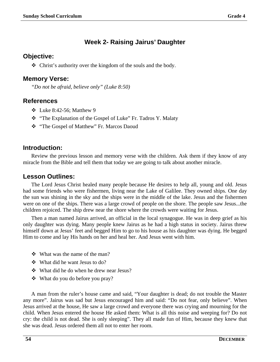# **Week 2- Raising Jairus' Daughter**

### **Objective:**

• Christ's authority over the kingdom of the souls and the body.

### **Memory Verse:**

*"Do not be afraid, believe only" (Luke 8:50)*

## **References**

- Luke 8:42-56; Matthew 9
- \* "The Explanation of the Gospel of Luke" Fr. Tadros Y. Malaty
- \* "The Gospel of Matthew" Fr. Marcos Daoud

## **Introduction:**

Review the previous lesson and memory verse with the children. Ask them if they know of any miracle from the Bible and tell them that today we are going to talk about another miracle.

## **Lesson Outlines:**

The Lord Jesus Christ healed many people because He desires to help all, young and old. Jesus had some friends who were fishermen, living near the Lake of Galilee. They owned ships. One day the sun was shining in the sky and the ships were in the middle of the lake. Jesus and the fishermen were on one of the ships. There was a large crowd of people on the shore. The people saw Jesus...the children rejoiced. The ship drew near the shore where the crowds were waiting for Jesus.

Then a man named Jairus arrived, an official in the local synagogue. He was in deep grief as his only daughter was dying. Many people knew Jairus as he had a high status in society. Jairus threw himself down at Jesus' feet and begged Him to go to his house as his daughter was dying. He begged Him to come and lay His hands on her and heal her. And Jesus went with him.

- What was the name of the man?
- What did he want Jesus to do?
- What did he do when he drew near Jesus?
- What do you do before you pray?

A man from the ruler's house came and said, "Your daughter is dead; do not trouble the Master any more". Jairus was sad but Jesus encouraged him and said: "Do not fear, only believe". When Jesus arrived at the house, He saw a large crowd and everyone there was crying and mourning for the child. When Jesus entered the house He asked them: What is all this noise and weeping for? Do not cry: the child is not dead. She is only sleeping". They all made fun of Him, because they knew that she was dead. Jesus ordered them all not to enter her room.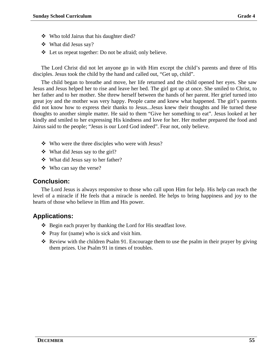- Who told Jairus that his daughter died?
- What did Jesus say?
- Let us repeat together: Do not be afraid; only believe.

The Lord Christ did not let anyone go in with Him except the child's parents and three of His disciples. Jesus took the child by the hand and called out, "Get up, child".

The child began to breathe and move, her life returned and the child opened her eyes. She saw Jesus and Jesus helped her to rise and leave her bed. The girl got up at once. She smiled to Christ, to her father and to her mother. She threw herself between the hands of her parent. Her grief turned into great joy and the mother was very happy. People came and knew what happened. The girl's parents did not know how to express their thanks to Jesus...Jesus knew their thoughts and He turned these thoughts to another simple matter. He said to them "Give her something to eat". Jesus looked at her kindly and smiled to her expressing His kindness and love for her. Her mother prepared the food and Jairus said to the people; "Jesus is our Lord God indeed". Fear not, only believe.

- ❖ Who were the three disciples who were with Jesus?
- What did Jesus say to the girl?
- What did Jesus say to her father?
- Who can say the verse?

#### **Conclusion:**

The Lord Jesus is always responsive to those who call upon Him for help. His help can reach the level of a miracle if He feels that a miracle is needed. He helps to bring happiness and joy to the hearts of those who believe in Him and His power.

- $\bullet$  Begin each prayer by thanking the Lord for His steadfast love.
- $\triangleleft$  Pray for (name) who is sick and visit him.
- Review with the children Psalm 91. Encourage them to use the psalm in their prayer by giving them prizes. Use Psalm 91 in times of troubles.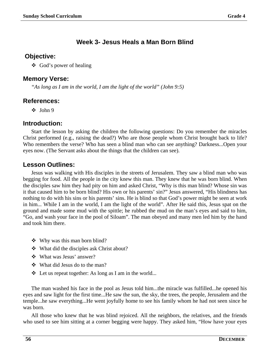# **Week 3- Jesus Heals a Man Born Blind**

#### **Objective:**

❖ God's power of healing

#### **Memory Verse:**

*"As long as I am in the world, I am the light of the world" (John 9:5)*

## **References:**

John 9

### **Introduction:**

Start the lesson by asking the children the following questions: Do you remember the miracles Christ performed (e.g., raising the dead?) Who are those people whom Christ brought back to life? Who remembers the verse? Who has seen a blind man who can see anything? Darkness...Open your eyes now. (The Servant asks about the things that the children can see).

### **Lesson Outlines:**

Jesus was walking with His disciples in the streets of Jerusalem. They saw a blind man who was begging for food. All the people in the city knew this man. They knew that he was born blind. When the disciples saw him they had pity on him and asked Christ, "Why is this man blind? Whose sin was it that caused him to be born blind? His own or his parents' sin?" Jesus answered, "His blindness has nothing to do with his sins or his parents' sins. He is blind so that God's power might be seen at work in him... While I am in the world, I am the light of the world". After He said this, Jesus spat on the ground and made some mud with the spittle; he rubbed the mud on the man's eyes and said to him, "Go, and wash your face in the pool of Siloam". The man obeyed and many men led him by the hand and took him there.

- $\bullet\bullet\text{ Why was this man born blind?}$
- What did the disciples ask Christ about?
- What was Jesus' answer?
- What did Jesus do to the man?
- Let us repeat together: As long as I am in the world...

The man washed his face in the pool as Jesus told him...the miracle was fulfilled...he opened his eyes and saw light for the first time...He saw the sun, the sky, the trees, the people, Jerusalem and the temple...he saw everything...He went joyfully home to see his family whom he had not seen since he was born.

All those who knew that he was blind rejoiced. All the neighbors, the relatives, and the friends who used to see him sitting at a corner begging were happy. They asked him, "How have your eyes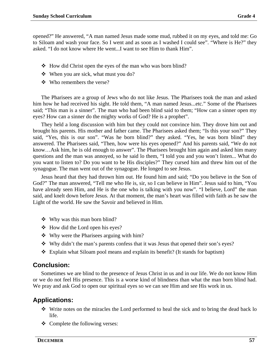opened?" He answered, "A man named Jesus made some mud, rubbed it on my eyes, and told me: Go to Siloam and wash your face. So I went and as soon as I washed I could see". "Where is He?" they asked. "I do not know where He went...I want to see Him to thank Him".

- ◆ How did Christ open the eyes of the man who was born blind?
- $\triangleleft$  When you are sick, what must you do?
- Who remembers the verse?

The Pharisees are a group of Jews who do not like Jesus. The Pharisees took the man and asked him how he had received his sight. He told them, "A man named Jesus...etc." Some of the Pharisees said; "This man is a sinner". The man who had been blind said to them; "How can a sinner open my eyes? How can a sinner do the mighty works of God? He is a prophet".

They held a long discussion with him but they could not convince him. They drove him out and brought his parents. His mother and father came. The Pharisees asked them; "Is this your son?" They said, "Yes, this is our son". "Was he born blind?" they asked. "Yes, he was born blind" they answered. The Pharisees said, "Then, how were his eyes opened?" And his parents said, "We do not know…Ask him, he is old enough to answer". The Pharisees brought him again and asked him many questions and the man was annoyed, so he said lo them, "I told you and you won't listen... What do you want to listen to? Do you want to be His disciples?" They cursed him and threw him out of the synagogue. The man went out of the synagogue. He longed to see Jesus.

Jesus heard that they had thrown him out. He found him and said; "Do you believe in the Son of God?" The man answered, "Tell me who He is, sir, so I can believe in Him". Jesus said to him, "You have already seen Him, and He is the one who is talking with you now". "I believe, Lord" the man said, and knelt down before Jesus. At that moment, the man's heart was filled with faith as he saw the Light of the world. He saw the Savoir and believed in Him.

- Why was this man born blind?
- How did the Lord open his eyes?
- Why were the Pharisees arguing with him?
- Why didn't the man's parents confess that it was Jesus that opened their son's eyes?
- Explain what Siloam pool means and explain its benefit? (It stands for baptism)

#### **Conclusion:**

Sometimes we are blind to the presence of Jesus Christ in us and in our life. We do not know Him or we do not feel His presence. This is a worse kind of blindness than what the man born blind had. We pray and ask God to open our spiritual eyes so we can see Him and see His work in us.

- Write notes on the miracles the Lord performed to heal the sick and to bring the dead back lo life.
- ❖ Complete the following verses: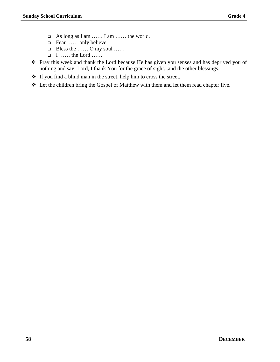- As long as I am …… I am …… the world.
- Fear …… only believe.
- Bless the …… O my soul ……
- I …… the Lord ……
- \* Pray this week and thank the Lord because He has given you senses and has deprived you of nothing and say: Lord, I thank You for the grace of sight...and the other blessings.
- If you find a blind man in the street, help him to cross the street.
- Let the children bring the Gospel of Matthew with them and let them read chapter five.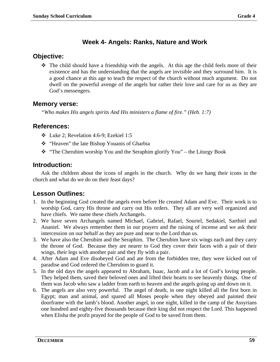# **Week 4- Angels: Ranks, Nature and Work**

## **Objective:**

 $\hat{\mathbf{v}}$  The child should have a friendship with the angels. At this age the child feels more of their existence and has the understanding that the angels are invisible and they surround him. It is a good chance at this age to teach the respect of the church without much argument. Do not dwell on the powerful avenge of the angels but rather their love and care for us as they are God's messengers.

### **Memory verse:**

*"Who makes His angels spirits And His ministers a flame of fire." (Heb. 1:7)*

### **References:**

- $\div$  Luke 2; Revelation 4:6-9; Ezekiel 1:5
- \* "Heaven" the late Bishop Youanis of Gharbia
- $\hat{\mathbf{v}}$  "The Cherubim worship You and the Seraphim glorify You" the Liturgy Book

## **Introduction:**

Ask the children about the icons of angels in the church. Why do we hang their icons in the church and what do we do on their feast days?

# **Lesson Outlines:**

- 1. In the beginning God created the angels even before He created Adam and Eve. Their work is to worship God, carry His throne and carry out His orders. They all are very well organized and have chiefs. We name these chiefs Archangels.
- 2. We have seven Archangels named Michael, Gabriel, Rafael, Souriel, Sedakiel, Sarthiel and Ananiel. We always remember them in our prayers and the raising of incense and we ask their intercession on our behalf as they are pure and near to the Lord than us.
- 3. We have also the Cherubim and the Seraphim. The Cherubim have six wings each and they carry the throne of God. Because they are nearer to God they cover their faces with a pair of their wings, their legs with another pair and they fly with a pair.
- 4. After Adam and Eve disobeyed God and ate from the forbidden tree, they were kicked out of paradise and God ordered the Cherubim to guard it.
- 5. In the old days the angels appeared to Abraham, Isaac, Jacob and a lot of God's loving people. They helped them, saved their beloved ones and lifted their hearts to see heavenly things. One of them was Jacob who saw a ladder from earth to heaven and the angels going up and down on it.
- 6. The angels are also very powerful. The angel of death, in one night killed all the first born in Egypt; man and animal, and spared all Moses people when they obeyed and painted their doorframe with the lamb's blood. Another angel, in one night, killed in the camp of the Assyrians one hundred and eighty-five thousands because their king did not respect the Lord. This happened when Elisha the profit prayed for the people of God to be saved from them.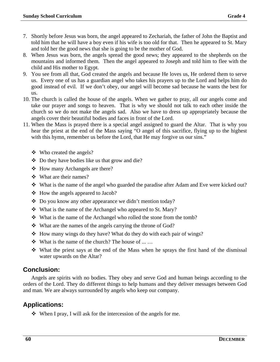- 7. Shortly before Jesus was born, the angel appeared to Zechariah, the father of John the Baptist and told him that he will have a boy even if his wife is too old for that. Then he appeared to St. Mary and told her the good news that she is going to be the mother of God.
- 8. When Jesus was born, the angels spread the good news; they appeared to the shepherds on the mountains and informed them. Then the angel appeared to Joseph and told him to flee with the child and His mother to Egypt.
- 9. You see from all that, God created the angels and because He loves us, He ordered them to serve us. Every one of us has a guardian angel who takes his prayers up to the Lord and helps him do good instead of evil. If we don't obey, our angel will become sad because he wants the best for us.
- 10. The church is called the house of the angels. When we gather to pray, all our angels come and take our prayer and songs to heaven. That is why we should not talk to each other inside the church so we do not make the angels sad. Also we have to dress up appropriately because the angels cover their beautiful bodies and faces in front of the Lord.
- 11. When the Mass is prayed there is a special angel assigned to guard the Altar. That is why you hear the priest at the end of the Mass saying "O angel of this sacrifice, flying up to the highest with this hymn, remember us before the Lord, that He may forgive us our sins."
	- ❖ Who created the angels?
	- Do they have bodies like us that grow and die?
	- How many Archangels are there?
	- What are their names?
	- What is the name of the angel who guarded the paradise after Adam and Eve were kicked out?
	- ❖ How the angels appeared to Jacob?
	- Do you know any other appearance we didn't mention today?
	- What is the name of the Archangel who appeared to St. Mary?
	- What is the name of the Archangel who rolled the stone from the tomb?
	- What are the names of the angels carrying the throne of God?
	- How many wings do they have? What do they do with each pair of wings?
	- $\mathbf{\hat{P}}$  What is the name of the church? The house of ... ...
	- What the priest says at the end of the Mass when he sprays the first hand of the dismissal water upwards on the Altar?

## **Conclusion:**

Angels are spirits with no bodies. They obey and serve God and human beings according to the orders of the Lord. They do different things to help humans and they deliver messages between God and man. We are always surrounded by angels who keep our company.

# **Applications:**

When I pray, I will ask for the intercession of the angels for me.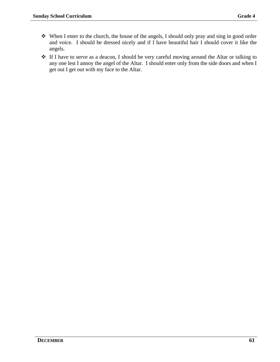- When I enter to the church, the house of the angels, I should only pray and sing in good order and voice. I should be dressed nicely and if I have beautiful hair I should cover it like the angels.
- If I have to serve as a deacon, I should be very careful moving around the Altar or talking to any one lest I annoy the angel of the Altar. I should enter only from the side doors and when I get out I get out with my face to the Altar.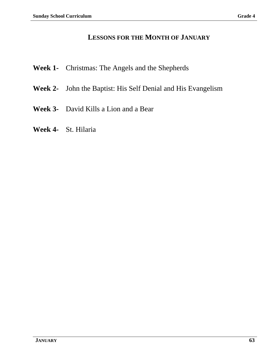# **LESSONS FOR THE MONTH OF JANUARY**

- **Week 1-** Christmas: The Angels and the Shepherds
- **Week 2-** John the Baptist: His Self Denial and His Evangelism
- **Week 3-** David Kills a Lion and a Bear
- **Week 4-** St. Hilaria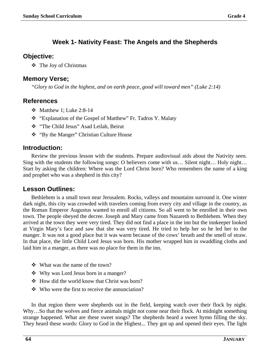# **Week 1- Nativity Feast: The Angels and the Shepherds**

### **Objective:**

The Joy of Christmas

# **Memory Verse;**

*"Glory to God in the highest, and on earth peace, good will toward men" (Luke 2:14)*

# **References**

- $\div$  Matthew 1; Luke 2:8-14
- \* "Explanation of the Gospel of Matthew" Fr. Tadros Y. Malaty
- "The Child Jesus" Asad Leilah, Beirut
- \* "By the Manger" Christian Culture House

# **Introduction:**

Review the previous lesson with the students. Prepare audiovisual aids about the Nativity seen. Sing with the students the following songs: O believers come with us… Silent night… Holy night… Start by asking the children: Where was the Lord Christ born? Who remembers the name of a king and prophet who was a shepherd in this city?

# **Lesson Outlines:**

Bethlehem is a small town near Jerusalem. Rocks, valleys and mountains surround it. One winter dark night, this city was crowded with travelers coming from every city and village in the country, as the Roman Emperor Augustus wanted to enroll all citizens. So all went to be enrolled in their own town. The people obeyed the decree. Joseph and Mary came from Nazareth to Bethlehem. When they arrived at the town they were very tired. They did not find a place in the inn but the innkeeper looked at Virgin Mary's face and saw that she was very tired. He tried to help her so he led her to the manger. It was not a good place but it was warm because of the cows' breath and the smell of straw. In that place, the little Child Lord Jesus was born. His mother wrapped him in swaddling cloths and laid him in a manger, as there was no place for them in the inn.

- What was the name of the town?
- ❖ Why was Lord Jesus born in a manger?
- How did the world know that Christ was born?
- ❖ Who were the first to receive the annunciation?

In that region there were shepherds out in the field, keeping watch over their flock by night. Why…So that the wolves and fierce animals might not come near their flock. At midnight something strange happened. What are these sweet songs? The shepherds heard a sweet hymn filling the sky. They heard these words: Glory to God in the Highest... They got up and opened their eyes. The light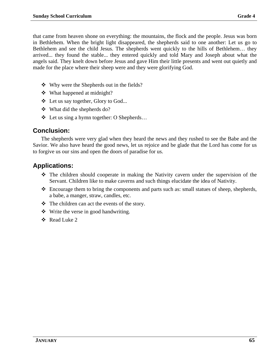that came from heaven shone on everything: the mountains, the flock and the people. Jesus was born in Bethlehem. When the bright light disappeared, the shepherds said to one another: Let us go to Bethlehem and see the child Jesus. The shepherds went quickly to the hills of Bethlehem… they arrived... they found the stable... they entered quickly and told Mary and Joseph about what the angels said. They knelt down before Jesus and gave Him their little presents and went out quietly and made for the place where their sheep were and they were glorifying God.

- **❖** Why were the Shepherds out in the fields?
- What happened at midnight?
- Let us say together, Glory to God...
- What did the shepherds do?
- Let us sing a hymn together: O Shepherds…

### **Conclusion:**

The shepherds were very glad when they heard the news and they rushed to see the Babe and the Savior. We also have heard the good news, let us rejoice and be glade that the Lord has come for us to forgive us our sins and open the doors of paradise for us.

- $\hat{\mathbf{v}}$  The children should cooperate in making the Nativity cavern under the supervision of the Servant. Children like to make caverns and such things elucidate the idea of Nativity.
- $\div$  Encourage them to bring the components and parts such as: small statues of sheep, shepherds, a babe, a manger, straw, candles, etc.
- The children can act the events of the story.
- **❖** Write the verse in good handwriting.
- Read Luke 2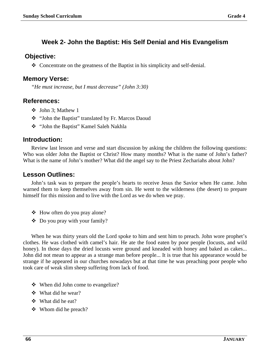# **Week 2- John the Baptist: His Self Denial and His Evangelism**

#### **Objective:**

Concentrate on the greatness of the Baptist in his simplicity and self-denial.

### **Memory Verse:**

*"He must increase, but I must decrease" (John 3:30)*

### **References:**

- John 3; Mathew 1
- \* "John the Baptist" translated by Fr. Marcos Daoud
- "John the Baptist" Kamel Saleh Nakhla

### **Introduction:**

Review last lesson and verse and start discussion by asking the children the following questions: Who was older John the Baptist or Christ? How many months? What is the name of John's father? What is the name of John's mother? What did the angel say to the Priest Zechariahs about John?

## **Lesson Outlines:**

John's task was to prepare the people's hearts to receive Jesus the Savior when He came. John warned them to keep themselves away from sin. He went to the wilderness (the desert) to prepare himself for this mission and to live with the Lord as we do when we pray.

- $\div$  How often do you pray alone?
- $\triangleleft$  Do you pray with your family?

When he was thirty years old the Lord spoke to him and sent him to preach. John wore prophet's clothes. He was clothed with camel's hair. He ate the food eaten by poor people (locusts, and wild honey). In those days the dried locusts were ground and kneaded with honey and baked as cakes... John did not mean to appear as a strange man before people... It is true that his appearance would be strange if he appeared in our churches nowadays but at that time he was preaching poor people who took care of weak slim sheep suffering from lack of food.

- ❖ When did John come to evangelize?
- ❖ What did he wear?
- What did he eat?
- Whom did he preach?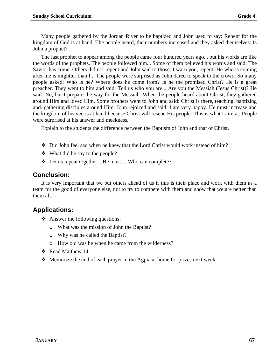Many people gathered by the Jordan River to be baptized and John used to say: Repent for the kingdom of God is at hand. The people heard, their numbers increased and they asked themselves: Is John a prophet?

The last prophet to appear among the people came four hundred years ago... but his words are like the words of the prophets. The people followed him... Some of them believed his words and said: The Savior has come. Others did not repent and John said to those: I warn you, repent; He who is coming after me is mightier than I... The people were surprised as John dared to speak to the crowd. So many people asked: Who is he? Where does he come from? Is he the promised Christ? He is a great preacher. They went to him and said: Tell us who you are... Are you the Messiah (Jesus Christ)? He said: No, but I prepare the way for the Messiah. When the people heard about Christ, they gathered around Him and loved Him. Some brothers went to John and said: Christ is there, teaching, baptizing and. gathering disciples around Him. John rejoiced and said: I am very happy. He must increase and the kingdom of heaven is at hand because Christ will rescue His people. This is what I aim at. People were surprised at his answer and meekness.

Explain to the students the difference between the Baptism of John and that of Christ.

- $\div$  Did John feel sad when he knew that the Lord Christ would work instead of him?
- What did he say to the people?
- Let us repeat together... He must… Who can complete?

#### **Conclusion:**

It is very important that we put others ahead of us if this is their place and work with them as a team for the good of everyone else, not to try to compete with them and show that we are better than them all.

- ❖ Answer the following questions:
	- What was the mission of John the Baptist?
	- $\Box$  Why was he called the Baptist?
	- How old was he when he came from the wilderness?
- ❖ Read Matthew 14.
- $\div$  Memorize the end of each prayer in the Agpia at home for prizes next week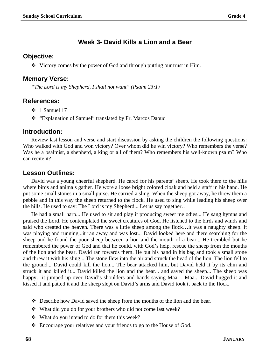# **Week 3- David Kills a Lion and a Bear**

#### **Objective:**

Victory comes by the power of God and through putting our trust in Him.

### **Memory Verse:**

*"The Lord is my Shepherd, I shall not want" (Psalm 23:1)*

## **References:**

- $\div$  1 Samuel 17
- "Explanation of Samuel" translated by Fr. Marcos Daoud

### **Introduction:**

Review last lesson and verse and start discussion by asking the children the following questions: Who walked with God and won victory? Over whom did he win victory? Who remembers the verse? Was he a psalmist, a shepherd, a king or all of them? Who remembers his well-known psalm? Who can recite it?

# **Lesson Outlines:**

David was a young cheerful shepherd. He cared for his parents' sheep. He took them to the hills where birds and animals gather. He wore a loose bright colored cloak and held a staff in his hand. He put some small stones in a small purse. He carried a sling. When the sheep got away, he threw them a pebble and in this way the sheep returned to the flock. He used to sing while leading his sheep over the hills. He used to say: The Lord is my Shepherd... Let us say together…

He had a small harp... He used to sit and play it producing sweet melodies... He sang hymns and praised the Lord. He contemplated the sweet creatures of God. He listened to the birds and winds and said who created the heaven. There was a little sheep among the flock…it was a naughty sheep. It was playing and running...it ran away and was lost... David looked here and there searching for the sheep and he found the poor sheep between a lion and the mouth of a bear... He trembled but he remembered the power of God and that he could, with God's help, rescue the sheep from the mouths of the lion and the bear. David ran towards them. He put his hand in his bag and took a small stone and threw it with his sling... The stone flew into the air and struck the head of the lion. The lion fell to the ground... David could kill the lion... The bear attacked him, but David held it by its chin and struck it and killed it... David killed the lion and the bear... and saved the sheep... The sheep was happy…it jumped up over David's shoulders and hands saying Maa... Maa... David hugged it and kissed it and patted it and the sheep slept on David's arms and David took it back to the flock.

- Describe how David saved the sheep from the mouths of the lion and the bear.
- What did you do for your brothers who did not come last week?
- $\div$  What do you intend to do for them this week?
- Encourage your relatives and your friends to go to the House of God.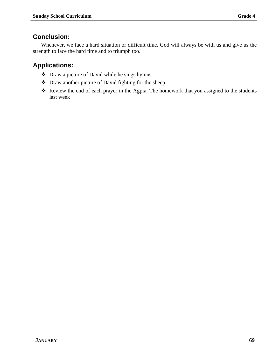# **Conclusion:**

Whenever, we face a hard situation or difficult time, God will always be with us and give us the strength to face the hard time and to triumph too.

- Draw a picture of David while he sings hymns.
- Draw another picture of David fighting for the sheep.
- Review the end of each prayer in the Agpia. The homework that you assigned to the students last week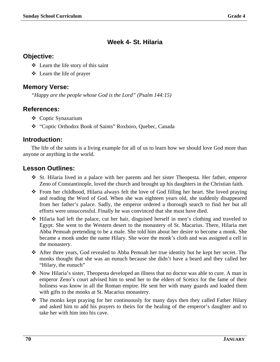# **Week 4- St. Hilaria**

### **Objective:**

- $\triangleleft$  Learn the life story of this saint
- Learn the life of prayer

### **Memory Verse:**

*"Happy are the people whose God is the Lord" (Psalm 144:15)*

# **References:**

- Coptic Synaxarium
- "Coptic Orthodox Book of Saints" Roxboro, Quebec, Canada

# **Introduction:**

The life of the saints is a living example for all of us to learn how we should love God more than anyone or anything in the world.

# **Lesson Outlines:**

- St. Hilaria lived in a palace with her parents and her sister Theopesta. Her father, emperor Zeno of Constantinople, loved the church and brought up his daughters in the Christian faith.
- From her childhood, Hilaria always felt the love of God filling her heart. She loved praying and reading the Word of God. When she was eighteen years old, she suddenly disappeared from her father's palace. Sadly, the emperor ordered a thorough search to find her but all efforts were unsuccessful. Finally he was convinced that she must have died.
- Hilaria had left the palace, cut her hair, disguised herself in men's clothing and traveled to Egypt. She went to the Western desert to the monastery of St. Macarius. There, Hilaria met Abba Pemoah pretending to be a male. She told him about her desire to become a monk. She became a monk under the name Hilary. She wore the monk's cloth and was assigned a cell in the monastery.
- After three years, God revealed to Abba Pemoah her true identity but he kept her secret. The monks thought that she was an eunuch because she didn't have a beard and they called her "Hilary, the eunuch"
- $\bullet$  Now Hilaria's sister, Theopesta developed an illness that no doctor was able to cure. A man in emperor Zeno's court advised him to send her to the elders of Scetics for the fame of their holiness was know in all the Roman empire. He sent her with many guards and loaded them with gifts to the monks at St. Macarius monastery.
- \* The monks kept praying for her continuously for many days then they called Father Hilary and asked him to add his prayers to theirs for the healing of the emperor's daughter and to take her with him into his cave.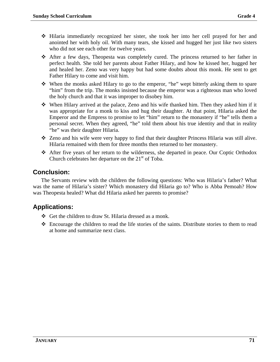- After a few days, Theopesta was completely cured. The princess returned to her father in perfect health. She told her parents about Father Hilary, and how he kissed her, hugged her and healed her. Zeno was very happy but had some doubts about this monk. He sent to get Father Hilary to come and visit him.
- When the monks asked Hilary to go to the emperor, "he" wept bitterly asking them to spare "him" from the trip. The monks insisted because the emperor was a righteous man who loved the holy church and that it was improper to disobey him.
- When Hilary arrived at the palace, Zeno and his wife thanked him. Then they asked him if it was appropriate for a monk to kiss and hug their daughter. At that point, Hilaria asked the Emperor and the Empress to promise to let "him" return to the monastery if "he" tells them a personal secret. When they agreed, "he" told them about his true identity and that in reality "he" was their daughter Hilaria.
- Zeno and his wife were very happy to find that their daughter Princess Hilaria was still alive. Hilaria remained with them for three months then returned to her monastery.
- After five years of her return to the wilderness, she departed in peace. Our Coptic Orthodox Church celebrates her departure on the  $21<sup>st</sup>$  of Toba.

# **Conclusion:**

The Servants review with the children the following questions: Who was Hilaria's father? What was the name of Hilaria's sister? Which monastery did Hilaria go to? Who is Abba Pemoah? How was Theopesta healed? What did Hilaria asked her parents to promise?

- Get the children to draw St. Hilaria dressed as a monk.
- Encourage the children to read the life stories of the saints. Distribute stories to them to read at home and summarize next class.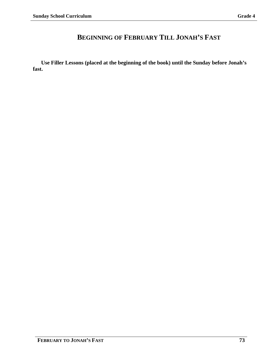# **BEGINNING OF FEBRUARY TILL JONAH'S FAST**

**Use Filler Lessons (placed at the beginning of the book) until the Sunday before Jonah's fast.**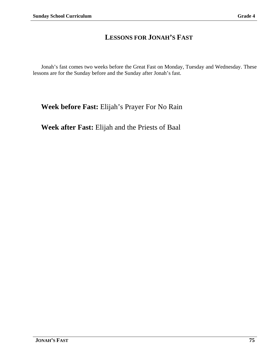# **LESSONS FOR JONAH'S FAST**

Jonah's fast comes two weeks before the Great Fast on Monday, Tuesday and Wednesday. These lessons are for the Sunday before and the Sunday after Jonah's fast.

# **Week before Fast:** Elijah's Prayer For No Rain

**Week after Fast:** Elijah and the Priests of Baal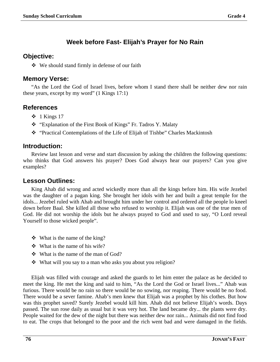# **Week before Fast- Elijah's Prayer for No Rain**

### **Objective:**

We should stand firmly in defense of our faith

### **Memory Verse:**

"As the Lord the God of Israel lives, before whom I stand there shall be neither dew nor rain these years, except by my word" (1 Kings 17:1)

# **References**

- $\div$  1 Kings 17
- "Explanation of the First Book of Kings" Fr. Tadros Y. Malaty
- "Practical Contemplations of the Life of Elijah of Tishbe" Charles Mackintosh

### **Introduction:**

Review last lesson and verse and start discussion by asking the children the following questions: who thinks that God answers his prayer? Does God always hear our prayers? Can you give examples?

## **Lesson Outlines:**

King Ahab did wrong and acted wickedly more than all the kings before him. His wife Jezebel was the daughter of a pagan king. She brought her idols with her and built a great temple for the idols... Jezebel ruled with Ahab and brought him under her control and ordered all the people lo kneel down before Baal. She killed all those who refused to worship it. Elijah was one of the true men of God. He did not worship the idols but he always prayed to God and used to say, "O Lord reveal Yourself to those wicked people".

- $\bullet\bullet$  What is the name of the king?
- $\div$  What is the name of his wife?
- What is the name of the man of God?
- What will you say to a man who asks you about you religion?

Elijah was filled with courage and asked the guards to let him enter the palace as he decided to meet the king. He met the king and said to him, "As the Lord the God or Israel lives..." Ahab was furious. There would be no rain so there would be no sowing, nor reaping. There would be no food. There would be a sever famine. Ahab's men knew that Elijah was a prophet by his clothes. But how was this prophet saved? Surely Jezebel would kill him. Ahab did not believe Elijah's words. Days passed. The sun rose daily as usual but it was very hot. The land became dry... the plants were dry. People waited for the dew of the night but there was neither dew nor rain... Animals did not find food to eat. The crops that belonged to the poor and the rich went bad and were damaged in the fields.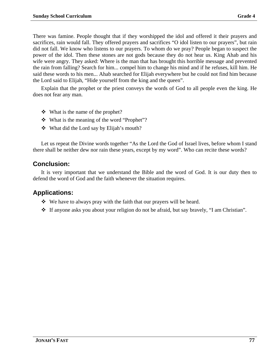There was famine. People thought that if they worshipped the idol and offered it their prayers and sacrifices, rain would fall. They offered prayers and sacrifices "O idol listen to our prayers", but rain did not fall. We know who listens to our prayers. To whom do we pray? People began to suspect the power of the idol. Then these stones are not gods because they do not hear us. King Ahab and his wife were angry. They asked: Where is the man that has brought this horrible message and prevented the rain from falling? Search for him... compel him to change his mind and if he refuses, kill him. He said these words to his men... Ahab searched for Elijah everywhere but he could not find him because the Lord said to Elijah, "Hide yourself from the king and the queen".

Explain that the prophet or the priest conveys the words of God to all people even the king. He does not fear any man.

- What is the name of the prophet?
- What is the meaning of the word "Prophet"?
- What did the Lord say by Elijah's mouth?

Let us repeat the Divine words together "As the Lord the God of Israel lives, before whom I stand there shall be neither dew nor rain these years, except by my word". Who can recite these words?

## **Conclusion:**

It is very important that we understand the Bible and the word of God. It is our duty then to defend the word of God and the faith whenever the situation requires.

- $\mathbf{\hat{\cdot}$  We have to always pray with the faith that our prayers will be heard.
- $\mathbf{\hat{P}}$  If anyone asks you about your religion do not be afraid, but say bravely, "I am Christian".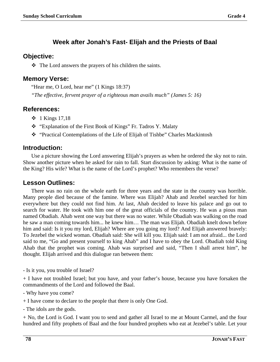# **Week after Jonah's Fast- Elijah and the Priests of Baal**

#### **Objective:**

• The Lord answers the prayers of his children the saints.

### **Memory Verse:**

"Hear me, O Lord, hear me" (1 Kings 18:37)

*"The effective, fervent prayer of a righteous man avails much" (James 5: 16)*

# **References:**

- $\div$  1 Kings 17,18
- "Explanation of the First Book of Kings" Fr. Tadros Y. Malaty
- $\mathbf{\hat{P}}$  "Practical Contemplations of the Life of Elijah of Tishbe" Charles Mackintosh

# **Introduction:**

Use a picture showing the Lord answering Elijah's prayers as when he ordered the sky not to rain. Show another picture when he asked for rain to fall. Start discussion by asking: What is the name of the King? His wife? What is the name of the Lord's prophet? Who remembers the verse?

# **Lesson Outlines:**

There was no rain on the whole earth for three years and the state in the country was horrible. Many people died because of the famine. Where was Elijah? Ahab and Jezebel searched for him everywhere but they could not find him. At last, Ahab decided to leave his palace and go out to search for water. He took with him one of the great officials of the country. He was a pious man named Obadiah. Ahab went one way but there was no water. While Obadiah was walking on the road he saw a man coming towards him... he knew him… The man was Elijah. Obadiah knelt down before him and said: Is it you my lord, Elijah? Where are you going my lord? And Elijah answered bravely: To Jezebel the wicked woman. Obadiah said: She will kill you. Elijah said: I am not afraid... the Lord said to me, "Go and present yourself to king Ahab" and I have to obey the Lord. Obadiah told King Ahab that the prophet was coming. Ahab was surprised and said, "Then I shall arrest him", he thought. Elijah arrived and this dialogue ran between them:

- Is it you, you trouble of Israel?

+ I have not troubled Israel; but you have, and your father's house, because you have forsaken the commandments of the Lord and followed the Baal.

- Why have you come?

+ I have come to declare to the people that there is only One God.

- The idols are the gods.

+ No, the Lord is God. I want you to send and gather all Israel to me at Mount Carmel, and the four hundred and fifty prophets of Baal and the four hundred prophets who eat at Jezebel's table. Let your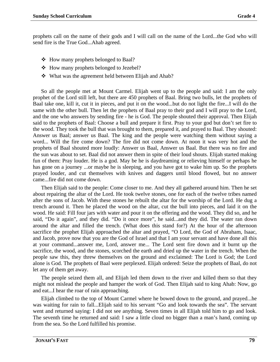prophets call on the name of their gods and I will call on the name of the Lord...the God who will send fire is the True God...Ahab agreed.

- ❖ How many prophets belonged to Baal?
- How many prophets belonged to Jezebel?
- ❖ What was the agreement held between Elijah and Ahab?

So all the people met at Mount Carmel. Elijah went up to the people and said: I am the only prophet of the Lord still left, but there are 450 prophets of Baal. Bring two bulls, let the prophets of Baal take one, kill it, cut it in pieces, and put it on the wood...but do not light the fire...I will do the same with the other bull. Then let the prophets of Baal pray to their god and I will pray to the Lord, and the one who answers by sending fire - he is God. The people shouted their approval. Then Elijah said to the prophets of Baal: Choose a bull and prepare it first. Pray to your god but don't set fire to the wood. They took the bull that was brought to them, prepared it, and prayed to Baal. They shouted: Answer us Baal; answer us Baal. The king and the people were watching them without saying a word... Will the fire come down? The fire did not come down. At noon it was very hot and the prophets of Baal shouted more loudly: Answer us Baal, Answer us Baal. But there was no fire and the sun was about to set. Baal did not answer them in spite of their loud shouts. Elijah started making fun of them: Pray louder. He is a god. May be he is daydreaming or relieving himself or perhaps he has gone on a journey ...or maybe he is sleeping, and you have got to wake him up. So the prophets prayed louder, and cut themselves with knives and daggers until blood flowed, but no answer came...fire did not come down.

Then Elijah said to the people: Come closer to me. And they all gathered around him. Then he set about repairing the altar of the Lord. He took twelve stones, one for each of the twelve tribes named after the sons of Jacob. With these stones he rebuilt the altar for the worship of the Lord. He dug a trench around it. Then he placed the wood on the altar, cut the bull into pieces, and laid it on the wood. He said: Fill four jars with water and pour it on the offering and the wood. They did so, and he said, "Do it again", and they did. "Do it once more", he said...and they did. The water ran down around the altar and filled the trench. (What does this stand for?) At the hour of the afternoon sacrifice the prophet Elijah approached the altar and prayed, "O Lord, the God of Abraham, Isaac, and Jacob, prove now that you are the God of Israel and that I am your servant and have done all this at your command...answer me, Lord, answer me... The Lord sent fire down and it burnt up the sacrifice, the wood, and the stones, scorched the earth and dried up the water in the trench. When the people saw this, they threw themselves on the ground and exclaimed: The Lord is God; the Lord alone is God. The prophets of Baal were perplexed. Elijah ordered: Seize the prophets of Baal, do not let any of them get away.

The people seized them all, and Elijah led them down to the river and killed them so that they might not mislead the people and hamper the work of God. Then Elijah said to king Ahab: Now, go and eat...I hear the roar of rain approaching.

Elijah climbed to the top of Mount Carmel where he bowed down to the ground, and prayed...he was waiting for rain to fall...Elijah said to his servant "Go and look towards the sea". The servant went and returned saying: I did not see anything. Seven times in all Elijah told him to go and look. The seventh time he returned and said: I saw a little cloud no bigger than a man's hand, coming up from the sea. So the Lord fulfilled his promise.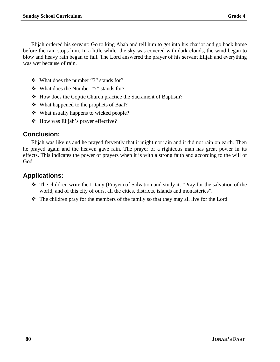Elijah ordered his servant: Go to king Ahab and tell him to get into his chariot and go back home before the rain stops him. In a little while, the sky was covered with dark clouds, the wind began to blow and heavy rain began to fall. The Lord answered the prayer of his servant Elijah and everything was wet because of rain.

- What does the number "3" stands for?
- What does the Number "7" stands for?
- How does the Coptic Church practice the Sacrament of Baptism?
- ❖ What happened to the prophets of Baal?
- ❖ What usually happens to wicked people?
- How was Elijah's prayer effective?

### **Conclusion:**

Elijah was like us and he prayed fervently that it might not rain and it did not rain on earth. Then he prayed again and the heaven gave rain. The prayer of a righteous man has great power in its effects. This indicates the power of prayers when it is with a strong faith and according to the will of God.

- The children write the Litany (Prayer) of Salvation and study it: "Pray for the salvation of the world, and of this city of ours, all the cities, districts, islands and monasteries".
- $\hat{\mathbf{v}}$  The children pray for the members of the family so that they may all live for the Lord.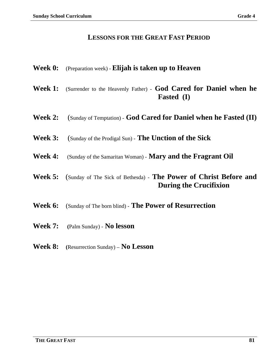# **LESSONS FOR THE GREAT FAST PERIOD**

- **Week 0:** (Preparation week) **Elijah is taken up to Heaven**
- **Week 1:** (Surrender to the Heavenly Father) **God Cared for Daniel when he Fasted (I)**
- **Week 2:** (Sunday of Temptation) **God Cared for Daniel when he Fasted (II)**
- **Week 3:** (Sunday of the Prodigal Sun) **The Unction of the Sick**
- **Week 4:** (Sunday of the Samaritan Woman) **Mary and the Fragrant Oil**
- **Week 5:** (Sunday of The Sick of Bethesda) **The Power of Christ Before and During the Crucifixion**
- **Week 6:** (Sunday of The born blind) **The Power of Resurrection**
- **Week 7: (**Palm Sunday) - **No lesson**
- **Week 8: (**Resurrection Sunday) – **No Lesson**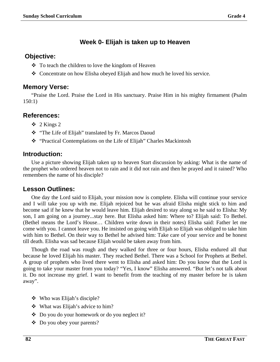# **Week 0- Elijah is taken up to Heaven**

### **Objective:**

- To teach the children to love the kingdom of Heaven
- Concentrate on how Elisha obeyed Elijah and how much he loved his service.

## **Memory Verse:**

"Praise the Lord. Praise the Lord in His sanctuary. Praise Him in his mighty firmament (Psalm 150:1)

# **References:**

- $\div$  2 Kings 2
- \* "The Life of Elijah" translated by Fr. Marcos Daoud
- \* "Practical Contemplations on the Life of Elijah" Charles Mackintosh

# **Introduction:**

Use a picture showing Elijah taken up to heaven Start discussion by asking: What is the name of the prophet who ordered heaven not to rain and it did not rain and then he prayed and it rained? Who remembers the name of his disciple?

# **Lesson Outlines:**

One day the Lord said to Elijah, your mission now is complete. Elisha will continue your service and I will take you up with me. Elijah rejoiced but he was afraid Elisha might stick to him and become sad if he knew that he would leave him. Elijah desired to stay along so he said to Elisha: My son, I am going on a journey...stay here. But Elisha asked him: Where to? Elijah said: To Bethel. (Bethel means the Lord's House… Children write down in their notes) Elisha said: Father let me come with you. I cannot leave you. He insisted on going with Elijah so Elijah was obliged to take him with him to Bethel. On their way to Bethel he advised him: Take care of your service and be honest till death. Elisha was sad because Elijah would be taken away from him.

Though the road was rough and they walked for three or four hours, Elisha endured all that because he loved Elijah his master. They reached Bethel. There was a School for Prophets at Bethel. A group of prophets who lived there went to Elisha and asked him: Do you know that the Lord is going to take your master from you today? "Yes, I know" Elisha answered. "But let's not talk about it. Do not increase my grief. I want to benefit from the teaching of my master before he is taken away".

- Who was Elijah's disciple?
- What was Elijah's advice to him?
- Do you do your homework or do you neglect it?
- Do you obey your parents?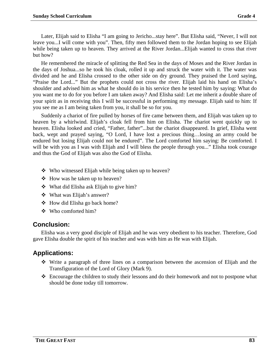Later, Elijah said to Elisha "I am going to Jericho...stay here". But Elisha said, "Never, I will not leave you...I will come with you". Then, fifty men followed them to the Jordan hoping to see Elijah while being taken up to heaven. They arrived at the River Jordan...Elijah wanted to cross that river but how?

He remembered the miracle of splitting the Red Sea in the days of Moses and the River Jordan in the days of Joshua...so he took his cloak, rolled it up and struck the water with it. The water was divided and he and Elisha crossed to the other side on dry ground. They praised the Lord saying, "Praise the Lord..." But the prophets could not cross the river. Elijah laid his hand on Elisha's shoulder and advised him as what he should do in his service then he tested him by saying: What do you want me to do for you before I am taken away? And Elisha said: Let me inherit a double share of your spirit as in receiving this I will be successful in performing my message. Elijah said to him: If you see me as I am being taken from you, it shall be so for you.

Suddenly a chariot of fire pulled by horses of fire came between them, and Elijah was taken up to heaven by a whirlwind. Elijah's cloak fell from him on Elisha. The chariot went quickly up to heaven. Elisha looked and cried, "Father, father"...but the chariot disappeared. In grief, Elisha went back, wept and prayed saying, "O Lord, I have lost a precious thing…losing an army could be endured but losing Elijah could not be endured". The Lord comforted him saying: Be comforted. I will be with you as I was with Elijah and I will bless the people through you..." Elisha took courage and thus the God of Elijah was also the God of Elisha.

- Who witnessed Elijah while being taken up to heaven?
- How was he taken up to heaven?
- What did Elisha ask Elijah to give him?
- What was Elijah's answer?
- How did Elisha go back home?
- Who comforted him?

#### **Conclusion:**

Elisha was a very good disciple of Elijah and he was very obedient to his teacher. Therefore, God gave Elisha double the spirit of his teacher and was with him as He was with Elijah.

- Write a paragraph of three lines on a comparison between the ascension of Elijah and the Transfiguration of the Lord of Glory (Mark 9).
- Encourage the children to study their lessons and do their homework and not to postpone what should be done today till tomorrow.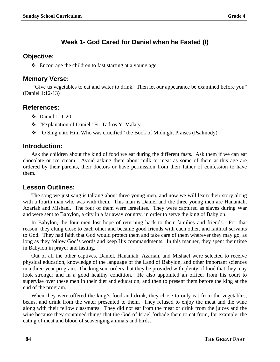# **Week 1- God Cared for Daniel when he Fasted (I)**

#### **Objective:**

 $\triangle$  Encourage the children to fast starting at a young age

#### **Memory Verse:**

"Give us vegetables to eat and water to drink. Then let our appearance be examined before you" (Daniel 1:12-13)

## **References:**

- Daniel 1: 1-20;
- \* "Explanation of Daniel" Fr. Tadros Y. Malaty
- \* "O Sing unto Him Who was crucified" the Book of Midnight Praises (Psalmody)

#### **Introduction:**

Ask the children about the kind of food we eat during the different fasts. Ask them if we can eat chocolate or ice cream. Avoid asking them about milk or meat as some of them at this age are ordered by their parents, their doctors or have permission from their father of confession to have them.

#### **Lesson Outlines:**

The song we just sang is talking about three young men, and now we will learn their story along with a fourth man who was with them. This man is Daniel and the three young men are Hananiah, Azariah and Mishael. The four of them were Israelites. They were captured as slaves during War and were sent to Babylon, a city in a far away country, in order to serve the king of Babylon.

In Babylon, the four men lost hope of returning back to their families and friends. For that reason, they clung close to each other and became good friends with each other, and faithful servants to God. They had faith that God would protect them and take care of them wherever they may go, as long as they follow God's words and keep His commandments. In this manner, they spent their time in Babylon in prayer and fasting.

Out of all the other captives, Daniel, Hananiah, Azariah, and Mishael were selected to receive physical education, knowledge of the language of the Land of Babylon, and other important sciences in a three-year program. The king sent orders that they be provided with plenty of food that they may look stronger and in a good healthy condition. He also appointed an officer from his court to supervise over these men in their diet and education, and then to present them before the king at the end of the program.

When they were offered the king's food and drink, they chose to only eat from the vegetables, beans, and drink from the water presented to them. They refused to enjoy the meat and the wine along with their fellow classmates. They did not eat from the meat or drink from the juices and the wine because they contained things that the God of Israel forbade them to eat from, for example, the eating of meat and blood of scavenging animals and birds.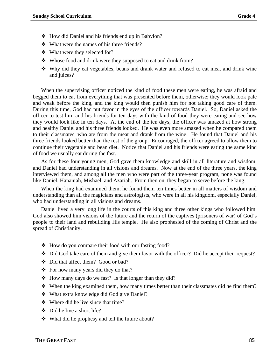- How did Daniel and his friends end up in Babylon?
- What were the names of his three friends?
- What were they selected for?
- Whose food and drink were they supposed to eat and drink from?
- Why did they eat vegetables, beans and drank water and refused to eat meat and drink wine and juices?

When the supervising officer noticed the kind of food these men were eating, he was afraid and begged them to eat from everything that was presented before them, otherwise; they would look pale and weak before the king, and the king would then punish him for not taking good care of them. During this time, God had put favor in the eyes of the officer towards Daniel. So, Daniel asked the officer to test him and his friends for ten days with the kind of food they were eating and see how they would look like in ten days. At the end of the ten days, the officer was amazed at how strong and healthy Daniel and his three friends looked. He was even more amazed when he compared them to their classmates, who ate from the meat and drank from the wine. He found that Daniel and his three friends looked better than the rest of the group. Encouraged, the officer agreed to allow them to continue their vegetable and bean diet. Notice that Daniel and his friends were eating the same kind of food we usually eat during the fast.

As for these four young men, God gave them knowledge and skill in all literature and wisdom, and Daniel had understanding in all visions and dreams. Now at the end of the three years, the king interviewed them, and among all the men who were part of the three-year program, none was found like Daniel, Hananiah, Mishael, and Azariah. From then on, they began to serve before the king.

When the king had examined them, he found them ten times better in all matters of wisdom and understanding than all the magicians and astrologists, who were in all his kingdom, especially Daniel, who had understanding in all visions and dreams.

Daniel lived a very long life in the courts of this king and three other kings who followed him. God also showed him visions of the future and the return of the captives (prisoners of war) of God's people to their land and rebuilding His temple. He also prophesied of the coming of Christ and the spread of Christianity.

- ❖ How do you compare their food with our fasting food?
- Did God take care of them and give them favor with the officer? Did he accept their request?
- Did that affect them? Good or bad?
- For how many years did they do that?
- $\triangleleft$  How many days do we fast? Is that longer than they did?
- When the king examined them, how many times better than their classmates did he find them?
- What extra knowledge did God give Daniel?
- Where did he live since that time?
- $\bullet$  Did he live a short life?
- What did he prophesy and tell the future about?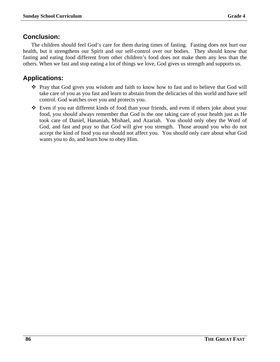### **Conclusion:**

The children should feel God's care for them during times of fasting. Fasting does not hurt our health, but it strengthens our Spirit and our self-control over our bodies. They should know that fasting and eating food different from other children's food does not make them any less than the others. When we fast and stop eating a lot of things we love, God gives us strength and supports us.

- Pray that God gives you wisdom and faith to know how to fast and to believe that God will take care of you as you fast and learn to abstain from the delicacies of this world and have self control. God watches over you and protects you.
- Even if you eat different kinds of food than your friends, and even if others joke about your food, you should always remember that God is the one taking care of your health just as He took care of Daniel, Hananiah, Mishael, and Azariah. You should only obey the Word of God, and fast and pray so that God will give you strength. Those around you who do not accept the kind of food you eat should not affect you. You should only care about what God wants you to do, and learn how to obey Him.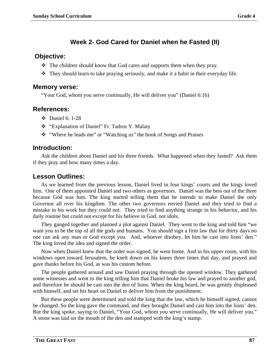# **Week 2- God Cared for Daniel when he Fasted (II)**

### **Objective:**

- $\cdot \cdot$  The children should know that God cares and supports them when they pray.
- They should learn to take praying seriously, and make it a habit in their everyday life.

#### **Memory verse:**

"Your God, whom you serve continually, He will deliver you" (Daniel 6:16)

## **References:**

- Daniel 6: 1-28
- "Explanation of Daniel" Fr. Tadros Y. Malaty
- "Where he leads me" or "Watching us" the book of Songs and Praises

## **Introduction:**

Ask the children about Daniel and his three friends. What happened when they fasted? Ask them if they pray and how many times a day.

## **Lesson Outlines:**

As we learned from the previous lesson, Daniel lived in four kings' courts and the kings loved him. One of them appointed Daniel and two others as governors. Daniel was the best out of the three because God was him. The king started telling them that he intends to make Daniel the only Governor all over his kingdom. The other two governors envied Daniel and they tried to find a mistake in his work but they could not. They tried to find anything strange in his behavior, and his daily routine but could not except for his believe in God, not idols.

They ganged together and planned a plot against Daniel. They went to the king and told him "we want you to be the top of all the gods and humans. You should sign a firm law that for thirty days no one can ask any man or God except you. And, whoever disobey, let him be cast into lions' den." The king loved the idea and signed the order.

Now when Daniel knew that the order was signed, he went home. And in his upper room, with his windows open toward Jerusalem, he knelt down on his knees three times that day, and prayed and gave thanks before his God, as was his custom before.

The people gathered around and saw Daniel praying through the opened window. They gathered some witnesses and went to the king telling him that Daniel broke his law and prayed to another god, and therefore he should be cast into the den of lions. When the king heard, he was greatly displeased with himself, and set his heart on Daniel to deliver him from the punishment.

But these people were determined and told the king that the law, which he himself signed, cannot be changed. So the king gave the command, and they brought Daniel and cast him into the lions' den. But the king spoke, saying to Daniel, "Your God, whom you serve continually, He will deliver you." A stone was laid on the mouth of the den and stamped with the king's stamp.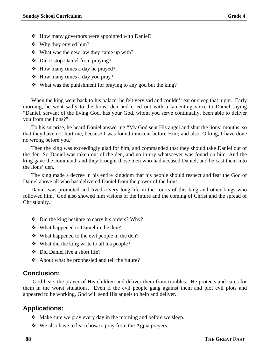- ❖ How many governors were appointed with Daniel?
- Why they envied him?
- What was the new law they came up with?
- Did it stop Daniel from praying?
- $\triangleleft$  How many times a day he prayed?
- $\triangleleft$  How many times a day you pray?
- $\cdot$  What was the punishment for praying to any god but the king?

When the king went back to his palace, he felt very sad and couldn't eat or sleep that night. Early morning, he went sadly to the lions' den and cried out with a lamenting voice to Daniel saying "Daniel, servant of the living God, has your God, whom you serve continually, been able to deliver you from the lions?"

To his surprise, he heard Daniel answering "My God sent His angel and shut the lions' mouths, so that they have not hurt me, because I was found innocent before Him; and also, O king, I have done no wrong before you."

Then the king was exceedingly glad for him, and commanded that they should take Daniel out of the den. So Daniel was taken out of the den, and no injury whatsoever was found on him. And the king gave the command, and they brought those men who had accused Daniel, and he cast them into the lions' den.

The king made a decree in his entire kingdom that his people should respect and fear the God of Daniel above all who has delivered Daniel from the power of the lions.

Daniel was promoted and lived a very long life in the courts of this king and other kings who followed him. God also showed him visions of the future and the coming of Christ and the spread of Christianity.

- $\triangleleft$  Did the king hesitate to carry his orders? Why?
- ❖ What happened to Daniel in the den?
- What happened to the evil people in the den?
- What did the king write to all his people?
- Did Daniel live a short life?
- About what he prophesied and tell the future?

## **Conclusion:**

God hears the prayer of His children and deliver them from troubles. He protects and cares for them in the worst situations. Even if the evil people gang against them and plot evil plots and appeared to be working, God will send His angels to help and deliver.

- $\triangleleft$  Make sure we pray every day in the morning and before we sleep.
- ❖ We also have to learn how to pray from the Agpia prayers.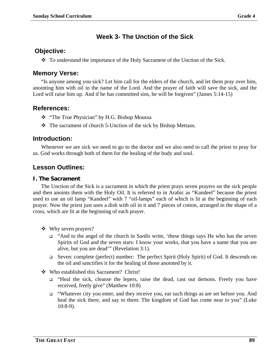# **Week 3- The Unction of the Sick**

## **Objective:**

\* To understand the importance of the Holy Sacrament of the Unction of the Sick.

# **Memory Verse:**

"Is anyone among you sick? Let him call for the elders of the church, and let them pray over him, anointing him with oil in the name of the Lord. And the prayer of faith will save the sick, and the Lord will raise him up. And if he has committed sins, he will be forgiven" (James 5:14-15)

## **References:**

- "The True Physician" by H.G. Bishop Moussa
- $\triangleleft$  The sacrament of church 5-Unction of the sick by Bishop Mettaos.

### **Introduction:**

Whenever we are sick we need to go to the doctor and we also need to call the priest to pray for us. God works through both of them for the healing of the body and soul.

# **Lesson Outlines:**

#### **I. The Sacrament**

The Unction of the Sick is a sacrament in which the priest prays seven prayers on the sick people and then anoints them with the Holy Oil. It is referred to in Arabic as "Kandeel" because the priest used to use an oil lamp "Kandeel" with 7 "oil-lamps" each of which is lit at the beginning of each prayer. Now the priest just uses a dish with oil in it and 7 pieces of cotton, arranged in the shape of a cross, which are lit at the beginning of each prayer.

- Why seven prayers?
	- "And to the angel of the church in Sardis write, 'these things says He who has the seven Spirits of God and the seven stars: I know your works, that you have a name that you are alive, but you are dead'" (Revelation 3:1).
	- Seven: complete (perfect) number: The perfect Spirit (Holy Spirit) of God. It descends on the oil and sanctifies it for the healing of those anointed by it.
- Who established this Sacrament? Christ!
	- "Heal the sick, cleanse the lepers, raise the dead, cast out demons. Freely you have received, freely give" (Matthew 10:8)
	- "Whatever city you enter, and they receive you, eat such things as are set before you. And heal the sick there, and say to them: The kingdom of God has come near to you" (Luke 10:8-9).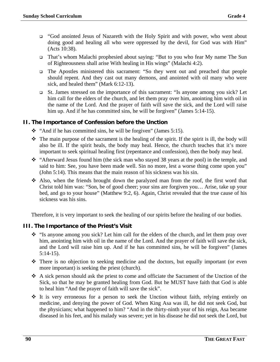- "God anointed Jesus of Nazareth with the Holy Spirit and with power, who went about doing good and healing all who were oppressed by the devil, for God was with Him" (Acts 10:38).
- That's whom Malachi prophesied about saying: "But to you who fear My name The Sun of Righteousness shall arise With healing in His wings" (Malachi 4:2).
- The Apostles ministered this sacrament: "So they went out and preached that people should repent. And they cast out many demons, and anointed with oil many who were sick, and healed them" (Mark 6:12-13).
- St. James stressed on the importance of this sacrament: "Is anyone among you sick? Let him call for the elders of the church, and let them pray over him, anointing him with oil in the name of the Lord. And the prayer of faith will save the sick, and the Lord will raise him up. And if he has committed sins, he will be forgiven" (James 5:14-15).

#### **II. The Importance of Confession before the Unction**

- $\cdot$  "And if he has committed sins, he will be forgiven" (James 5:15).
- $\hat{\mathbf{\cdot}}$  The main purpose of the sacrament is the healing of the spirit. If the spirit is ill, the body will also be ill. If the spirit heals, the body may heal. Hence, the church teaches that it's more important to seek spiritual healing first (repentance and confession), then the body may heal.
- \* "Afterward Jesus found him (the sick man who stayed 38 years at the pool) in the temple, and said to him: See, you have been made well. Sin no more, lest a worse thing come upon you" (John 5:14). This means that the main reason of his sickness was his sin.
- $\triangleleft$  Also, when the friends brought down the paralyzed man from the roof, the first word that Christ told him was: "Son, be of good cheer; your sins are forgiven you… Arise, take up your bed, and go to your house" (Matthew 9:2, 6). Again, Christ revealed that the true cause of his sickness was his sins.

Therefore, it is very important to seek the healing of our spirits before the healing of our bodies.

#### **III. The Importance of the Priest's Visit**

- \* "Is anyone among you sick? Let him call for the elders of the church, and let them pray over him, anointing him with oil in the name of the Lord. And the prayer of faith will save the sick, and the Lord will raise him up. And if he has committed sins, he will be forgiven" (James 5:14-15).
- There is no objection to seeking medicine and the doctors, but equally important (or even more important) is seeking the priest (church).
- A sick person should ask the priest to come and officiate the Sacrament of the Unction of the Sick, so that he may be granted healing from God. But he MUST have faith that God is able to heal him "And the prayer of faith will save the sick".
- It is very erroneous for a person to seek the Unction without faith, relying entirely on medicine, and denying the power of God. When King Asa was ill, he did not seek God, but the physicians; what happened to him? "And in the thirty-ninth year of his reign, Asa became diseased in his feet, and his malady was severe; yet in his disease he did not seek the Lord, but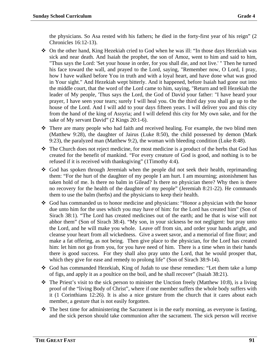the physicians. So Asa rested with his fathers; he died in the forty-first year of his reign" (2 Chronicles 16:12-13).

- On the other hand, King Hezekiah cried to God when he was ill: "In those days Hezekiah was sick and near death. And Isaiah the prophet, the son of Amoz, went to him and said to him, "Thus says the Lord: 'Set your house in order, for you shall die, and not live.' " Then he turned his face toward the wall, and prayed to the Lord, saying, "Remember now, O Lord, I pray, how I have walked before You in truth and with a loyal heart, and have done what was good in Your sight." And Hezekiah wept bitterly. And it happened, before Isaiah had gone out into the middle court, that the word of the Lord came to him, saying, "Return and tell Hezekiah the leader of My people, 'Thus says the Lord, the God of David your father: "I have heard your prayer, I have seen your tears; surely I will heal you. On the third day you shall go up to the house of the Lord. And I will add to your days fifteen years. I will deliver you and this city from the hand of the king of Assyria; and I will defend this city for My own sake, and for the sake of My servant David" (2 Kings 20:1-6).
- There are many people who had faith and received healing. For example, the two blind men (Matthew 9:28), the daughter of Jairus (Luke 8:50), the child possessed by demon (Mark 9:23), the paralyzed man (Matthew 9:2), the woman with bleeding condition (Luke 8:48).
- The Church does not reject medicine, for most medicine is a product of the herbs that God has created for the benefit of mankind. "For every creature of God is good, and nothing is to be refused if it is received with thanksgiving" (1Timothy 4:4).
- God has spoken through Jeremiah when the people did not seek their health, reprimanding them: "For the hurt of the daughter of my people I am hurt. I am mourning; astonishment has taken hold of me. Is there no balm in Gilead? Is there no physician there? Why then is there no recovery for the health of the daughter of my people" (Jeremiah 8:21-22). He commands them to use the balm (herbs) and the physicians to keep their health.
- $\triangleleft$  God has commanded us to honor medicine and physicians: "Honor a physician with the honor due unto him for the uses which you may have of him: for the Lord has created him" (Son of Sirach 38:1). "The Lord has created medicines out of the earth; and he that is wise will not abhor them" (Son of Sirach 38:4). "My son, in your sickness be not negligent: but pray unto the Lord, and he will make you whole. Leave off from sin, and order your hands aright, and cleanse your heart from all wickedness. Give a sweet savor, and a memorial of fine flour; and make a fat offering, as not being. Then give place to the physician, for the Lord has created him: let him not go from you, for you have need of him. There is a time when in their hands there is good success. For they shall also pray unto the Lord, that he would prosper that, which they give for ease and remedy to prolong life" (Son of Sirach 38:9-14).
- God has commanded Hezekiah, King of Judah to use these remedies: "Let them take a lump of figs, and apply it as a poultice on the boil, and he shall recover" (Isaiah 38:21).
- $\hat{\mathbf{\cdot}}$  The Priest's visit to the sick person to minister the Unction freely (Matthew 10:8), is a living proof of the "living Body of Christ", where if one member suffers the whole body suffers with it (1 Corinthians 12:26). It is also a nice gesture from the church that it cares about each member, a gesture that is not easily forgotten.
- $\hat{\mathbf{\cdot}}$  The best time for administering the Sacrament is in the early morning, as everyone is fasting, and the sick person should take communion after the sacrament. The sick person will receive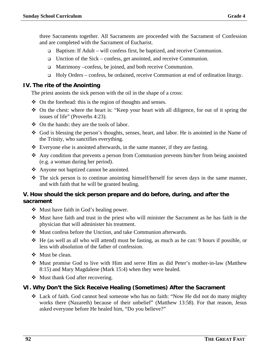three Sacraments together. All Sacraments are proceeded with the Sacrament of Confession and are completed with the Sacrament of Eucharist.

- $\Box$  Baptism: If Adult will confess first, be baptized, and receive Communion.
- $\Box$  Unction of the Sick confess, get anointed, and receive Communion.
- Matrimony –confess, be joined, and both receive Communion.
- Holy Orders confess, be ordained, receive Communion at end of ordination liturgy.

#### **IV. The rite of the Anointing**

The priest anoints the sick person with the oil in the shape of a cross:

- On the forehead: this is the region of thoughts and senses.
- On the chest: where the heart is: "Keep your heart with all diligence, for out of it spring the issues of life" (Proverbs 4:23).
- On the hands: they are the tools of labor.
- $\div$  God is blessing the person's thoughts, senses, heart, and labor. He is anointed in the Name of the Trinity, who sanctifies everything.
- $\bullet$  Everyone else is anointed afterwards, in the same manner, if they are fasting.
- Any condition that prevents a person from Communion prevents him/her from being anointed (e.g. a woman during her period).
- Anyone not baptized cannot be anointed.
- $\hat{\mathbf{v}}$  The sick person is to continue anointing himself/herself for seven days in the same manner, and with faith that he will be granted healing.

#### **V. How should the sick person prepare and do before, during, and after the sacrament**

- $\triangleleft$  Must have faith in God's healing power.
- Must have faith and trust in the priest who will minister the Sacrament as he has faith in the physician that will administer his treatment.
- Must confess before the Unction, and take Communion afterwards.
- $\triangleleft$  He (as well as all who will attend) must be fasting, as much as he can: 9 hours if possible, or less with absolution of the father of confession.
- ❖ Must be clean.
- Must promise God to live with Him and serve Him as did Peter's mother-in-law (Matthew 8:15) and Mary Magdalene (Mark 15:4) when they were healed.
- $\triangleleft$  Must thank God after recovering.

## **VI. Why Don't the Sick Receive Healing (Sometimes) After the Sacrament**

 Lack of faith. God cannot heal someone who has no faith: "Now He did not do many mighty works there (Nazareth) because of their unbelief" (Matthew 13:58). For that reason, Jesus asked everyone before He healed him, "Do you believe?"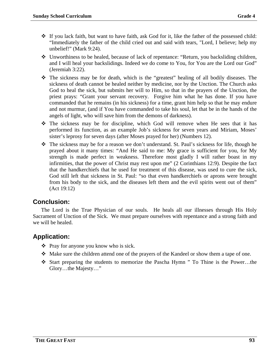- If you lack faith, but want to have faith, ask God for it, like the father of the possessed child: "Immediately the father of the child cried out and said with tears, "Lord, I believe; help my unbelief!" (Mark 9:24).
- Unworthiness to be healed, because of lack of repentance: "Return, you backsliding children, and I will heal your backslidings. Indeed we do come to You, for You are the Lord our God" (Jeremiah 3:22).
- The sickness may be for death, which is the "greatest" healing of all bodily diseases. The sickness of death cannot be healed neither by medicine, nor by the Unction. The Church asks God to heal the sick, but submits her will to Him, so that in the prayers of the Unction, the priest prays: "Grant your servant recovery. Forgive him what he has done. If you have commanded that he remains (in his sickness) for a time, grant him help so that he may endure and not murmur, (and if You have commanded to take his soul, let that be in the hands of the angels of light, who will save him from the demons of darkness).
- $\hat{\mathbf{v}}$  The sickness may be for discipline, which God will remove when He sees that it has performed its function, as an example Job's sickness for seven years and Miriam, Moses' sister's leprosy for seven days (after Moses prayed for her) (Numbers 12).
- The sickness may be for a reason we don't understand. St. Paul's sickness for life, though he prayed about it many times: "And He said to me: My grace is sufficient for you, for My strength is made perfect in weakness. Therefore most gladly I will rather boast in my infirmities, that the power of Christ may rest upon me" (2 Corinthians 12:9). Despite the fact that the handkerchiefs that he used for treatment of this disease, was used to cure the sick, God still left that sickness in St. Paul: "so that even handkerchiefs or aprons were brought from his body to the sick, and the diseases left them and the evil spirits went out of them" (Act 19:12)

## **Conclusion:**

The Lord is the True Physician of our souls. He heals all our illnesses through His Holy Sacrament of Unction of the Sick. We must prepare ourselves with repentance and a strong faith and we will be healed.

- $\triangleleft$  Pray for anyone you know who is sick.
- Make sure the children attend one of the prayers of the Kandeel or show them a tape of one.
- Start preparing the students to memorize the Pascha Hymn " To Thine is the Power…the Glory…the Majesty…"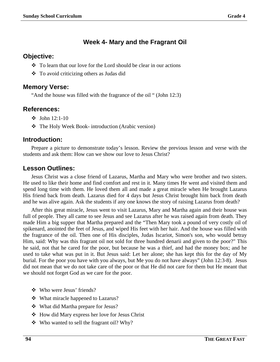# **Week 4- Mary and the Fragrant Oil**

### **Objective:**

- $\triangle$  To learn that our love for the Lord should be clear in our actions
- To avoid criticizing others as Judas did

#### **Memory Verse:**

"And the house was filled with the fragrance of the oil " (John 12:3)

## **References:**

- $\div$  John 12:1-10
- The Holy Week Book- introduction (Arabic version)

# **Introduction:**

Prepare a picture to demonstrate today's lesson. Review the previous lesson and verse with the students and ask them: How can we show our love to Jesus Christ?

# **Lesson Outlines:**

Jesus Christ was a close friend of Lazarus, Martha and Mary who were brother and two sisters. He used to like their home and find comfort and rest in it. Many times He went and visited them and spend long time with them. He loved them all and made a great miracle when He brought Lazarus His friend back from death. Lazarus died for 4 days but Jesus Christ brought him back from death and he was alive again. Ask the students if any one knows the story of raising Lazarus from death?

After this great miracle, Jesus went to visit Lazarus, Mary and Martha again and their house was full of people. They all came to see Jesus and see Lazarus after he was raised again from death. They made Him a big supper that Martha prepared and the "Then Mary took a pound of very costly oil of spikenard, anointed the feet of Jesus, and wiped His feet with her hair. And the house was filled with the fragrance of the oil. Then one of His disciples, Judas Iscariot, Simon's son, who would betray Him, said: Why was this fragrant oil not sold for three hundred denarii and given to the poor?" This he said, not that he cared for the poor, but because he was a thief, and had the money box; and he used to take what was put in it. But Jesus said: Let her alone; she has kept this for the day of My burial. For the poor you have with you always, but Me you do not have always" (John 12:3-8). Jesus did not mean that we do not take care of the poor or that He did not care for them but He meant that we should not forget God as we care for the poor.

- Who were Jesus' friends?
- **❖** What miracle happened to Lazarus?
- What did Martha prepare for Jesus?
- ❖ How did Mary express her love for Jesus Christ
- $\triangleleft$  Who wanted to sell the fragrant oil? Why?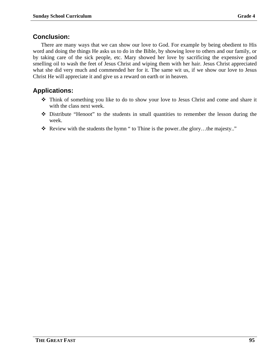### **Conclusion:**

There are many ways that we can show our love to God. For example by being obedient to His word and doing the things He asks us to do in the Bible, by showing love to others and our family, or by taking care of the sick people, etc. Mary showed her love by sacrificing the expensive good smelling oil to wash the feet of Jesus Christ and wiping them with her hair. Jesus Christ appreciated what she did very much and commended her for it. The same wit us, if we show our love to Jesus Christ He will appreciate it and give us a reward on earth or in heaven.

- Think of something you like to do to show your love to Jesus Christ and come and share it with the class next week.
- Distribute "Henoot" to the students in small quantities to remember the lesson during the week.
- Review with the students the hymn " to Thine is the power..the glory…the majesty.."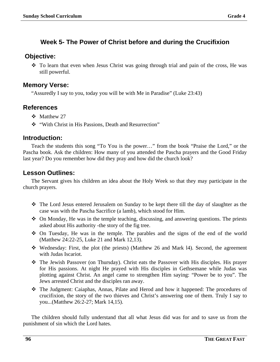# **Week 5- The Power of Christ before and during the Crucifixion**

#### **Objective:**

 To learn that even when Jesus Christ was going through trial and pain of the cross, He was still powerful.

### **Memory Verse:**

"Assuredly I say to you, today you will be with Me in Paradise" (Luke 23:43)

## **References**

- ❖ Matthew 27
- "With Christ in His Passions, Death and Resurrection"

### **Introduction:**

Teach the students this song "To You is the power…" from the book "Praise the Lord," or the Pascha book. Ask the children: How many of you attended the Pascha prayers and the Good Friday last year? Do you remember how did they pray and how did the church look?

# **Lesson Outlines:**

The Servant gives his children an idea about the Holy Week so that they may participate in the church prayers.

- The Lord Jesus entered Jerusalem on Sunday to be kept there till the day of slaughter as the case was with the Pascha Sacrifice (a lamb), which stood for Him.
- On Monday, He was in the temple teaching, discussing, and answering questions. The priests asked about His authority -the story of the fig tree.
- On Tuesday, He was in the temple. The parables and the signs of the end of the world (Matthew 24:22-25, Luke 21 and Mark 12,13).
- Wednesday: First, the plot (the priests) (Matthew 26 and Mark l4). Second, the agreement with Judas Iscariot.
- The Jewish Passover (on Thursday). Christ eats the Passover with His disciples. His prayer for His passions. At night He prayed with His disciples in Gethsemane while Judas was plotting against Christ. An angel came to strengthen Him saying: "Power be to you". The Jews arrested Christ and the disciples ran away.
- The Judgment: Caiaphas, Annas, Pilate and Herod and how it happened: The procedures of crucifixion, the story of the two thieves and Christ's answering one of them. Truly I say to you...(Matthew 26:2-27; Mark 14,15).

The children should fully understand that all what Jesus did was for and to save us from the punishment of sin which the Lord hates.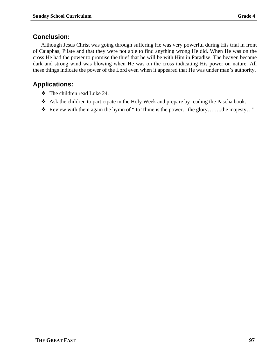#### **Conclusion:**

Although Jesus Christ was going through suffering He was very powerful during His trial in front of Caiaphas, Pilate and that they were not able to find anything wrong He did. When He was on the cross He had the power to promise the thief that he will be with Him in Paradise. The heaven became dark and strong wind was blowing when He was on the cross indicating His power on nature. All these things indicate the power of the Lord even when it appeared that He was under man's authority.

- The children read Luke 24.
- Ask the children to participate in the Holy Week and prepare by reading the Pascha book.
- \* Review with them again the hymn of " to Thine is the power...the glory........the majesty..."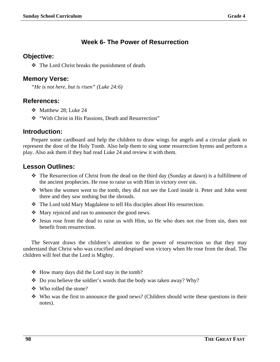## **Week 6- The Power of Resurrection**

#### **Objective:**

The Lord Christ breaks the punishment of death.

#### **Memory Verse:**

*"He is not here, but is risen" (Luke 24:6)*

## **References:**

- Matthew 28: Luke 24
- "With Christ in His Passions, Death and Resurrection"

#### **Introduction:**

Prepare some cardboard and help the children to draw wings for angels and a circular plank to represent the door of the Holy Tomb. Also help them to sing some resurrection hymns and perform a play. Also ask them if they had read Luke 24 and review it with them.

## **Lesson Outlines:**

- The Resurrection of Christ from the dead on the third day (Sunday at dawn) is a fulfillment of the ancient prophecies. He rose to raise us with Him in victory over sin.
- When the women went to the tomb, they did not see the Lord inside it. Peter and John went there and they saw nothing but the shrouds.
- $\div$  The Lord told Mary Magdalene to tell His disciples about His resurrection.
- ❖ Mary rejoiced and ran to announce the good news.
- $\div$  Jesus rose from the dead to raise us with Him, so He who does not rise from sin, does not benefit from resurrection.

The Servant draws the children's attention to the power of resurrection so that they may understand that Christ who was crucified and despised won victory when He rose from the dead. The children will feel that the Lord is Mighty.

- $\triangleleft$  How many days did the Lord stay in the tomb?
- $\triangleleft$  Do you believe the soldier's words that the body was taken away? Why?
- ❖ Who rolled the stone?
- $\div$  Who was the first to announce the good news? (Children should write these questions in their notes).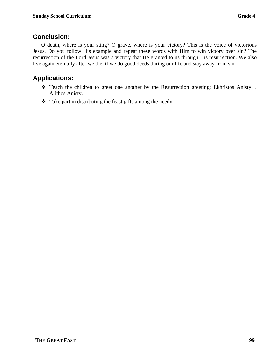#### **Conclusion:**

O death, where is your sting? O grave, where is your victory? This is the voice of victorious Jesus. Do you follow His example and repeat these words with Him to win victory over sin? The resurrection of the Lord Jesus was a victory that He granted to us through His resurrection. We also live again eternally after we die, if we do good deeds during our life and stay away from sin.

- Teach the children to greet one another by the Resurrection greeting: Ekhristos Anisty… Alithos Anisty…
- Take part in distributing the feast gifts among the needy.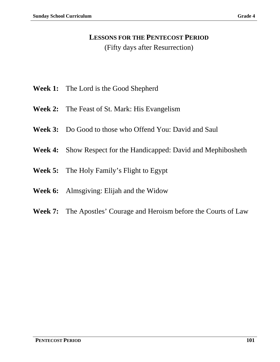# **LESSONS FOR THE PENTECOST PERIOD**

(Fifty days after Resurrection)

- **Week 1:** The Lord is the Good Shepherd
- **Week 2:** The Feast of St. Mark: His Evangelism
- **Week 3:** Do Good to those who Offend You: David and Saul
- **Week 4:** Show Respect for the Handicapped: David and Mephibosheth
- **Week 5:** The Holy Family's Flight to Egypt
- **Week 6:** Almsgiving: Elijah and the Widow
- **Week 7:** The Apostles' Courage and Heroism before the Courts of Law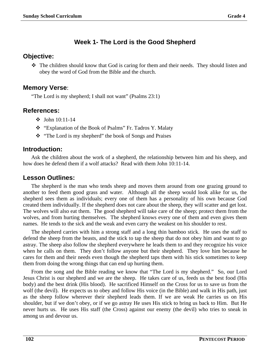# **Week 1- The Lord is the Good Shepherd**

#### **Objective:**

 The children should know that God is caring for them and their needs. They should listen and obey the word of God from the Bible and the church.

## **Memory Verse**:

"The Lord is my shepherd; I shall not want" (Psalms 23:1)

## **References:**

- $\cdot \cdot \cdot$  John 10:11-14
- "Explanation of the Book of Psalms" Fr. Tadros Y. Malaty
- \* "The Lord is my shepherd" the book of Songs and Praises

## **Introduction:**

Ask the children about the work of a shepherd, the relationship between him and his sheep, and how does he defend them if a wolf attacks? Read with them John 10:11-14.

## **Lesson Outlines:**

The shepherd is the man who tends sheep and moves them around from one grazing ground to another to feed them good grass and water. Although all the sheep would look alike for us, the shepherd sees them as individuals; every one of them has a personality of his own because God created them individually. If the shepherd does not care about the sheep, they will scatter and get lost. The wolves will also eat them. The good shepherd will take care of the sheep; protect them from the wolves, and from hurting themselves. The shepherd knows every one of them and even gives them names. He tends to the sick and the weak and even carry the weakest on his shoulder to rest.

The shepherd carries with him a strong staff and a long thin bamboo stick. He uses the staff to defend the sheep from the beasts, and the stick to tap the sheep that do not obey him and want to go astray. The sheep also follow the shepherd everywhere he leads them to and they recognize his voice when he calls on them. They don't follow anyone but their shepherd. They love him because he cares for them and their needs even though the shepherd taps them with his stick sometimes to keep them from doing the wrong things that can end up hurting them.

From the song and the Bible reading we know that "The Lord is my shepherd." So, our Lord Jesus Christ is our shepherd and we are the sheep. He takes care of us, feeds us the best food (His body) and the best drink (His blood). He sacrificed Himself on the Cross for us to save us from the wolf (the devil). He expects us to obey and follow His voice (in the Bible) and walk in His path, just as the sheep follow wherever their shepherd leads them. If we are weak He carries us on His shoulder, but if we don't obey, or if we go astray He uses His stick to bring us back to Him. But He never hurts us. He uses His staff (the Cross) against our enemy (the devil) who tries to sneak in among us and devour us.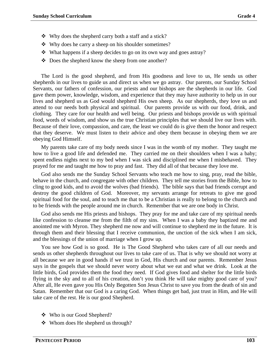- Why does the shepherd carry both a staff and a stick?
- Why does he carry a sheep on his shoulder sometimes?
- What happens if a sheep decides to go on its own way and goes astray?
- Does the shepherd know the sheep from one another?

The Lord is the good shepherd, and from His goodness and love to us, He sends us other shepherds in our lives to guide us and direct us when we go astray. Our parents, our Sunday School Servants, our fathers of confession, our priests and our bishops are the shepherds in our life. God gave them power, knowledge, wisdom, and experience that they may have authority to help us in our lives and shepherd us as God would shepherd His own sheep. As our shepherds, they love us and attend to our needs both physical and spiritual. Our parents provide us with our food, drink, and clothing. They care for our health and well being. Our priests and bishops provide us with spiritual food, words of wisdom, and show us the true Christian principles that we should live our lives with. Because of their love, compassion, and care, the least we could do is give them the honor and respect that they deserve. We must listen to their advice and obey them because in obeying them we are obeying God Himself.

My parents take care of my body needs since I was in the womb of my mother. They taught me how to live a good life and defended me. They carried me on their shoulders when I was a baby; spent endless nights next to my bed when I was sick and disciplined me when I misbehaved. They prayed for me and taught me how to pray and fast. They did all of that because they love me.

God also sends me the Sunday School Servants who teach me how to sing, pray, read the bible, behave in the church, and congregate with other children. They tell me stories from the Bible, how to cling to good kids, and to avoid the wolves (bad friends). The bible says that bad friends corrupt and destroy the good children of God. Moreover, my servants arrange for retreats to give me good spiritual food for the soul, and to teach me that to be a Christian is really to belong to the church and to be friends with the people around me in church. Remember that we are one body in Christ.

God also sends me His priests and bishops. They pray for me and take care of my spiritual needs like confession to cleanse me from the filth of my sins. When I was a baby they baptized me and anointed me with Myron. They shepherd me now and will continue to shepherd me in the future. It is through them and their blessing that I receive communion, the unction of the sick when I am sick, and the blessings of the union of marriage when I grow up.

You see how God is so good. He is The Good Shepherd who takes care of all our needs and sends us other shepherds throughout our lives to take care of us. That is why we should not worry at all because we are in good hands if we trust in God, His church and our parents. Remember Jesus says in the gospels that we should never worry about what we eat and what we drink. Look at the little birds, God provides them the food they need. If God gives food and shelter for the little birds flying in the sky and to all of his creation, don't you think He will take mighty good care of you? After all, He even gave you His Only Begotten Son Jesus Christ to save you from the death of sin and Satan. Remember that our God is a caring God. When things get bad, just trust in Him, and He will take care of the rest. He is our good Shepherd.

- Who is our Good Shepherd?
- Whom does He shepherd us through?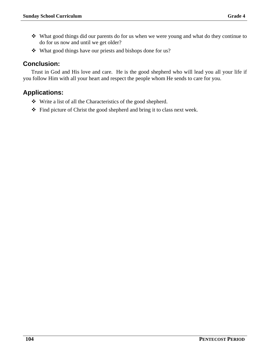- What good things did our parents do for us when we were young and what do they continue to do for us now and until we get older?
- What good things have our priests and bishops done for us?

## **Conclusion:**

Trust in God and His love and care. He is the good shepherd who will lead you all your life if you follow Him with all your heart and respect the people whom He sends to care for you.

- Write a list of all the Characteristics of the good shepherd.
- $\triangleleft$  Find picture of Christ the good shepherd and bring it to class next week.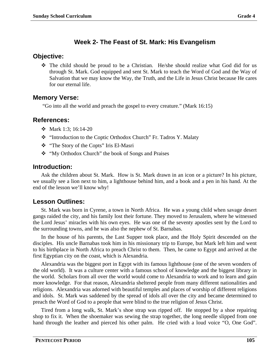## **Week 2- The Feast of St. Mark: His Evangelism**

#### **Objective:**

 $\hat{\mathbf{v}}$  The child should be proud to be a Christian. He/she should realize what God did for us through St. Mark. God equipped and sent St. Mark to teach the Word of God and the Way of Salvation that we may know the Way, the Truth, and the Life in Jesus Christ because He cares for our eternal life.

#### **Memory Verse:**

"Go into all the world and preach the gospel to every creature." (Mark 16:15)

## **References:**

- Mark 1:3: 16:14-20
- \* "Introduction to the Coptic Orthodox Church" Fr. Tadros Y. Malaty
- "The Story of the Copts" Iris El-Masri
- \* "My Orthodox Church" the book of Songs and Praises

#### **Introduction:**

Ask the children about St. Mark. How is St. Mark drawn in an icon or a picture? In his picture, we usually see a lion next to him, a lighthouse behind him, and a book and a pen in his hand. At the end of the lesson we'll know why!

## **Lesson Outlines:**

St. Mark was born in Cyrene, a town in North Africa. He was a young child when savage desert gangs raided the city, and his family lost their fortune. They moved to Jerusalem, where he witnessed the Lord Jesus' miracles with his own eyes. He was one of the seventy apostles sent by the Lord to the surrounding towns, and he was also the nephew of St. Barnabas.

In the house of his parents, the Last Supper took place, and the Holy Spirit descended on the disciples. His uncle Barnabas took him in his missionary trip to Europe, but Mark left him and went to his birthplace in North Africa to preach Christ to them. Then, he came to Egypt and arrived at the first Egyptian city on the coast, which is Alexandria.

Alexandria was the biggest port in Egypt with its famous lighthouse (one of the seven wonders of the old world). It was a culture center with a famous school of knowledge and the biggest library in the world. Scholars from all over the world would come to Alexandria to work and to learn and gain more knowledge. For that reason, Alexandria sheltered people from many different nationalities and religions. Alexandria was adorned with beautiful temples and places of worship of different religions and idols. St. Mark was saddened by the spread of idols all over the city and became determined to preach the Word of God to a people that were blind to the true religion of Jesus Christ.

Tired from a long walk, St. Mark's shoe strap was ripped off. He stopped by a shoe repairing shop to fix it. When the shoemaker was sewing the strap together, the long needle slipped from one hand through the leather and pierced his other palm. He cried with a loud voice "O, One God".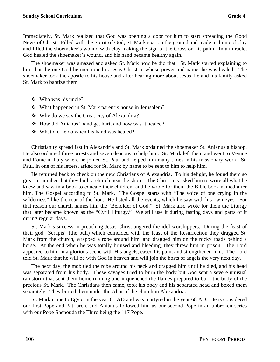Immediately, St. Mark realized that God was opening a door for him to start spreading the Good News of Christ. Filled with the Spirit of God, St. Mark spat on the ground and made a clump of clay and filled the shoemaker's wound with clay making the sign of the Cross on his palm. In a miracle, God healed the shoemaker's wound, and his hand became healthy again.

The shoemaker was amazed and asked St. Mark how he did that. St. Mark started explaining to him that the one God he mentioned is Jesus Christ in whose power and name, he was healed. The shoemaker took the apostle to his house and after hearing more about Jesus, he and his family asked St. Mark to baptize them.

- $\bullet$  Who was his uncle?
- What happened in St. Mark parent's house in Jerusalem?
- ❖ Why do we say the Great city of Alexandria?
- $\triangleleft$  How did Anianus' hand get hurt, and how was it healed?
- **❖** What did he do when his hand was healed?

Christianity spread fast in Alexandria and St. Mark ordained the shoemaker St. Anianus a bishop. He also ordained three priests and seven deacons to help him. St. Mark left them and went to Venice and Rome in Italy where he joined St. Paul and helped him many times in his missionary work. St. Paul, in one of his letters, asked for St. Mark by name to be sent to him to help him.

He returned back to check on the new Christians of Alexandria. To his delight, he found them so great in number that they built a church near the shore. The Christians asked him to write all what he knew and saw in a book to educate their children, and he wrote for them the Bible book named after him, The Gospel according to St. Mark. The Gospel starts with "The voice of one crying in the wilderness" like the roar of the lion. He listed all the events, which he saw with his own eyes. For that reason our church names him the "Beholder of God." St. Mark also wrote for them the Liturgy that later became known as the "Cyril Liturgy." We still use it during fasting days and parts of it during regular days.

St. Mark's success in preaching Jesus Christ angered the idol worshippers. During the feast of their god "Serapis" (the bull) which coincided with the feast of the Resurrection they dragged St. Mark from the church, wrapped a rope around him, and dragged him on the rocky roads behind a horse. At the end when he was totally bruised and bleeding, they threw him in prison. The Lord appeared to him in a glorious scene with His angels, eased his pain, and strengthened him. The Lord told St. Mark that he will be with God in heaven and will join the hosts of angels the very next day.

The next day, the mob tied the robe around his neck and dragged him until he died, and his head was separated from his body. These savages tried to burn the body but God sent a severe unusual rainstorm that sent them home running and it quenched the flames prepared to burn the body of the precious St. Mark. The Christians then came, took his body and his separated head and boxed them separately. They buried them under the Altar of the church in Alexandria.

St. Mark came to Egypt in the year 61 AD and was martyred in the year 68 AD. He is considered our first Pope and Patriarch, and Anianus followed him as our second Pope in an unbroken series with our Pope Shenouda the Third being the 117 Pope.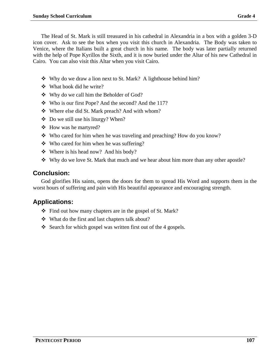The Head of St. Mark is still treasured in his cathedral in Alexandria in a box with a golden 3-D icon cover. Ask to see the box when you visit this church in Alexandria. The Body was taken to Venice, where the Italians built a great church in his name. The body was later partially returned with the help of Pope Kyrillos the Sixth, and it is now buried under the Altar of his new Cathedral in Cairo. You can also visit this Altar when you visit Cairo.

- Why do we draw a lion next to St. Mark? A lighthouse behind him?
- What book did he write?
- Why do we call him the Beholder of God?
- Who is our first Pope? And the second? And the 117?
- Where else did St. Mark preach? And with whom?
- Do we still use his liturgy? When?
- ❖ How was he martyred?
- Who cared for him when he was traveling and preaching? How do you know?
- Who cared for him when he was suffering?
- Where is his head now? And his body?
- Why do we love St. Mark that much and we hear about him more than any other apostle?

#### **Conclusion:**

God glorifies His saints, opens the doors for them to spread His Word and supports them in the worst hours of suffering and pain with His beautiful appearance and encouraging strength.

- Find out how many chapters are in the gospel of St. Mark?
- What do the first and last chapters talk about?
- Search for which gospel was written first out of the 4 gospels.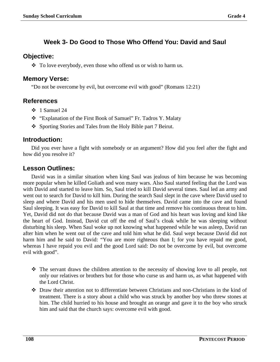## **Week 3- Do Good to Those Who Offend You: David and Saul**

#### **Objective:**

\* To love everybody, even those who offend us or wish to harm us.

#### **Memory Verse:**

"Do not be overcome by evil, but overcome evil with good" (Romans 12:21)

## **References**

- $\div$  1 Samuel 24
- \* "Explanation of the First Book of Samuel" Fr. Tadros Y. Malaty
- ❖ Sporting Stories and Tales from the Holy Bible part 7 Beirut.

## **Introduction:**

Did you ever have a fight with somebody or an argument? How did you feel after the fight and how did you resolve it?

## **Lesson Outlines:**

David was in a similar situation when king Saul was jealous of him because he was becoming more popular when he killed Goliath and won many wars. Also Saul started feeling that the Lord was with David and started to leave him. So, Saul tried to kill David several times. Saul led an army and went out to search for David to kill him. During the search Saul slept in the cave where David used to sleep and where David and his men used to hide themselves. David came into the cave and found Saul sleeping. It was easy for David to kill Saul at that time and remove his continuous threat to him. Yet, David did not do that because David was a man of God and his heart was loving and kind like the heart of God. Instead, David cut off the end of Saul's cloak while he was sleeping without disturbing his sleep. When Saul woke up not knowing what happened while he was asleep, David ran after him when he went out of the cave and told him what he did. Saul wept because David did not harm him and he said to David: "You are more righteous than I; for you have repaid me good, whereas I have repaid you evil and the good Lord said: Do not be overcome by evil, but overcome evil with good".

- $\hat{\mathbf{v}}$  The servant draws the children attention to the necessity of showing love to all people, not only our relatives or brothers but for those who curse us and harm us, as what happened with the Lord Christ.
- Draw their attention not to differentiate between Christians and non-Christians in the kind of treatment. There is a story about a child who was struck by another boy who threw stones at him. The child hurried to his house and brought an orange and gave it to the boy who struck him and said that the church says: overcome evil with good.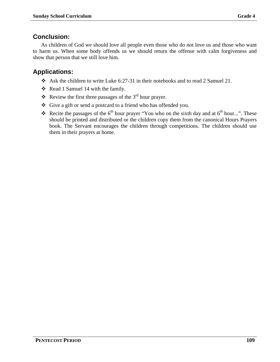#### **Conclusion:**

As children of God we should love all people even those who do not love us and those who want to harm us. When some body offends us we should return the offense with calm forgiveness and show that person that we still love him.

- $\triangleleft$  Ask the children to write Luke 6:27-31 in their notebooks and to read 2 Samuel 21.
- $\triangleleft$  Read 1 Samuel 14 with the family.
- Review the first three passages of the  $3<sup>rd</sup>$  hour prayer.
- Give a gift or send a postcard to a friend who has offended you.
- Recite the passages of the  $6<sup>th</sup>$  hour prayer "You who on the sixth day and at  $6<sup>th</sup>$  hour...". These should be printed and distributed or the children copy them from the canonical Hours Prayers book. The Servant encourages the children through competitions. The children should use them in their prayers at home.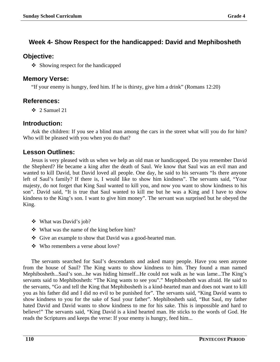## **Week 4- Show Respect for the handicapped: David and Mephibosheth**

## **Objective:**

 $\triangleleft$  Showing respect for the handicapped

## **Memory Verse:**

"If your enemy is hungry, feed him. If he is thirsty, give him a drink" (Romans 12:20)

## **References:**

 $\div$  2 Samuel 21

## **Introduction:**

Ask the children: If you see a blind man among the cars in the street what will you do for him? Who will be pleased with you when you do that?

## **Lesson Outlines:**

Jesus is very pleased with us when we help an old man or handicapped. Do you remember David the Shepherd? He became a king after the death of Saul. We know that Saul was an evil man and wanted to kill David, but David loved all people. One day, he said to his servants "Is there anyone left of Saul's family? If there is, I would like to show him kindness". The servants said, "Your majesty, do not forget that King Saul wanted to kill you, and now you want to show kindness to his son". David said, "It is true that Saul wanted to kill me but he was a King and I have to show kindness to the King's son. I want to give him money". The servant was surprised but he obeyed the King.

- What was David's job?
- $\cdot \cdot$  What was the name of the king before him?
- Give an example to show that David was a good-hearted man.
- Who remembers a verse about love?

The servants searched for Saul's descendants and asked many people. Have you seen anyone from the house of Saul? The King wants to show kindness to him. They found a man named Mephibosheth...Saul's son...he was hiding himself...He could not walk as he was lame...The King's servants said to Mephibosheth: "The King wants to see you"." Mephibosheth was afraid. He said to the servants, "Go and tell the King that Mephibosheth is a kind-hearted man and does not want to kill you as his father did and I did no evil to be punished for". The servants said, "King David wants to show kindness to you for the sake of Saul your father". Mephibosheth said, "But Saul, my father hated David and David wants to show kindness to me for his sake. This is impossible and hard to believe!" The servants said, "King David is a kind hearted man. He sticks to the words of God. He reads the Scriptures and keeps the verse: If your enemy is hungry, feed him...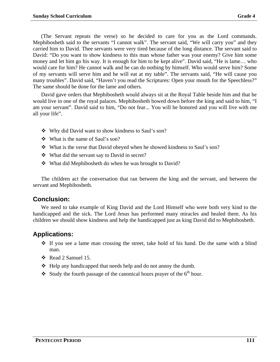(The Servant repeats the verse) so he decided to care for you as the Lord commands. Mephibosheth said to the servants "I cannot walk". The servant said, "We will carry you" and they carried him to David. Thee servants were very tired because of the long distance. The servant said to David: "Do you want to show kindness to this man whose father was your enemy? Give him some money and let him go his way. It is enough for him to be kept alive". David said, "He is lame… who would care for him? He cannot walk and he can do nothing by himself. Who would serve him? Some of my servants will serve him and he will eat at my table". The servants said, "He will cause you many troubles". David said, "Haven't you read the Scriptures: Open your mouth for the Speechless?" The same should be done for the lame and others.

David gave orders that Mephibosheth would always sit at the Royal Table beside him and that he would live in one of the royal palaces. Mephibosheth bowed down before the king and said to him, "I am your servant". David said to him, "Do not fear... You will be honored and you will live with me all your life".

- Why did David want to show kindness to Saul's son?
- What is the name of Saul's son?
- What is the verse that David obeyed when he showed kindness to Saul's son?
- What did the servant say to David in secret?
- ❖ What did Mephibosheth do when he was brought to David?

The children act the conversation that ran between the king and the servant, and between the servant and Mephibosheth.

#### **Conclusion:**

We need to take example of King David and the Lord Himself who were both very kind to the handicapped and the sick. The Lord Jesus has performed many miracles and healed them. As his children we should show kindness and help the handicapped just as king David did to Mephibosheth.

- $\div$  If you see a lame man crossing the street, take hold of his hand. Do the same with a blind man.
- $\div$  Read 2 Samuel 15.
- Help any handicapped that needs help and do not annoy the dumb.
- Study the fourth passage of the canonical hours prayer of the  $6<sup>th</sup>$  hour.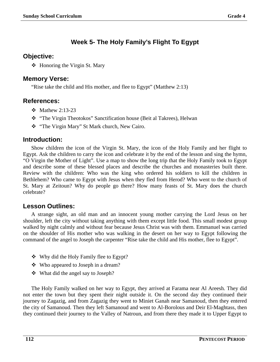# **Week 5- The Holy Family's Flight To Egypt**

## **Objective:**

 $\triangleleft$  Honoring the Virgin St. Mary

#### **Memory Verse:**

"Rise take the child and His mother, and flee to Egypt" (Matthew 2:13)

## **References:**

- $\div$  Mathew 2:13-23
- \* "The Virgin Theotokos" Sanctification house (Beit al Takrees), Helwan
- \* "The Virgin Mary" St Mark church, New Cairo.

## **Introduction:**

Show children the icon of the Virgin St. Mary, the icon of the Holy Family and her flight to Egypt. Ask the children to carry the icon and celebrate it by the end of the lesson and sing the hymn, "O Virgin the Mother of Light". Use a map to show the long trip that the Holy Family took to Egypt and describe some of these blessed places and describe the churches and monasteries built there. Review with the children: Who was the king who ordered his soldiers to kill the children in Bethlehem? Who came to Egypt with Jesus when they fled from Herod? Who went to the church of St. Mary at Zeitoun? Why do people go there? How many feasts of St. Mary does the church celebrate?

## **Lesson Outlines:**

A strange sight, an old man and an innocent young mother carrying the Lord Jesus on her shoulder, left the city without taking anything with them except little food. This small modest group walked by night calmly and without fear because Jesus Christ was with them. Emmanuel was carried on the shoulder of His mother who was walking in the desert on her way to Egypt following the command of the angel to Joseph the carpenter "Rise take the child and His mother, flee to Egypt".

- ❖ Why did the Holy Family flee to Egypt?
- **❖** Who appeared to Joseph in a dream?
- What did the angel say to Joseph?

The Holy Family walked on her way to Egypt, they arrived at Farama near Al Areesh. They did not enter the town but they spent their night outside it. On the second day they continued their journey to Zagazig, and from Zagazig they went to Miniet Ganah near Samanoud, then they entered the city of Samanoud. Then they left Samanoud and went to Al-Borolous and Deir El-Maghtass, then they continued their journey to the Valley of Natroun, and from there they made it to Upper Egypt to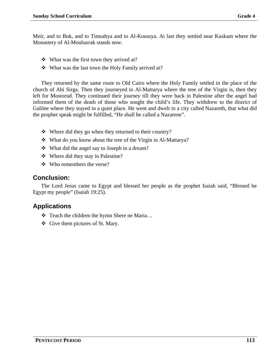Meir, and to Buk, and to Timsahya and to Al-Koussya. At last they settled near Kuskam where the Monastery of Al-Mouharrak stands now.

- What was the first town they arrived at?
- What was the last town the Holy Family arrived at?

They returned by the same route to Old Cairo where the Holy Family settled in the place of the church of Abi Sirga. Then they journeyed to Al-Mattarya where the tree of the Virgin is, then they left for Mostorud. They continued their journey till they were back in Palestine after the angel had informed them of the death of those who sought the child's life. They withdrew to the district of Galilee where they stayed in a quiet place. He went and dwelt in a city called Nazareth, that what did the prophet speak might be fulfilled, "He shall be called a Nazarene".

- ❖ Where did they go when they returned to their country?
- What do you know about the tree of the Virgin in Al-Mattarya?
- What did the angel say to Joseph in a dream?
- Where did they stay in Palestine?
- Who remembers the verse?

#### **Conclusion:**

The Lord Jesus came to Egypt and blessed her people as the prophet Isaiah said, "Blessed be Egypt my people" (Isaiah 19:25).

- $\triangleleft$  Teach the children the hymn Shere ne Maria...
- Give them pictures of St. Mary.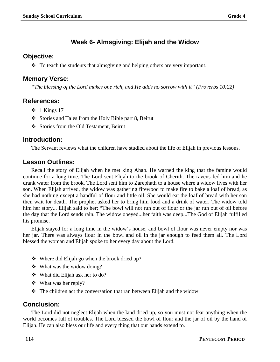# **Week 6- Almsgiving: Elijah and the Widow**

#### **Objective:**

 $\cdot \cdot$  To teach the students that almsgiving and helping others are very important.

## **Memory Verse:**

*"The blessing of the Lord makes one rich, and He adds no sorrow with it" (Proverbs 10:22)*

## **References:**

- $\div$  1 Kings 17
- Stories and Tales from the Holy Bible part 8, Beirut
- Stories from the Old Testament, Beirut

## **Introduction:**

The Servant reviews what the children have studied about the life of Elijah in previous lessons.

## **Lesson Outlines:**

Recall the story of Elijah when he met king Ahab. He warned the king that the famine would continue for a long time. The Lord sent Elijah to the brook of Cherith. The ravens fed him and he drank water from the brook. The Lord sent him to Zarephath to a house where a widow lives with her son. When Elijah arrived, the widow was gathering firewood to make fire to bake a loaf of bread, as she had nothing except a handful of flour and little oil. She would eat the loaf of bread with her son then wait for death. The prophet asked her to bring him food and a drink of water. The widow told him her story... Elijah said to her; "The bowl will not run out of flour or the jar run out of oil before the day that the Lord sends rain. The widow obeyed...her faith was deep...The God of Elijah fulfilled his promise.

Elijah stayed for a long time in the widow's house, and bowl of flour was never empty nor was her jar. There was always flour in the bowl and oil in the jar enough to feed them all. The Lord blessed the woman and Elijah spoke to her every day about the Lord.

- Where did Elijah go when the brook dried up?
- $\triangleleft$  What was the widow doing?
- What did Elijah ask her to do?
- What was her reply?
- The children act the conversation that ran between Elijah and the widow.

## **Conclusion:**

The Lord did not neglect Elijah when the land dried up, so you must not fear anything when the world becomes full of troubles. The Lord blessed the bowl of flour and the jar of oil by the hand of Elijah. He can also bless our life and every thing that our hands extend to.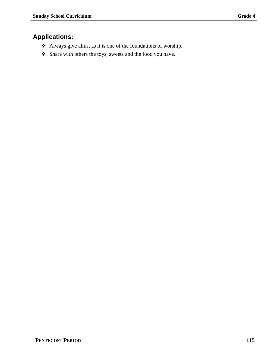- Always give alms, as it is one of the foundations of worship.
- Share with others the toys, sweets and the food you have.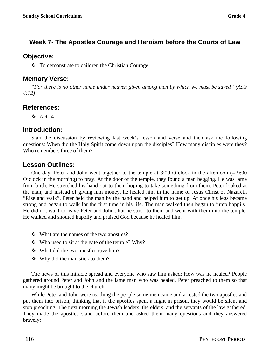## **Week 7- The Apostles Courage and Heroism before the Courts of Law**

#### **Objective:**

To demonstrate to children the Christian Courage

## **Memory Verse:**

*"For there is no other name under heaven given among men by which we must be saved" (Acts 4:12)*

## **References:**

 $\triangle$  Acts 4

#### **Introduction:**

Start the discussion by reviewing last week's lesson and verse and then ask the following questions: When did the Holy Spirit come down upon the disciples? How many disciples were they? Who remembers three of them?

## **Lesson Outlines:**

One day, Peter and John went together to the temple at 3:00 O'clock in the afternoon (= 9:00 O'clock in the morning) to pray. At the door of the temple, they found a man begging. He was lame from birth. He stretched his hand out to them hoping to take something from them. Peter looked at the man; and instead of giving him money, he healed him in the name of Jesus Christ of Nazareth "Rise and walk". Peter held the man by the hand and helped him to get up. At once his legs became strong and began to walk for the first time in his life. The man walked then began to jump happily. He did not want to leave Peter and John...but he stuck to them and went with them into the temple. He walked and shouted happily and praised God because he healed him.

- What are the names of the two apostles?
- $\bullet\bullet\text{ Who used to sit at the gate of the temple? Why?}$
- **❖** What did the two apostles give him?
- $\triangleleft$  Why did the man stick to them?

The news of this miracle spread and everyone who saw him asked: How was he healed? People gathered around Peter and John and the lame man who was healed. Peter preached to them so that many might be brought to the church.

While Peter and John were teaching the people some men came and arrested the two apostles and put them into prison, thinking that if the apostles spent a night in prison, they would be silent and stop preaching. The next morning the Jewish leaders, the elders, and the servants of the law gathered. They made the apostles stand before them and asked them many questions and they answered bravely: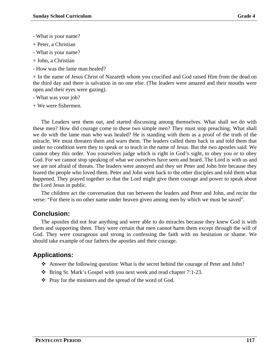- What is your name?
- + Peter, a Christian
- What is your name?
- + John, a Christian
- How was the lame man healed?

+ In the name of Jesus Christ of Nazareth whom you crucified and God raised Him from the dead on the third day and there is salvation in no one else. (The leaders were amazed and their mouths were open and their eyes were gazing).

- What was your job?
- + We were fishermen.

The Leaders sent them out, and started discussing among themselves. What shall we do with these men? How did courage come to these two simple men? They must stop preaching. What shall we do with the lame man who was healed? He is standing with them as a proof of the truth of the miracle. We must threaten them and warn them. The leaders called them back in and told them that under no condition were they to speak or to teach in the name of Jesus. But the two apostles said: We cannot obey this order. You yourselves judge which is right in God's sight, to obey you or to obey God. For we cannot stop speaking of what we ourselves have seen and heard. The Lord is with us and we are not afraid of threats. The leaders were annoyed and they set Peter and John free because they feared the people who loved them. Peter and John went back to the other disciples and told them what happened. They prayed together so that the Lord might give them courage and power to speak about the Lord Jesus in public.

The children act the conversation that ran between the leaders and Peter and John, and recite the verse: "For there is no other name under heaven given among men by which we must be saved".

#### **Conclusion:**

The apostles did not fear anything and were able to do miracles because they knew God is with them and supporting them. They were certain that men cannot harm them except through the will of God. They were courageous and strong in confessing the faith with no hesitation or shame. We should take example of our fathers the apostles and their courage.

- Answer the following question: What is the secret behind the courage of Peter and John?
- Bring St. Mark's Gospel with you next week and read chapter 7:1-23.
- $\triangle$  Pray for the ministers and the spread of the word of God.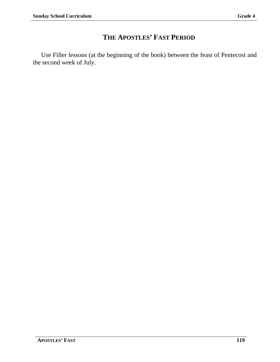# **THE APOSTLES' FAST PERIOD**

Use Filler lessons (at the beginning of the book) between the feast of Pentecost and the second week of July.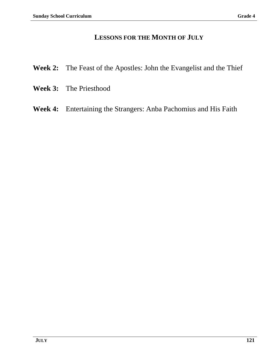# **LESSONS FOR THE MONTH OF JULY**

- **Week 2:** The Feast of the Apostles: John the Evangelist and the Thief
- **Week 3:** The Priesthood
- **Week 4:** Entertaining the Strangers: Anba Pachomius and His Faith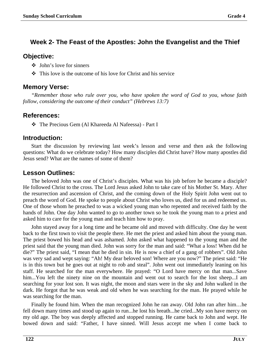# **Week 2- The Feast of the Apostles: John the Evangelist and the Thief**

## **Objective:**

- John's love for sinners
- $\cdot \cdot$  This love is the outcome of his love for Christ and his service

## **Memory Verse:**

*"Remember those who rule over you, who have spoken the word of God to you, whose faith follow, considering the outcome of their conduct" (Hebrews 13:7)*

# **References:**

The Precious Gem (Al Khareeda Al Nafeessa) - Part I

## **Introduction:**

Start the discussion by reviewing last week's lesson and verse and then ask the following questions: What do we celebrate today? How many disciples did Christ have? How many apostles did Jesus send? What are the names of some of them?

# **Lesson Outlines:**

The beloved John was one of Christ's disciples. What was his job before he became a disciple? He followed Christ to the cross. The Lord Jesus asked John to take care of his Mother St. Mary. After the resurrection and ascension of Christ, and the coming down of the Holy Spirit John went out to preach the word of God. He spoke to people about Christ who loves us, died for us and redeemed us. One of those whom he preached to was a wicked young man who repented and received faith by the hands of John. One day John wanted to go to another town so he took the young man to a priest and asked him to care for the young man and teach him how to pray.

John stayed away for a long time and he became old and moved with difficulty. One day he went back to the first town to visit the people there. He met the priest and asked him about the young man. The priest bowed his head and was ashamed. John asked what happened to the young man and the priest said that the young man died. John was sorry for the man and said: "What a loss! When did he die?" The priest said, "I mean that he died in sin. He is now a chief of a gang of robbers". Old John was very sad and wept saying: "Ah! My dear beloved son! Where are you now?" The priest said: "He is in this town but he goes out at night to rob and steal". John went out immediately leaning on his staff. He searched for the man everywhere. He prayed: "O Lord have mercy on that man...Save him...You left the ninety nine on the mountain and went out to search for the lost sheep...I am searching for your lost son. It was night, the moon and stars were in the sky and John walked in the dark. He forgot that he was weak and old when he was searching for the man. He prayed while he was searching for the man.

Finally he found him. When the man recognized John he ran away. Old John ran after him…he fell down many times and stood up again to run...he lost his breath...he cried...My son have mercy on my old age. The boy was deeply affected and stopped running. He came back to John and wept. He bowed down and said: "Father, I have sinned. Will Jesus accept me when I come back to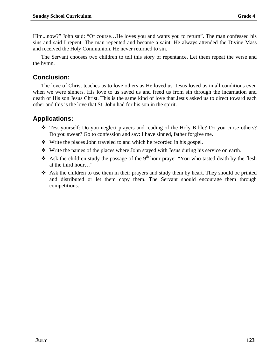Him...now?" John said: "Of course…He loves you and wants you to return". The man confessed his sins and said I repent. The man repented and became a saint. He always attended the Divine Mass and received the Holy Communion. He never returned to sin.

The Servant chooses two children to tell this story of repentance. Let them repeat the verse and the hymn.

## **Conclusion:**

The love of Christ teaches us to love others as He loved us. Jesus loved us in all conditions even when we were sinners. His love to us saved us and freed us from sin through the incarnation and death of His son Jesus Christ. This is the same kind of love that Jesus asked us to direct toward each other and this is the love that St. John had for his son in the spirit.

- Test yourself: Do you neglect prayers and reading of the Holy Bible? Do you curse others? Do you swear? Go to confession and say: I have sinned, father forgive me.
- Write the places John traveled to and which he recorded in his gospel.
- Write the names of the places where John stayed with Jesus during his service on earth.
- Ask the children study the passage of the 9<sup>th</sup> hour prayer "You who tasted death by the flesh at the third hour…"
- Ask the children to use them in their prayers and study them by heart. They should be printed and distributed or let them copy them. The Servant should encourage them through competitions.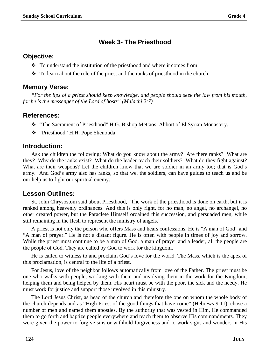## **Week 3- The Priesthood**

#### **Objective:**

- To understand the institution of the priesthood and where it comes from.
- $\div$  To learn about the role of the priest and the ranks of priesthood in the church.

#### **Memory Verse:**

*"For the lips of a priest should keep knowledge, and people should seek the law from his mouth, for he is the messenger of the Lord of hosts" (Malachi 2:7)*

## **References:**

- "The Sacrament of Priesthood" H.G. Bishop Mettaos, Abbott of El Syrian Monastery.
- "Priesthood" H.H. Pope Shenouda

## **Introduction:**

Ask the children the following: What do you know about the army? Are there ranks? What are they? Why do the ranks exist? What do the leader teach their soldiers? What do they fight against? What are their weapons? Let the children know that we are soldier in an army too; that is God's army. And God's army also has ranks, so that we, the soldiers, can have guides to teach us and be our help us to fight our spiritual enemy.

## **Lesson Outlines:**

St. John Chrysostom said about Priesthood, "The work of the priesthood is done on earth, but it is ranked among heavenly ordinances. And this is only right, for no man, no angel, no archangel, no other created power, but the Paraclete Himself ordained this succession, and persuaded men, while still remaining in the flesh to represent the ministry of angels."

A priest is not only the person who offers Mass and hears confessions. He is "A man of God" and "A man of prayer." He is not a distant figure. He is often with people in times of joy and sorrow. While the priest must continue to be a man of God, a man of prayer and a leader, all the people are the people of God. They are called by God to work for the kingdom.

He is called to witness to and proclaim God's love for the world. The Mass, which is the apex of this proclamation, is central to the life of a priest.

For Jesus, love of the neighbor follows automatically from love of the Father. The priest must be one who walks with people, working with them and involving them in the work for the Kingdom; helping them and being helped by them. His heart must be with the poor, the sick and the needy. He must work for justice and support those involved in this ministry.

The Lord Jesus Christ, as head of the church and therefore the one on whom the whole body of the church depends and as "High Priest of the good things that have come" (Hebrews 9:11), chose a number of men and named them apostles. By the authority that was vested in Him, He commanded them to go forth and baptize people everywhere and teach them to observe His commandments. They were given the power to forgive sins or withhold forgiveness and to work signs and wonders in His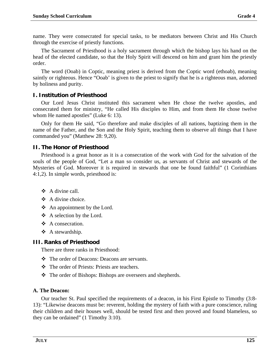name. They were consecrated for special tasks, to be mediators between Christ and His Church through the exercise of priestly functions.

The Sacrament of Priesthood is a holy sacrament through which the bishop lays his hand on the head of the elected candidate, so that the Holy Spirit will descend on him and grant him the priestly order.

The word (Ooab) in Coptic, meaning priest is derived from the Coptic word (ethoab), meaning saintly or righteous. Hence "Ooab' is given to the priest to signify that he is a righteous man, adorned by holiness and purity.

#### **I. Institution of Priesthood**

Our Lord Jesus Christ instituted this sacrament when He chose the twelve apostles, and consecrated them for ministry, "He called His disciples to Him, and from them He chose twelve whom He named apostles" (Luke 6: 13).

Only for them He said, "Go therefore and make disciples of all nations, baptizing them in the name of the Father, and the Son and the Holy Spirit, teaching them to observe all things that I have commanded you" (Matthew 28: 9,20).

#### **II. The Honor of Priesthood**

Priesthood is a great honor as it is a consecration of the work with God for the salvation of the souls of the people of God, "Let a man so consider us, as servants of Christ and stewards of the Mysteries of God. Moreover it is required in stewards that one be found faithful" (1 Corinthians 4:1,2). In simple words, priesthood is:

- A divine call.
- $\triangle$  A divine choice.
- $\triangleleft$  An appointment by the Lord.
- $\triangle$  A selection by the Lord.
- $\triangle$  A consecration.
- $\triangle$  A stewardship.

#### **III. Ranks of Priesthood**

There are three ranks in Priesthood:

- The order of Deacons: Deacons are servants.
- The order of Priests: Priests are teachers.
- The order of Bishops: Bishops are overseers and shepherds.

#### **A. The Deacon:**

Our teacher St. Paul specified the requirements of a deacon, in his First Epistle to Timothy (3:8- 13): "Likewise deacons must be: reverent, holding the mystery of faith with a pure conscience, ruling their children and their houses well, should be tested first and then proved and found blameless, so they can be ordained" (1 Timothy 3:10).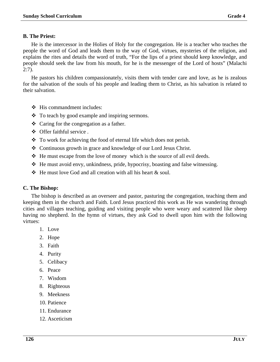#### **B. The Priest:**

He is the intercessor in the Holies of Holy for the congregation. He is a teacher who teaches the people the word of God and leads them to the way of God, virtues, mysteries of the religion, and explains the rites and details the word of truth, "For the lips of a priest should keep knowledge, and people should seek the law from his mouth, for he is the messenger of the Lord of hosts" (Malachi 2:7).

He pastors his children compassionately, visits them with tender care and love, as he is zealous for the salvation of the souls of his people and leading them to Christ, as his salvation is related to their salvation.

- $\div$  His commandment includes:
- $\triangle$  To teach by good example and inspiring sermons.
- Caring for the congregation as a father.
- Offer faithful service .
- To work for achieving the food of eternal life which does not perish.
- Continuous growth in grace and knowledge of our Lord Jesus Christ.
- $\triangleleft$  He must escape from the love of money which is the source of all evil deeds.
- $\triangleleft$  He must avoid envy, unkindness, pride, hypocrisy, boasting and false witnessing.
- $\triangle$  He must love God and all creation with all his heart & soul.

#### **C. The Bishop:**

The bishop is described as an overseer and pastor, pasturing the congregation, teaching them and keeping them in the church and Faith. Lord Jesus practiced this work as He was wandering through cities and villages teaching, guiding and visiting people who were weary and scattered like sheep having no shepherd. In the hymn of virtues, they ask God to dwell upon him with the following virtues:

- 1. Love
- 2. Hope
- 3. Faith
- 4. Purity
- 5. Celibacy
- 6. Peace
- 7. Wisdom
- 8. Righteous
- 9. Meekness
- 10. Patience
- 11. Endurance
- 12. Asceticism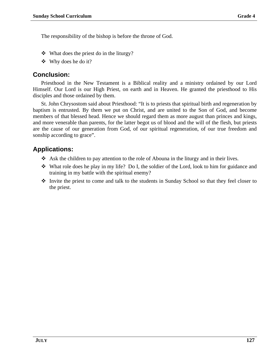The responsibility of the bishop is before the throne of God.

- What does the priest do in the liturgy?
- $\bullet$  Why does he do it?

#### **Conclusion:**

Priesthood in the New Testament is a Biblical reality and a ministry ordained by our Lord Himself. Our Lord is our High Priest, on earth and in Heaven. He granted the priesthood to His disciples and those ordained by them.

St. John Chrysostom said about Priesthood: "It is to priests that spiritual birth and regeneration by baptism is entrusted. By them we put on Christ, and are united to the Son of God, and become members of that blessed head. Hence we should regard them as more august than princes and kings, and more venerable than parents, for the latter begot us of blood and the will of the flesh, but priests are the cause of our generation from God, of our spiritual regeneration, of our true freedom and sonship according to grace".

- Ask the children to pay attention to the role of Abouna in the liturgy and in their lives.
- What role does he play in my life? Do I, the soldier of the Lord, look to him for guidance and training in my battle with the spiritual enemy?
- $\hat{\mathbf{v}}$  Invite the priest to come and talk to the students in Sunday School so that they feel closer to the priest.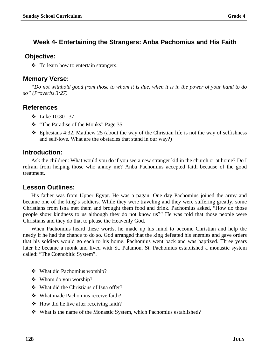## **Objective:**

❖ To learn how to entertain strangers.

## **Memory Verse:**

*"Do not withhold good from those to whom it is due, when it is in the power of your hand to do so" (Proverbs 3:27)*

## **References**

- Luke  $10:30 37$
- "The Paradise of the Monks" Page 35
- $\cdot$  Ephesians 4:32, Matthew 25 (about the way of the Christian life is not the way of selfishness and self-love. What are the obstacles that stand in our way?)

## **Introduction:**

Ask the children: What would you do if you see a new stranger kid in the church or at home? Do I refrain from helping those who annoy me? Anba Pachomius accepted faith because of the good treatment.

## **Lesson Outlines:**

His father was from Upper Egypt. He was a pagan. One day Pachomius joined the army and became one of the king's soldiers. While they were traveling and they were suffering greatly, some Christians from Isna met them and brought them food and drink. Pachomius asked, "How do those people show kindness to us although they do not know us?" He was told that those people were Christians and they do that to please the Heavenly God.

When Pachomius heard these words, he made up his mind to become Christian and help the needy if he had the chance to do so. God arranged that the king defeated his enemies and gave orders that his soldiers would go each to his home. Pachomius went back and was baptized. Three years later he became a monk and lived with St. Palamon. St. Pachomius established a monastic system called: "The Coenobitic System".

- What did Pachomius worship?
- Whom do you worship?
- What did the Christians of Isna offer?
- What made Pachomius receive faith?
- $\triangleleft$  How did he live after receiving faith?
- What is the name of the Monastic System, which Pachomius established?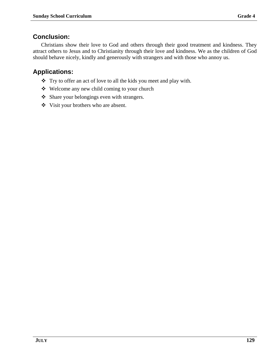## **Conclusion:**

Christians show their love to God and others through their good treatment and kindness. They attract others to Jesus and to Christianity through their love and kindness. We as the children of God should behave nicely, kindly and generously with strangers and with those who annoy us.

- \* Try to offer an act of love to all the kids you meet and play with.
- Welcome any new child coming to your church
- Share your belongings even with strangers.
- Visit your brothers who are absent.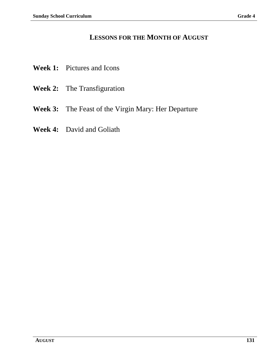## **LESSONS FOR THE MONTH OF AUGUST**

- **Week 1:** Pictures and Icons
- **Week 2:** The Transfiguration
- **Week 3:** The Feast of the Virgin Mary: Her Departure
- **Week 4:** David and Goliath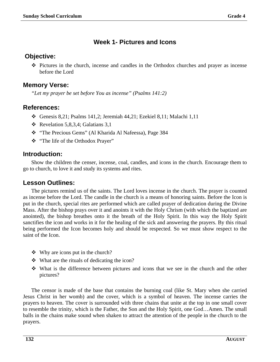## **Week 1- Pictures and Icons**

#### **Objective:**

 $\triangle$  Pictures in the church, incense and candles in the Orthodox churches and prayer as incense before the Lord

## **Memory Verse:**

*"Let my prayer be set before You as incense" (Psalms 141:2)* 

## **References:**

- $\triangleleft$  Genesis 8,21; Psalms 141,2; Jeremiah 44,21; Ezekiel 8,11; Malachi 1,11
- Revelation 5,8,3,4; Galatians 3,1
- \* "The Precious Gems" (Al Kharida Al Nafeessa), Page 384
- "The life of the Orthodox Prayer"

## **Introduction:**

Show the children the censer, incense, coal, candles, and icons in the church. Encourage them to go to church, to love it and study its systems and rites.

## **Lesson Outlines:**

The pictures remind us of the saints. The Lord loves incense in the church. The prayer is counted as incense before the Lord. The candle in the church is a means of honoring saints. Before the Icon is put in the church, special rites are performed which are called prayer of dedication during the Divine Mass. After the bishop prays over it and anoints it with the Holy Chrism (with which the baptized are anointed), the bishop breathes onto it the breath of the Holy Spirit. In this way the Holy Spirit sanctifies the icon and works in it for the healing of the sick and answering the prayers. By this ritual being performed the Icon becomes holy and should be respected. So we must show respect to the saint of the Icon.

- $\bullet\bullet\text{ Why are icons put in the church?}$
- $\triangleleft$  What are the rituals of dedicating the icon?
- What is the difference between pictures and icons that we see in the church and the other pictures?

The censor is made of the base that contains the burning coal (like St. Mary when she carried Jesus Christ in her womb) and the cover, which is a symbol of heaven. The incense carries the prayers to heaven. The cover is surrounded with three chains that unite at the top in one small cover to resemble the trinity, which is the Father, the Son and the Holy Spirit, one God…Amen. The small balls in the chains make sound when shaken to attract the attention of the people in the church to the prayers.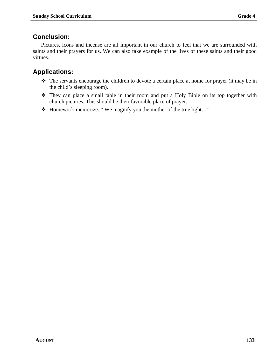## **Conclusion:**

Pictures, icons and incense are all important in our church to feel that we are surrounded with saints and their prayers for us. We can also take example of the lives of these saints and their good virtues.

- The servants encourage the children to devote a certain place at home for prayer (it may be in the child's sleeping room).
- They can place a small table in their room and put a Holy Bible on its top together with church pictures. This should be their favorable place of prayer.
- \* Homework-memorize.." We magnify you the mother of the true light..."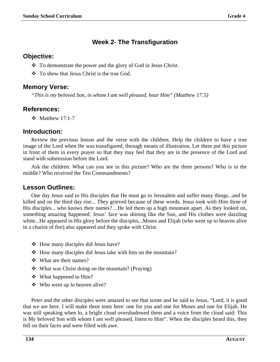# **Week 2- The Transfiguration**

#### **Objective:**

- To demonstrate the power and the glory of God in Jesus Christ.
- To show that Jesus Christ is the true God.

#### **Memory Verse:**

*"This is my beloved Son, in whom I am well pleased, hear Him" (Matthew 17:5)*

## **References:**

Matthew 17:1-7

#### **Introduction:**

Review the previous lesson and the verse with the children. Help the children to have a true image of the Lord when He was transfigured, through means of illustration. Let them put this picture in front of them in every prayer so that they may feel that they are in the presence of the Lord and stand with submission before the Lord.

Ask the children: What can you see in this picture? Who are the three persons? Who is in the middle? Who received the Ten Commandments?

#### **Lesson Outlines:**

One day Jesus said to His disciples that He must go to Jerusalem and suffer many things...and be killed and on the third day rise... They grieved because of these words. Jesus took with Him three of His disciples... who knows their names? ...He led them up a high mountain apart. As they looked on, something amazing happened: Jesus' face was shining like the Sun, and His clothes were dazzling white...He appeared in His glory before the disciples...Moses and Elijah (who went up to heaven alive in a chariot of fire) also appeared and they spoke with Christ.

- $\triangleleft$  How many disciples did Jesus have?
- $\triangle$  How many disciples did Jesus take with him on the mountain?
- ❖ What are their names?
- What was Christ doing on the mountain? (Praying)
- **❖** What happened to Him?
- **❖** Who went up lo heaven alive?

Peter and the other disciples were amazed to see that scene and he said to Jesus, "Lord, it is good that we are here. I will make three tents here: one for you and one for Moses and one for Elijah. He was still speaking when lo, a bright cloud overshadowed them and a voice from the cloud said: This is My beloved Son with whom I am well pleased, listen to Him". When the disciples heard this, they fell on their faces and were filled with awe.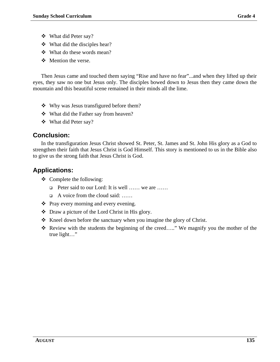- What did Peter say?
- What did the disciples hear?
- What do these words mean?
- $\div$  Mention the verse.

Then Jesus came and touched them saying "Rise and have no fear"...and when they lifted up their eyes, they saw no one but Jesus only. The disciples bowed down to Jesus then they came down the mountain and this beautiful scene remained in their minds all the lime.

- Why was Jesus transfigured before them?
- What did the Father say from heaven?
- What did Peter say?

#### **Conclusion:**

In the transfiguration Jesus Christ showed St. Peter, St. James and St. John His glory as a God to strengthen their faith that Jesus Christ is God Himself. This story is mentioned to us in the Bible also to give us the strong faith that Jesus Christ is God.

- $\triangleleft$  Complete the following:
	- Peter said to our Lord: It is well …… we are ……
	- □ A voice from the cloud said: ......
- ❖ Pray every morning and every evening.
- Draw a picture of the Lord Christ in His glory.
- $\triangleleft$  Kneel down before the sanctuary when you imagine the glory of Christ.
- Review with the students the beginning of the creed….." We magnify you the mother of the true light…"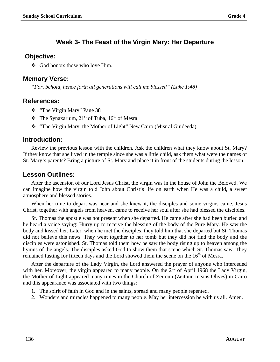# **Week 3- The Feast of the Virgin Mary: Her Departure**

#### **Objective:**

❖ God honors those who love Him.

#### **Memory Verse:**

*"For, behold, hence forth all generations will call me blessed" (Luke 1:48)*

#### **References:**

- \* "The Virgin Mary" Page 38
- $\div$  The Synaxarium, 21<sup>st</sup> of Tuba, 16<sup>th</sup> of Mesra
- \* "The Virgin Mary, the Mother of Light" New Cairo (Misr al Guideeda)

## **Introduction:**

Review the previous lesson with the children. Ask the children what they know about St. Mary? If they know that she lived in the temple since she was a little child, ask them what were the names of St. Mary's parents? Bring a picture of St. Mary and place it in front of the students during the lesson.

## **Lesson Outlines:**

After the ascension of our Lord Jesus Christ, the virgin was in the house of John the Beloved. We can imagine how the virgin told John about Christ's life on earth when He was a child, a sweet atmosphere and blessed stories.

When her time to depart was near and she knew it, the disciples and some virgins came. Jesus Christ, together with angels from heaven, came to receive her soul after she had blessed the disciples.

St. Thomas the apostle was not present when she departed. He came after she had been buried and he heard a voice saying: Hurry up to receive the blessing of the body of the Pure Mary. He saw the body and kissed her. Later, when he met the disciples, they told him that she departed but St. Thomas did not believe this news. They went together to her tomb but they did not find the body and the disciples were astonished. St. Thomas told them how he saw the body rising up to heaven among the hymns of the angels. The disciples asked God to show them that scene which St. Thomas saw. They remained fasting for fifteen days and the Lord showed them the scene on the  $16<sup>th</sup>$  of Mesra.

After the departure of the Lady Virgin, the Lord answered the prayer of anyone who interceded with her. Moreover, the virgin appeared to many people. On the 2<sup>nd</sup> of April 1968 the Lady Virgin, the Mother of Light appeared many times in the Church of Zeitoun (Zeitoun means Olives) in Cairo and this appearance was associated with two things:

- 1. The spirit of faith in God and in the saints, spread and many people repented.
- 2. Wonders and miracles happened to many people. May her intercession be with us all. Amen.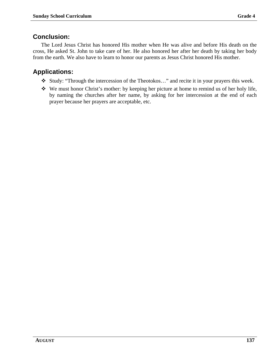## **Conclusion:**

The Lord Jesus Christ has honored His mother when He was alive and before His death on the cross, He asked St. John to take care of her. He also honored her after her death by taking her body from the earth. We also have to learn to honor our parents as Jesus Christ honored His mother.

- Study: "Through the intercession of the Theotokos…" and recite it in your prayers this week.
- We must honor Christ's mother: by keeping her picture at home to remind us of her holy life, by naming the churches after her name, by asking for her intercession at the end of each prayer because her prayers are acceptable, etc.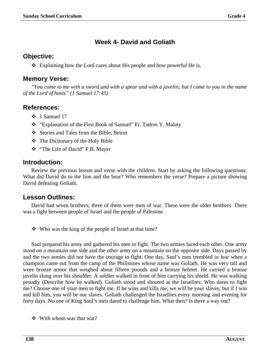# **Week 4- David and Goliath**

#### **Objective:**

Explaining how the Lord cares about His people and how powerful He is.

## **Memory Verse:**

*"You come to me with a sword and with a spear and with a javelin; but I come to you in the name of the Lord of hosts" (1 Samuel 17:45)*

# **References:**

- $\div$  1 Samuel 17
- "Explanation of the First Book of Samuel" Fr. Tadros Y. Malaty
- Stories and Tales from the Bible, Beirut
- The Dictionary of the Holy Bible
- "The Life of David" F.B. Mayer

## **Introduction:**

Review the previous lesson and verse with the children. Start by asking the following questions: What did David do to the lion and the bear? Who remembers the verse? Prepare a picture showing David defeating Goliath.

# **Lesson Outlines:**

David had seven brothers; three of them were men of war. These were the older brothers. There was a fight between people of Israel and the people of Palestine.

 $\triangleleft$  Who was the king of the people of Israel at that time?

Saul prepared his army and gathered his men to fight. The two armies faced each other. One army stood on a mountain one side and the other army on a mountain on the opposite side. Days passed by and the two armies did not have the courage to fight. One day, Saul's men trembled in fear when a champion came out from the camp of the Philistines whose name was Goliath. He was very tall and wore bronze armor that weighed about fifteen pounds and a bronze helmet. He carried a bronze javelin slung over his shoulder. A soldier walked in front of him carrying his shield. He was walking proudly (Describe how he walked). Goliath stood and shouted at the Israelites: Who dares to fight me? Choose one of your men to fight me. If he wins and kills me, we will be your slaves; but if I win and kill him, you will be our slaves. Goliath challenged the Israelites every morning and evening for forty days. No one of King Saul's men dared to challenge him. What then? Is there a way out?

With whom was that war?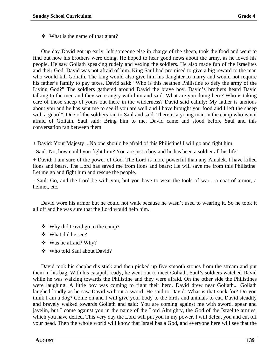What is the name of that giant?

One day David got up early, left someone else in charge of the sheep, took the food and went to find out how his brothers were doing. He hoped to hear good news about the army, as he loved his people. He saw Goliath speaking rudely and vexing the soldiers. He also made fun of the Israelites and their God. David was not afraid of him. King Saul had promised to give a big reward to the man who would kill Goliath. The king would also give him his daughter to marry and would not require his father's family to pay taxes. David said: "Who is this heathen Philistine to defy the army of the Living God?" The soldiers gathered around David the brave boy. David's brothers heard David talking to the men and they were angry with him and said: What are you doing here? Who is taking care of those sheep of yours out there in the wilderness? David said calmly: My father is anxious about you and he has sent me to see if you are well and I have brought you food and I left the sheep with a guard". One of the soldiers ran to Saul and said: There is a young man in the camp who is not afraid of Goliath. Saul said: Bring him to me. David came and stood before Saul and this conversation ran between them:

+ David: Your Majesty ...No one should be afraid of this Philistine! I will go and fight him.

- Saul: No, how could you fight him? You are just a boy and he has been a soldier all his life!

+ David: I am sure of the power of God. The Lord is more powerful than any Amalek. I have killed lions and bears. The Lord has saved me from lions and bears; He will save me from this Philistine. Let me go and fight him and rescue the people.

- Saul: Go, and the Lord be with you, but you have to wear the tools of war... a coat of armor, a helmet, etc.

David wore his armor but he could not walk because he wasn't used to wearing it. So he took it all off and he was sure that the Lord would help him.

- Why did David go to the camp?
- What did he see?
- Was he afraid? Why?
- Who told Saul about David?

David took his shepherd's stick and then picked up five smooth stones from the stream and put them in his bag. With his catapult ready, he went out to meet Goliath. Saul's soldiers watched David while he was walking towards the Philistine and they were afraid. On the other side the Philistines were laughing. A little boy was coming to fight their hero. David drew near Goliath... Goliath laughed loudly as he saw David without a sword. He said to David: What is that stick for? Do you think I am a dog? Come on and I will give your body to the birds and animals to eat. David steadily and bravely walked towards Goliath and said: You are coming against me with sword, spear and javelin, but I come against you in the name of the Lord Almighty, the God of the Israelite armies, which you have defied. This very day the Lord will put you in my power. I will defeat you and cut off your head. Then the whole world will know that Israel has a God, and everyone here will see that the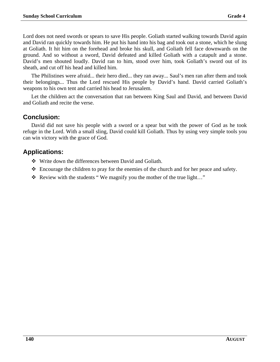Lord does not need swords or spears to save His people. Goliath started walking towards David again and David ran quickly towards him. He put his hand into his bag and took out a stone, which he slung at Goliath. It hit him on the forehead and broke his skull, and Goliath fell face downwards on the ground. And so without a sword, David defeated and killed Goliath with a catapult and a stone. David's men shouted loudly. David ran to him, stood over him, took Goliath's sword out of its sheath, and cut off his head and killed him.

The Philistines were afraid... their hero died... they ran away... Saul's men ran after them and took their belongings... Thus the Lord rescued His people by David's hand. David carried Goliath's weapons to his own tent and carried his head to Jerusalem.

Let the children act the conversation that ran between King Saul and David, and between David and Goliath and recite the verse.

#### **Conclusion:**

David did not save his people with a sword or a spear but with the power of God as he took refuge in the Lord. With a small sling, David could kill Goliath. Thus by using very simple tools you can win victory with the grace of God.

- Write down the differences between David and Goliath.
- $\div$  Encourage the children to pray for the enemies of the church and for her peace and safety.
- Review with the students " We magnify you the mother of the true light…"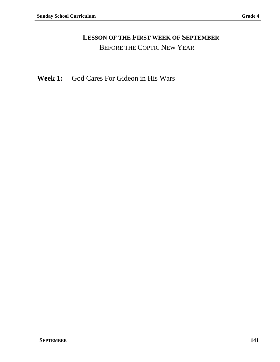# **LESSON OF THE FIRST WEEK OF SEPTEMBER**  BEFORE THE COPTIC NEW YEAR

**Week 1:** God Cares For Gideon in His Wars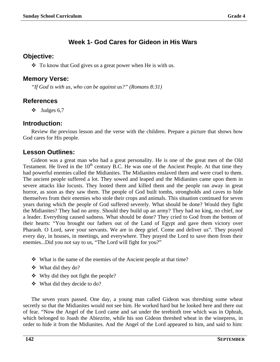# **Week 1- God Cares for Gideon in His Wars**

#### **Objective:**

 $\cdot \cdot$  To know that God gives us a great power when He is with us.

#### **Memory Verse:**

*"If God is with us, who can be against us?" (Romans 8:31)*

#### **References**

 $\div$  Judges 6,7

#### **Introduction:**

Review the previous lesson and the verse with the children. Prepare a picture that shows how God cares for His people.

## **Lesson Outlines:**

Gideon was a great man who had a great personality. He is one of the great men of the Old Testament. He lived in the 10<sup>th</sup> century B.C. He was one of the Ancient People. At that time they had powerful enemies called the Midianites. The Midianites enslaved them and were cruel to them. The ancient people suffered a lot. They sowed and leaped and the Midianites came upon them in severe attacks like locusts. They looted them and killed them and the people ran away in great horror, as soon as they saw them. The people of God built tombs, strongholds and caves to hide themselves from their enemies who stole their crops and animals. This situation continued for seven years during which the people of God suffered severely. What should be done? Would they fight the Midianites? They had no army. Should they build up an army? They had no king, no chief, nor a leader. Everything caused sadness. What should be done? They cried to God from the bottom of their hearts: "You brought our fathers out of the Land of Egypt and gave them victory over Pharaoh. O Lord, save your servants. We are in deep grief. Come and deliver us". They prayed every day, in houses, in meetings, and everywhere. They prayed the Lord to save them from their enemies...Did you not say to us, "The Lord will fight for you?"

- What is the name of the enemies of the Ancient people at that time?
- What did they do?
- $\div$  Why did they not fight the people?
- What did they decide to do?

The seven years passed. One day, a young man called Gideon was threshing some wheat secretly so that the Midianites would not see him. He worked hard but he looked here and there out of fear. "Now the Angel of the Lord came and sat under the terebinth tree which was in Ophrah, which belonged to Joash the Abiezrite, while his son Gideon threshed wheat in the winepress, in order to hide it from the Midianites. And the Angel of the Lord appeared to him, and said to him: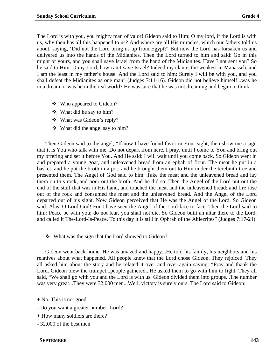The Lord is with you, you mighty man of valor! Gideon said to Him: O my lord, if the Lord is with us, why then has all this happened to us? And where are all His miracles, which our fathers told us about, saying, 'Did not the Lord bring us up from Egypt?' But now the Lord has forsaken us and delivered us into the hands of the Midianites. Then the Lord turned to him and said: Go in this might of yours, and you shall save Israel from the hand of the Midianites. Have I not sent you? So he said to Him: O my Lord, how can I save Israel? Indeed my clan is the weakest in Manasseh, and I am the least in my father's house. And the Lord said to him: Surely I will be with you, and you shall defeat the Midianites as one man" (Judges 7:11-16). Gideon did not believe himself...was he in a dream or was he in the real world? He was sure that he was not dreaming and began to think.

- Who appeared to Gideon?
- What did he say to him?
- What was Gideon's reply?
- $\triangleleft$  What did the angel say to him?

Then Gideon said to the angel, "If now I have found favor in Your sight, then show me a sign that it is You who talk with me. Do not depart from here, I pray, until I come to You and bring out my offering and set it before You. And He said: I will wait until you come back. So Gideon went in and prepared a young goat, and unleavened bread from an ephah of flour. The meat he put in a basket, and he put the broth in a pot; and he brought them out to Him under the terebinth tree and presented them. The Angel of God said to him: Take the meat and the unleavened bread and lay them on this rock, and pour out the broth. And he did so. Then the Angel of the Lord put out the end of the staff that was in His hand, and touched the meat and the unleavened bread; and fire rose out of the rock and consumed the meat and the unleavened bread. And the Angel of the Lord departed out of his sight. Now Gideon perceived that He was the Angel of the Lord. So Gideon said: Alas, O Lord God! For I have seen the Angel of the Lord face to face. Then the Lord said to him: Peace be with you; do not fear, you shall not die. So Gideon built an altar there to the Lord, and called it The-Lord-Is-Peace. To this day it is still in Ophrah of the Abiezrites" (Judges 7:17-24).

What was the sign that the Lord showed to Gideon?

Gideon went back home. He was amazed and happy...He told his family, his neighbors and his relatives about what happened. All people knew that the Lord chose Gideon. They rejoiced. They all asked him about the story and he related it over and over again saying: "Pray and thank the Lord. Gideon blew the trumpet...people gathered...He asked them to go with him to fight. They all said, "We shall go with you and the Lord is with us. Gideon divided them into groups...The number was very great...They were 32,000 men...Well, victory is surely ours. The Lord said to Gideon:

- + No. This is not good.
- Do you want a greater number, Lord?
- + How many soldiers are there?
- 32,000 of the best men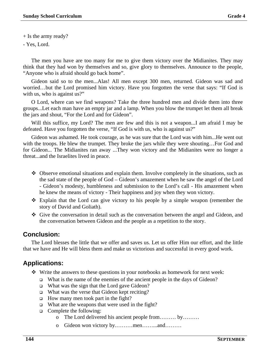+ Is the army ready?

- Yes, Lord.

The men you have are too many for me to give them victory over the Midianites. They may think that they had won by themselves and so, give glory to themselves. Announce to the people, "Anyone who is afraid should go back home".

Gideon said so to the men...Alas! All men except 300 men, returned. Gideon was sad and worried…but the Lord promised him victory. Have you forgotten the verse that says: "If God is with us, who is against us?"

O Lord, where can we find weapons? Take the three hundred men and divide them into three groups...Let each man have an empty jar and a lamp. When you blow the trumpet let them all break the jars and shout, "For the Lord and for Gideon".

Will this suffice, my Lord? The men are few and this is not a weapon...I am afraid I may be defeated. Have you forgotten the verse, "If God is with us, who is against us?"

Gideon was ashamed. He took courage, as he was sure that the Lord was with him...He went out with the troops. He blew the trumpet. They broke the jars while they were shouting...For God and for Gideon... The Midianites ran away ...They won victory and the Midianites were no longer a threat...and the Israelites lived in peace.

- $\triangle$  Observe emotional situations and explain them. Involve completely in the situations, such as the sad state of the people of God – Gideon's amazement when he saw the angel of the Lord - Gideon's modesty, humbleness and submission to the Lord's call - His amazement when he knew the means of victory - Their happiness and joy when they won victory.
- Explain that the Lord can give victory to his people by a simple weapon (remember the story of David and Goliath).
- $\div$  Give the conversation in detail such as the conversation between the angel and Gideon, and the conversation between Gideon and the people as a repetition to the story.

## **Conclusion:**

The Lord blesses the little that we offer and saves us. Let us offer Him our effort, and the little that we have and He will bless them and make us victorious and successful in every good work.

- $\div$  Write the answers to these questions in your notebooks as homework for next week:
	- What is the name of the enemies of the ancient people in the days of Gideon?
	- What was the sign that the Lord gave Gideon?
	- $\Box$  What was the verse that Gideon kept reciting?
	- $\Box$  How many men took part in the fight?
	- $\Box$  What are the weapons that were used in the fight?
	- □ Complete the following:
		- o The Lord delivered his ancient people from……… by………
		- o Gideon won victory by.………men……...and………